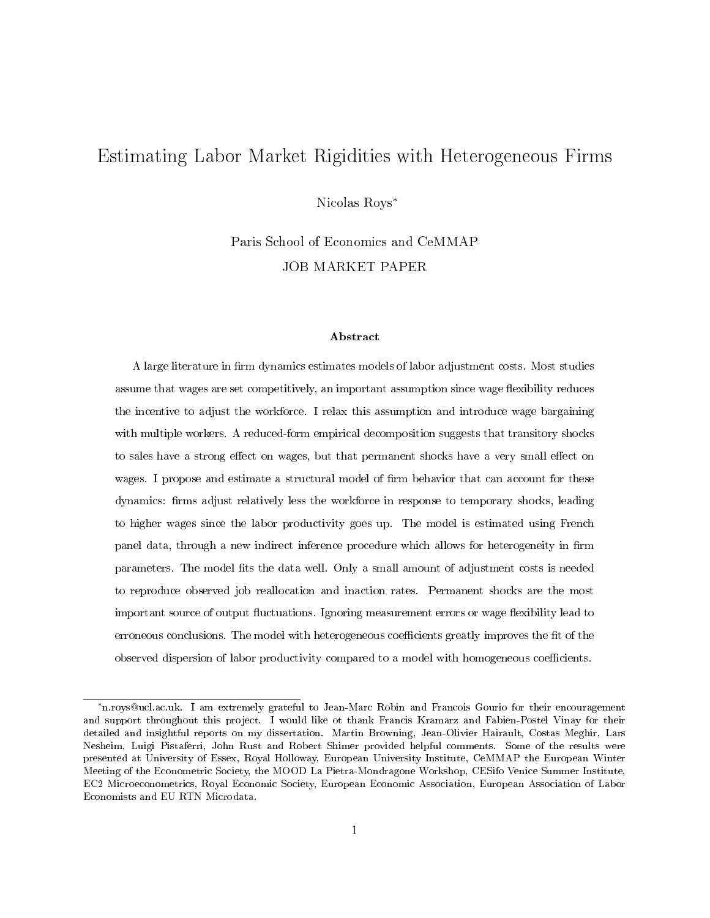# Estimating Labor Market Rigidities with Heterogeneous Firms

Nicolas Roys<sup>∗</sup>

Paris School of Economics and CeMMAP JOB MARKET PAPER

#### Abstract

A large literature in firm dynamics estimates models of labor adjustment costs. Most studies assume that wages are set competitively, an important assumption since wage flexibility reduces the incentive to adjust the workforce. I relax this assumption and introduce wage bargaining with multiple workers. A reduced-form empirical decomposition suggests that transitory shocks to sales have a strong effect on wages, but that permanent shocks have a very small effect on wages. I propose and estimate a structural model of firm behavior that can account for these dynamics: firms adjust relatively less the workforce in response to temporary shocks, leading to higher wages since the labor productivity goes up. The model is estimated using French panel data, through a new indirect inference procedure which allows for heterogeneity in firm parameters. The model fits the data well. Only a small amount of adjustment costs is needed to reproduce observed job reallocation and inaction rates. Permanent shocks are the most important source of output fluctuations. Ignoring measurement errors or wage flexibility lead to erroneous conclusions. The model with heterogeneous coefficients greatly improves the fit of the observed dispersion of labor productivity compared to a model with homogeneous coefficients.

<sup>∗</sup>n.roys@ucl.ac.uk. I am extremely grateful to Jean-Marc Robin and Francois Gourio for their encouragement and support throughout this project. I would like ot thank Francis Kramarz and Fabien-Postel Vinay for their detailed and insightful reports on my dissertation. Martin Browning, Jean-Olivier Hairault, Costas Meghir, Lars Nesheim, Luigi Pistaferri, John Rust and Robert Shimer provided helpful comments. Some of the results were presented at University of Essex, Royal Holloway, European University Institute, CeMMAP the European Winter Meeting of the Econometric Society, the MOOD La Pietra-Mondragone Workshop, CESifo Venice Summer Institute, EC2 Microeconometrics, Royal Economic Society, European Economic Association, European Association of Labor Economists and EU RTN Microdata.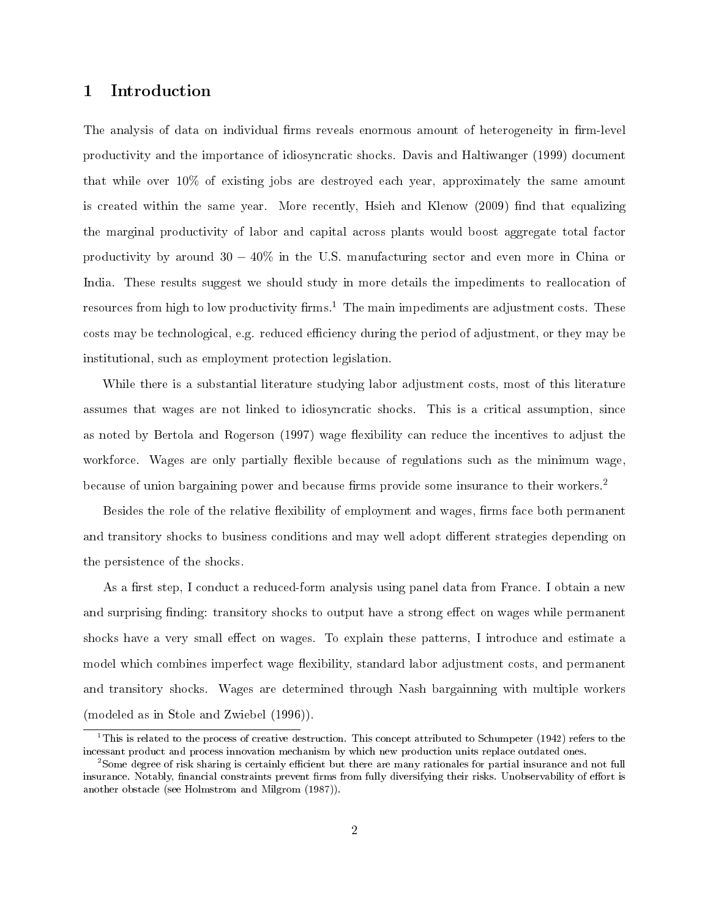## 1 Introduction

The analysis of data on individual firms reveals enormous amount of heterogeneity in firm-level productivity and the importance of idiosyncratic shocks. Davis and Haltiwanger (1999) document that while over 10% of existing jobs are destroyed each year, approximately the same amount is created within the same year. More recently, Hsieh and Klenow  $(2009)$  find that equalizing the marginal productivity of labor and capital across plants would boost aggregate total factor productivity by around  $30 - 40\%$  in the U.S. manufacturing sector and even more in China or India. These results suggest we should study in more details the impediments to reallocation of resources from high to low productivity  $\text{firms}^1$ . The main impediments are adjustment costs. These costs may be technological, e.g. reduced efficiency during the period of adjustment, or they may be institutional, such as employment protection legislation.

While there is a substantial literature studying labor adjustment costs, most of this literature assumes that wages are not linked to idiosyncratic shocks. This is a critical assumption, since as noted by Bertola and Rogerson (1997) wage flexibility can reduce the incentives to adjust the workforce. Wages are only partially flexible because of regulations such as the minimum wage. because of union bargaining power and because firms provide some insurance to their workers.<sup>2</sup>

Besides the role of the relative flexibility of employment and wages, firms face both permanent and transitory shocks to business conditions and may well adopt different strategies depending on the persistence of the shocks.

As a first step, I conduct a reduced-form analysis using panel data from France. I obtain a new and surprising finding: transitory shocks to output have a strong effect on wages while permanent shocks have a very small effect on wages. To explain these patterns, I introduce and estimate a model which combines imperfect wage flexibility, standard labor adjustment costs, and permanent and transitory shocks. Wages are determined through Nash bargainning with multiple workers (modeled as in Stole and Zwiebel (1996)).

 $1$ This is related to the process of creative destruction. This concept attributed to Schumpeter (1942) refers to the incessant product and process innovation mechanism by which new production units replace outdated ones.

<sup>&</sup>lt;sup>2</sup>Some degree of risk sharing is certainly efficient but there are many rationales for partial insurance and not full insurance. Notably, financial constraints prevent firms from fully diversifying their risks. Unobservability of effort is another obstacle (see Holmstrom and Milgrom (1987)).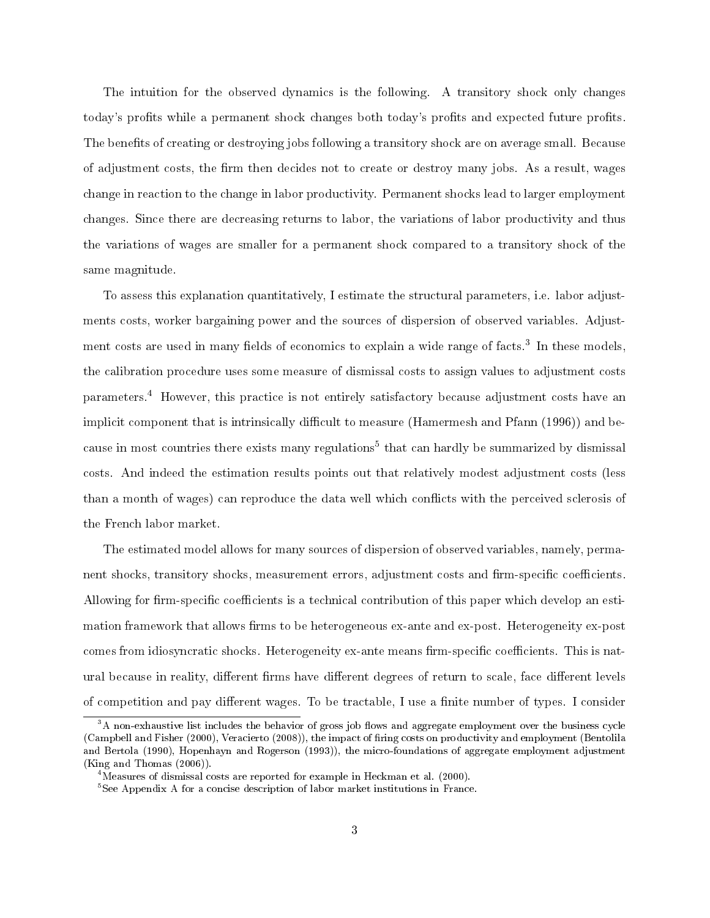The intuition for the observed dynamics is the following. A transitory shock only changes today's profits while a permanent shock changes both today's profits and expected future profits. The benefits of creating or destroying jobs following a transitory shock are on average small. Because of adjustment costs, the firm then decides not to create or destroy many jobs. As a result, wages change in reaction to the change in labor productivity. Permanent shocks lead to larger employment changes. Since there are decreasing returns to labor, the variations of labor productivity and thus the variations of wages are smaller for a permanent shock compared to a transitory shock of the same magnitude.

To assess this explanation quantitatively, I estimate the structural parameters, i.e. labor adjustments costs, worker bargaining power and the sources of dispersion of observed variables. Adjustment costs are used in many fields of economics to explain a wide range of facts.<sup>3</sup> In these models, the calibration procedure uses some measure of dismissal costs to assign values to adjustment costs parameters.<sup>4</sup> However, this practice is not entirely satisfactory because adjustment costs have an implicit component that is intrinsically difficult to measure (Hamermesh and Pfann  $(1996)$ ) and because in most countries there exists many regulations $^5$  that can hardly be summarized by dismissal costs. And indeed the estimation results points out that relatively modest adjustment costs (less than a month of wages) can reproduce the data well which conflicts with the perceived sclerosis of the French labor market.

The estimated model allows for many sources of dispersion of observed variables, namely, permanent shocks, transitory shocks, measurement errors, adjustment costs and firm-specific coefficients. Allowing for firm-specific coefficients is a technical contribution of this paper which develop an estimation framework that allows firms to be heterogeneous ex-ante and ex-post. Heterogeneity ex-post comes from idiosyncratic shocks. Heterogeneity ex-ante means firm-specific coefficients. This is natural because in reality, different firms have different degrees of return to scale, face different levels of competition and pay different wages. To be tractable, I use a finite number of types. I consider

 $3A$  non-exhaustive list includes the behavior of gross job flows and aggregate employment over the business cycle (Campbell and Fisher (2000), Veracierto (2008)), the impact of firing costs on productivity and employment (Bentolila and Bertola (1990), Hopenhayn and Rogerson (1993)), the micro-foundations of aggregate employment adjustment (King and Thomas (2006)).

<sup>&</sup>lt;sup>4</sup>Measures of dismissal costs are reported for example in Heckman et al. (2000).

<sup>&</sup>lt;sup>5</sup>See Appendix A for a concise description of labor market institutions in France.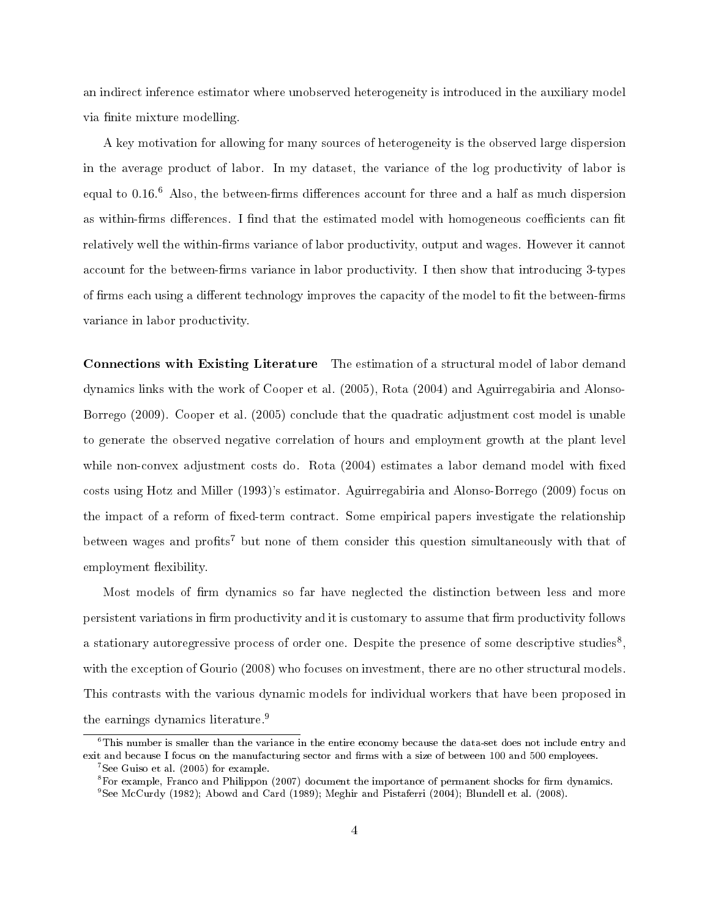an indirect inference estimator where unobserved heterogeneity is introduced in the auxiliary model via finite mixture modelling.

A key motivation for allowing for many sources of heterogeneity is the observed large dispersion in the average product of labor. In my dataset, the variance of the log productivity of labor is equal to  $0.16$ .<sup>6</sup> Also, the between-firms differences account for three and a half as much dispersion as within-firms differences. I find that the estimated model with homogeneous coefficients can fit relatively well the within-firms variance of labor productivity, output and wages. However it cannot account for the between-firms variance in labor productivity. I then show that introducing 3-types of firms each using a different technology improves the capacity of the model to fit the between-firms variance in labor productivity.

Connections with Existing Literature The estimation of a structural model of labor demand dynamics links with the work of Cooper et al. (2005), Rota (2004) and Aguirregabiria and Alonso-Borrego (2009). Cooper et al. (2005) conclude that the quadratic adjustment cost model is unable to generate the observed negative correlation of hours and employment growth at the plant level while non-convex adjustment costs do. Rota  $(2004)$  estimates a labor demand model with fixed costs using Hotz and Miller (1993)'s estimator. Aguirregabiria and Alonso-Borrego (2009) focus on the impact of a reform of fixed-term contract. Some empirical papers investigate the relationship between wages and profits<sup>7</sup> but none of them consider this question simultaneously with that of employment flexibility.

Most models of firm dynamics so far have neglected the distinction between less and more persistent variations in firm productivity and it is customary to assume that firm productivity follows a stationary autoregressive process of order one. Despite the presence of some descriptive studies<sup>8</sup>, with the exception of Gourio (2008) who focuses on investment, there are no other structural models. This contrasts with the various dynamic models for individual workers that have been proposed in the earnings dynamics literature.<sup>9</sup>

 ${}^{6}$ This number is smaller than the variance in the entire economy because the data-set does not include entry and exit and because I focus on the manufacturing sector and firms with a size of between 100 and 500 employees.

 $7$ See Guiso et al. (2005) for example.

 $8$ For example, Franco and Philippon (2007) document the importance of permanent shocks for firm dynamics.

<sup>9</sup>See McCurdy (1982); Abowd and Card (1989); Meghir and Pistaferri (2004); Blundell et al. (2008).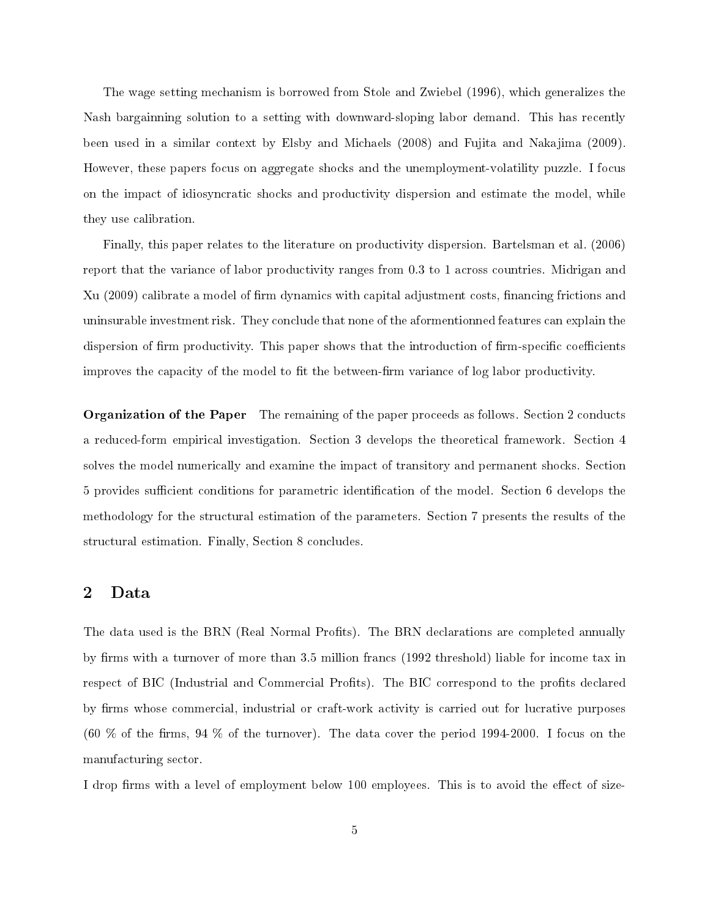The wage setting mechanism is borrowed from Stole and Zwiebel (1996), which generalizes the Nash bargainning solution to a setting with downward-sloping labor demand. This has recently been used in a similar context by Elsby and Michaels (2008) and Fujita and Nakajima (2009). However, these papers focus on aggregate shocks and the unemployment-volatility puzzle. I focus on the impact of idiosyncratic shocks and productivity dispersion and estimate the model, while they use calibration.

Finally, this paper relates to the literature on productivity dispersion. Bartelsman et al. (2006) report that the variance of labor productivity ranges from 0.3 to 1 across countries. Midrigan and Xu (2009) calibrate a model of firm dynamics with capital adjustment costs, financing frictions and uninsurable investment risk. They conclude that none of the aformentionned features can explain the dispersion of firm productivity. This paper shows that the introduction of firm-specific coefficients improves the capacity of the model to fit the between-firm variance of log labor productivity.

**Organization of the Paper** The remaining of the paper proceeds as follows. Section 2 conducts a reduced-form empirical investigation. Section 3 develops the theoretical framework. Section 4 solves the model numerically and examine the impact of transitory and permanent shocks. Section 5 provides sufficient conditions for parametric identification of the model. Section 6 develops the methodology for the structural estimation of the parameters. Section 7 presents the results of the structural estimation. Finally, Section 8 concludes.

## 2 Data

The data used is the BRN (Real Normal Profits). The BRN declarations are completed annually by firms with a turnover of more than 3.5 million francs (1992 threshold) liable for income tax in respect of BIC (Industrial and Commercial Profits). The BIC correspond to the profits declared by firms whose commercial, industrial or craft-work activity is carried out for lucrative purposes (60 % of the firms, 94 % of the turnover). The data cover the period 1994-2000. I focus on the manufacturing sector.

I drop firms with a level of employment below 100 employees. This is to avoid the effect of size-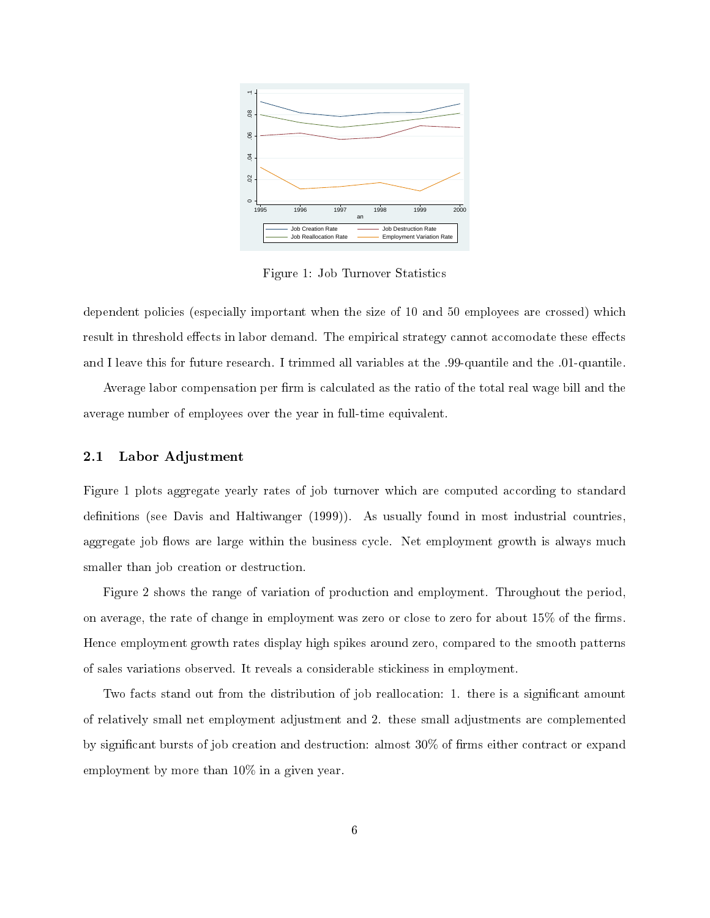

Figure 1: Job Turnover Statistics

dependent policies (especially important when the size of 10 and 50 employees are crossed) which result in threshold effects in labor demand. The empirical strategy cannot accomodate these effects and I leave this for future research. I trimmed all variables at the .99-quantile and the .01-quantile.

Average labor compensation per firm is calculated as the ratio of the total real wage bill and the average number of employees over the year in full-time equivalent.

#### 2.1 Labor Adjustment

Figure 1 plots aggregate yearly rates of job turnover which are computed according to standard definitions (see Davis and Haltiwanger (1999)). As usually found in most industrial countries, aggregate job flows are large within the business cycle. Net employment growth is always much smaller than job creation or destruction.

Figure 2 shows the range of variation of production and employment. Throughout the period, on average, the rate of change in employment was zero or close to zero for about  $15\%$  of the firms. Hence employment growth rates display high spikes around zero, compared to the smooth patterns of sales variations observed. It reveals a considerable stickiness in employment.

Two facts stand out from the distribution of job reallocation: 1. there is a significant amount of relatively small net employment adjustment and 2. these small adjustments are complemented by significant bursts of job creation and destruction: almost 30% of firms either contract or expand employment by more than 10% in a given year.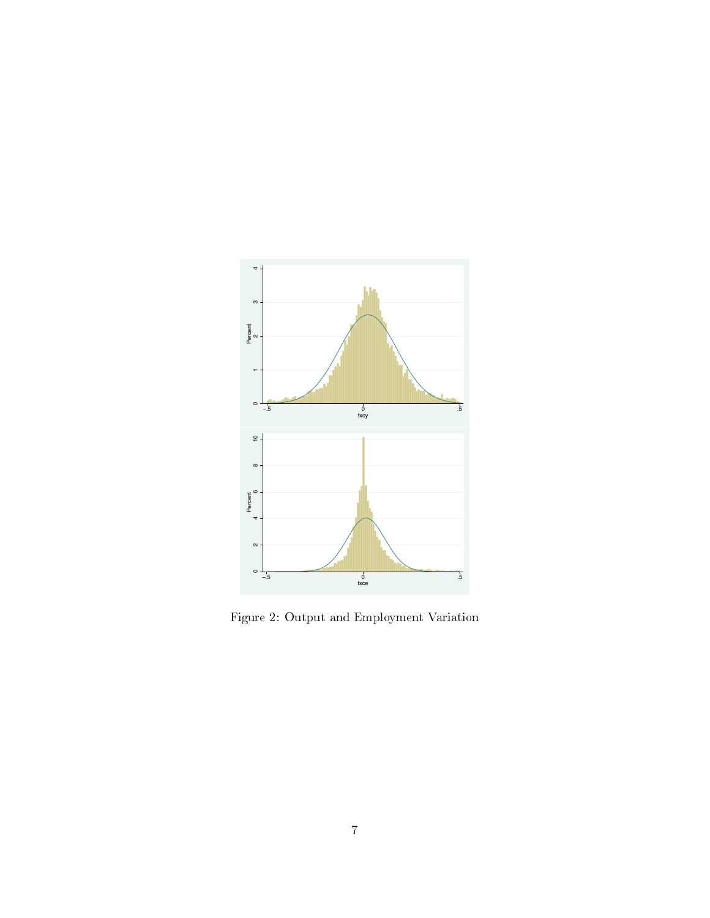

Figure 2: Output and Employment Variation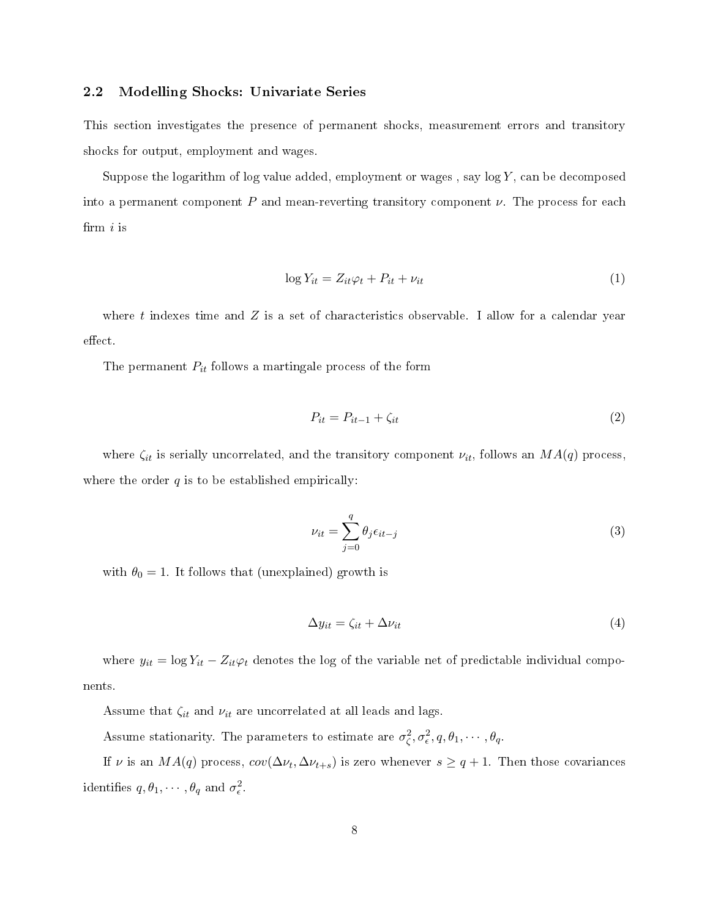#### 2.2 Modelling Shocks: Univariate Series

This section investigates the presence of permanent shocks, measurement errors and transitory shocks for output, employment and wages.

Suppose the logarithm of log value added, employment or wages, say  $\log Y$ , can be decomposed into a permanent component P and mean-reverting transitory component  $\nu$ . The process for each  $firm i$  is

$$
\log Y_{it} = Z_{it}\varphi_t + P_{it} + \nu_{it} \tag{1}
$$

where t indexes time and  $Z$  is a set of characteristics observable. I allow for a calendar year effect.

The permanent  $P_{it}$  follows a martingale process of the form

$$
P_{it} = P_{it-1} + \zeta_{it} \tag{2}
$$

where  $\zeta_{it}$  is serially uncorrelated, and the transitory component  $\nu_{it}$ , follows an  $MA(q)$  process, where the order  $q$  is to be established empirically:

$$
\nu_{it} = \sum_{j=0}^{q} \theta_j \epsilon_{it-j} \tag{3}
$$

with  $\theta_0 = 1$ . It follows that (unexplained) growth is

$$
\Delta y_{it} = \zeta_{it} + \Delta \nu_{it} \tag{4}
$$

where  $y_{it} = \log Y_{it} - Z_{it} \varphi_t$  denotes the log of the variable net of predictable individual components.

Assume that  $\zeta_{it}$  and  $\nu_{it}$  are uncorrelated at all leads and lags.

Assume stationarity. The parameters to estimate are  $\sigma_{\zeta}^2, \sigma_{\epsilon}^2, q, \theta_1, \cdots, \theta_q$ .

If  $\nu$  is an  $MA(q)$  process,  $cov(\Delta \nu_t, \Delta \nu_{t+s})$  is zero whenever  $s \geq q+1$ . Then those covariances identifies  $q, \theta_1, \cdots, \theta_q$  and  $\sigma_{\epsilon}^2$ .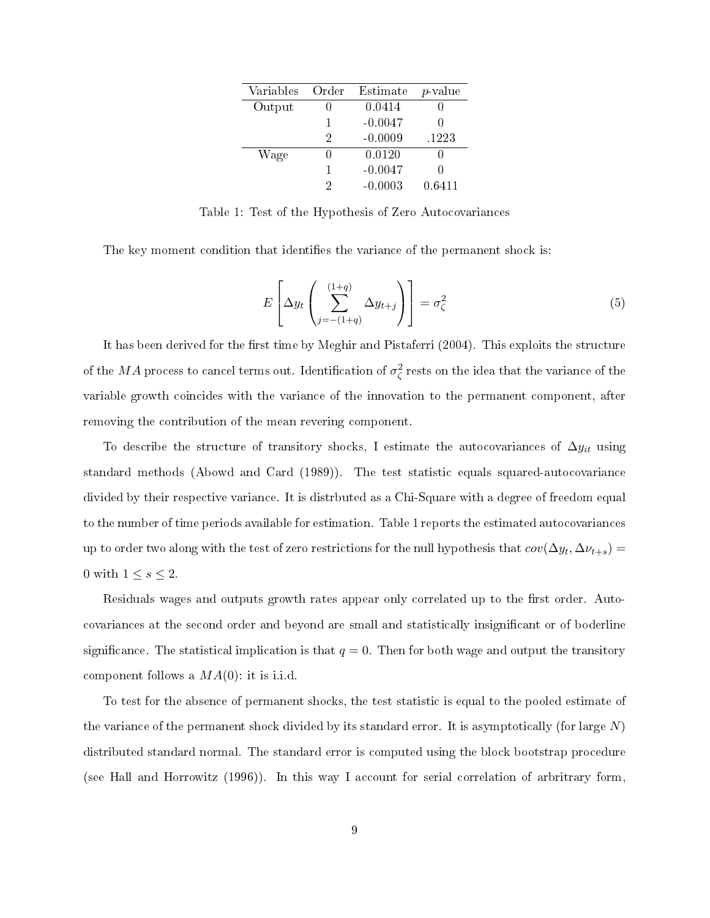| Variables | Order | Estimate  | $p$ -value |
|-----------|-------|-----------|------------|
| Output    |       | 0.0414    |            |
|           |       | $-0.0047$ |            |
|           | 2     | $-0.0009$ | .1223      |
| Wage      |       | 0.0120    |            |
|           |       | $-0.0047$ |            |
|           |       | $-0.0003$ | 0.6411     |

Table 1: Test of the Hypothesis of Zero Autocovariances

The key moment condition that identifies the variance of the permanent shock is:

$$
E\left[\Delta y_t \left(\sum_{j=-(1+q)}^{(1+q)} \Delta y_{t+j}\right)\right] = \sigma_{\zeta}^2 \tag{5}
$$

It has been derived for the first time by Meghir and Pistaferri  $(2004)$ . This exploits the structure of the  $MA$  process to cancel terms out. Identification of  $\sigma_{\zeta}^2$  rests on the idea that the variance of the variable growth coincides with the variance of the innovation to the permanent component, after removing the contribution of the mean revering component.

To describe the structure of transitory shocks, I estimate the autocovariances of  $\Delta y_{it}$  using standard methods (Abowd and Card (1989)). The test statistic equals squared-autocovariance divided by their respective variance. It is distrbuted as a Chi-Square with a degree of freedom equal to the number of time periods available for estimation. Table 1 reports the estimated autocovariances up to order two along with the test of zero restrictions for the null hypothesis that  $cov(\Delta y_t, \Delta \nu_{t+s}) =$ 0 with  $1 \leq s \leq 2$ .

Residuals wages and outputs growth rates appear only correlated up to the first order. Autocovariances at the second order and beyond are small and statistically insignicant or of boderline significance. The statistical implication is that  $q = 0$ . Then for both wage and output the transitory component follows a  $MA(0)$ : it is i.i.d.

To test for the absence of permanent shocks, the test statistic is equal to the pooled estimate of the variance of the permanent shock divided by its standard error. It is asymptotically (for large  $N$ ) distributed standard normal. The standard error is computed using the block bootstrap procedure (see Hall and Horrowitz (1996)). In this way I account for serial correlation of arbritrary form,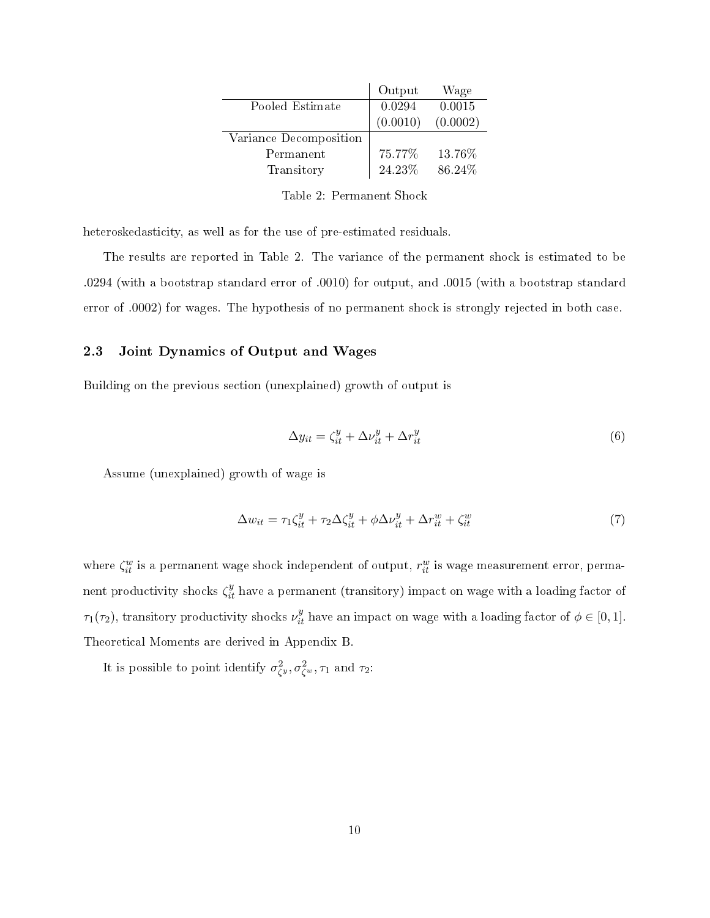|                        | Output   | Wage     |
|------------------------|----------|----------|
| Pooled Estimate        | 0.0294   | 0.0015   |
|                        | (0.0010) | (0.0002) |
| Variance Decomposition |          |          |
| Permanent              | 75.77%   | 13.76%   |
| Transitory             | 24.23%   | 86.24%   |

Table 2: Permanent Shock

heteroskedasticity, as well as for the use of pre-estimated residuals.

The results are reported in Table 2. The variance of the permanent shock is estimated to be .0294 (with a bootstrap standard error of .0010) for output, and .0015 (with a bootstrap standard error of .0002) for wages. The hypothesis of no permanent shock is strongly rejected in both case.

#### 2.3 Joint Dynamics of Output and Wages

Building on the previous section (unexplained) growth of output is

$$
\Delta y_{it} = \zeta_{it}^y + \Delta \nu_{it}^y + \Delta r_{it}^y \tag{6}
$$

Assume (unexplained) growth of wage is

$$
\Delta w_{it} = \tau_1 \zeta_{it}^y + \tau_2 \Delta \zeta_{it}^y + \phi \Delta \nu_{it}^y + \Delta r_{it}^w + \zeta_{it}^w \tag{7}
$$

where  $\zeta_{it}^w$  is a permanent wage shock independent of output,  $r_{it}^w$  is wage measurement error, permanent productivity shocks  $\zeta_{it}^y$  have a permanent (transitory) impact on wage with a loading factor of  $\tau_1(\tau_2)$ , transitory productivity shocks  $\nu_{it}^y$  have an impact on wage with a loading factor of  $\phi \in [0,1]$ . Theoretical Moments are derived in Appendix B.

It is possible to point identify  $\sigma_{\zeta^y}^2, \sigma_{\zeta^w}^2, \tau_1$  and  $\tau_2$ :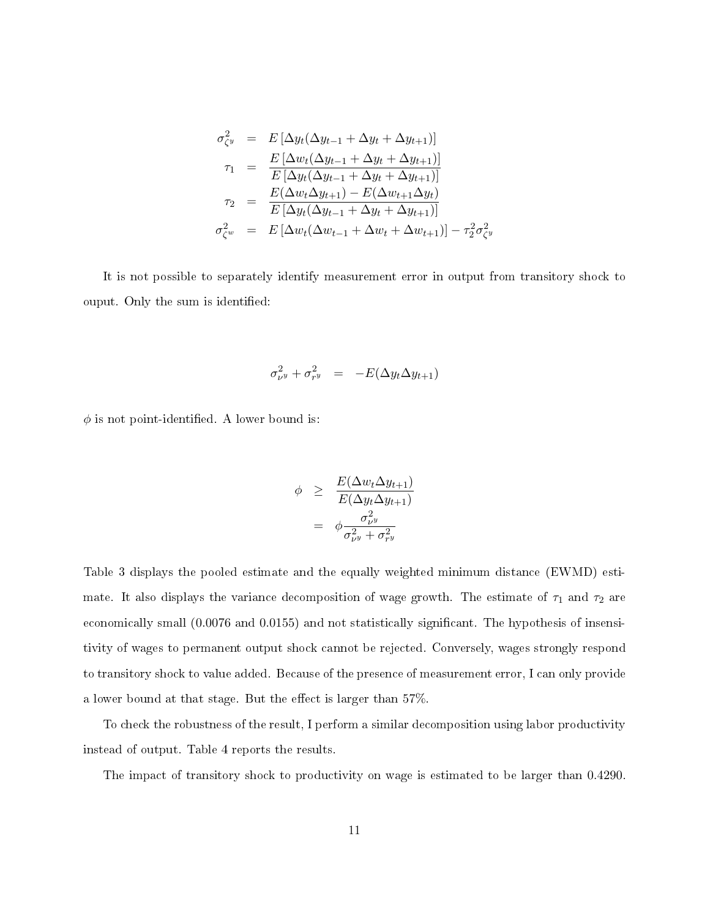$$
\sigma_{\zeta y}^2 = E\left[\Delta y_t(\Delta y_{t-1} + \Delta y_t + \Delta y_{t+1})\right]
$$
\n
$$
\tau_1 = \frac{E\left[\Delta w_t(\Delta y_{t-1} + \Delta y_t + \Delta y_{t+1})\right]}{E\left[\Delta y_t(\Delta y_{t-1} + \Delta y_t + \Delta y_{t+1})\right]}
$$
\n
$$
\tau_2 = \frac{E(\Delta w_t \Delta y_{t+1}) - E(\Delta w_{t+1} \Delta y_t)}{E\left[\Delta y_t(\Delta y_{t-1} + \Delta y_t + \Delta y_{t+1})\right]}
$$
\n
$$
\sigma_{\zeta w}^2 = E\left[\Delta w_t(\Delta w_{t-1} + \Delta w_t + \Delta w_{t+1})\right] - \tau_2^2 \sigma_{\zeta y}^2
$$

It is not possible to separately identify measurement error in output from transitory shock to ouput. Only the sum is identified:

$$
\sigma_{\nu y}^2 + \sigma_{r y}^2 = -E(\Delta y_t \Delta y_{t+1})
$$

 $\phi$  is not point-identified. A lower bound is:

$$
\begin{array}{rcl}\n\phi & \geq & \frac{E(\Delta w_t \Delta y_{t+1})}{E(\Delta y_t \Delta y_{t+1})} \\
& = & \phi \frac{\sigma_{\nu}^2}{\sigma_{\nu}^2 + \sigma_{\nu}^2}\n\end{array}
$$

Table 3 displays the pooled estimate and the equally weighted minimum distance (EWMD) estimate. It also displays the variance decomposition of wage growth. The estimate of  $\tau_1$  and  $\tau_2$  are economically small (0.0076 and 0.0155) and not statistically significant. The hypothesis of insensitivity of wages to permanent output shock cannot be rejected. Conversely, wages strongly respond to transitory shock to value added. Because of the presence of measurement error, I can only provide a lower bound at that stage. But the effect is larger than 57%.

To check the robustness of the result, I perform a similar decomposition using labor productivity instead of output. Table 4 reports the results.

The impact of transitory shock to productivity on wage is estimated to be larger than 0.4290.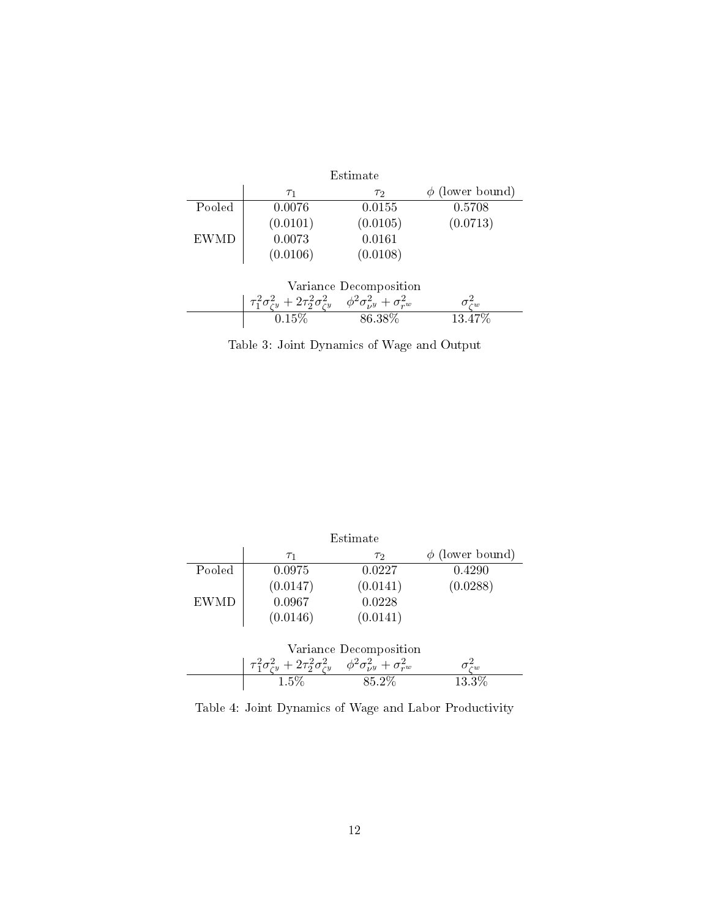| Estimate |                                                                                                              |                        |                      |
|----------|--------------------------------------------------------------------------------------------------------------|------------------------|----------------------|
|          | $\tau_1$                                                                                                     | $\tau$ <sub>2</sub>    | $\phi$ (lower bound) |
| Pooled   | 0.0076                                                                                                       | 0.0155                 | 0.5708               |
|          | (0.0101)                                                                                                     | (0.0105)               | (0.0713)             |
| EWMD     | 0.0073                                                                                                       | 0.0161                 |                      |
|          | (0.0106)                                                                                                     | (0.0108)               |                      |
|          |                                                                                                              | Variance Decomposition |                      |
|          | $\tau_1^2 \sigma_{\zeta y}^2 + 2 \tau_2^2 \sigma_{\zeta y}^2 \quad \phi^2 \sigma_{\nu y}^2 + \sigma_{r w}^2$ |                        | $\sigma_{\ell w}^2$  |
|          | 0.15%                                                                                                        | 86.38%                 | 13.47%               |

Table 3: Joint Dynamics of Wage and Output

| Estimate    |                                                                                                              |                        |                      |  |
|-------------|--------------------------------------------------------------------------------------------------------------|------------------------|----------------------|--|
|             | T <sub>1</sub>                                                                                               | $\tau$ <sub>2</sub>    | $\phi$ (lower bound) |  |
| Pooled      | 0.0975                                                                                                       | 0.0227                 | 0.4290               |  |
|             | (0.0147)                                                                                                     | (0.0141)               | (0.0288)             |  |
| <b>EWMD</b> | 0.0967                                                                                                       | 0.0228                 |                      |  |
|             | (0.0146)                                                                                                     | (0.0141)               |                      |  |
|             |                                                                                                              |                        |                      |  |
|             |                                                                                                              | Variance Decomposition |                      |  |
|             | $\tau_1^2 \sigma_{\zeta y}^2 + 2 \tau_2^2 \sigma_{\zeta y}^2 \quad \phi^2 \sigma_{\nu y}^2 + \sigma_{r w}^2$ |                        | $\sim w$             |  |
|             | $1.5\%$                                                                                                      | 85.2%                  | 13.3%                |  |

Table 4: Joint Dynamics of Wage and Labor Productivity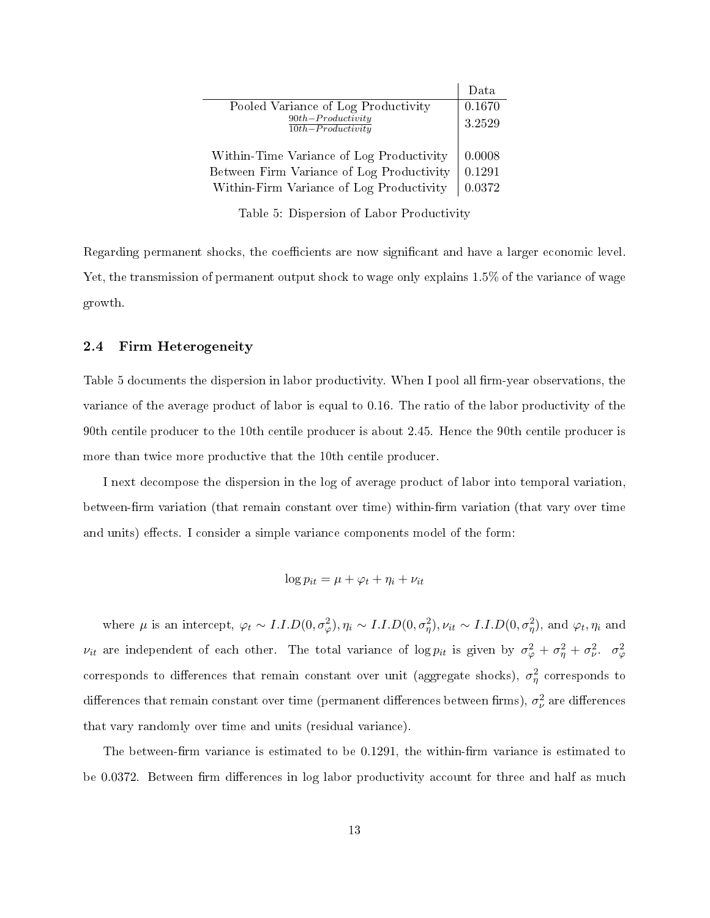|                                                        | Data   |
|--------------------------------------------------------|--------|
| Pooled Variance of Log Productivity                    | 0.1670 |
| $90th$ -Productivity<br>$\overline{10th-Productivity}$ | 3.2529 |
| Within-Time Variance of Log Productivity               | 0.0008 |
| Between Firm Variance of Log Productivity              | 0.1291 |
| Within-Firm Variance of Log Productivity               | 0.0372 |

Table 5: Dispersion of Labor Productivity

Regarding permanent shocks, the coefficients are now significant and have a larger economic level. Yet, the transmission of permanent output shock to wage only explains 1.5% of the variance of wage growth.

#### 2.4 Firm Heterogeneity

Table 5 documents the dispersion in labor productivity. When I pool all firm-year observations, the variance of the average product of labor is equal to 0.16. The ratio of the labor productivity of the 90th centile producer to the 10th centile producer is about 2.45. Hence the 90th centile producer is more than twice more productive that the 10th centile producer.

I next decompose the dispersion in the log of average product of labor into temporal variation, between-firm variation (that remain constant over time) within-firm variation (that vary over time and units) effects. I consider a simple variance components model of the form:

$$
\log p_{it} = \mu + \varphi_t + \eta_i + \nu_{it}
$$

where  $\mu$  is an intercept,  $\varphi_t \sim I.I.D(0, \sigma_{\varphi}^2), \eta_i \sim I.I.D(0, \sigma_{\eta}^2), \nu_{it} \sim I.I.D(0, \sigma_{\eta}^2),$  and  $\varphi_t, \eta_i$  and  $\nu_{it}$  are independent of each other. The total variance of log  $p_{it}$  is given by  $\sigma_{\varphi}^2 + \sigma_{\eta}^2 + \sigma_{\nu}^2$ .  $\sigma_{\varphi}^2$ corresponds to differences that remain constant over unit (aggregate shocks),  $\sigma_{\eta}^2$  corresponds to differences that remain constant over time (permanent differences between firms),  $\sigma_{\nu}^2$  are differences that vary randomly over time and units (residual variance).

The between-firm variance is estimated to be  $0.1291$ , the within-firm variance is estimated to be 0.0372. Between firm differences in log labor productivity account for three and half as much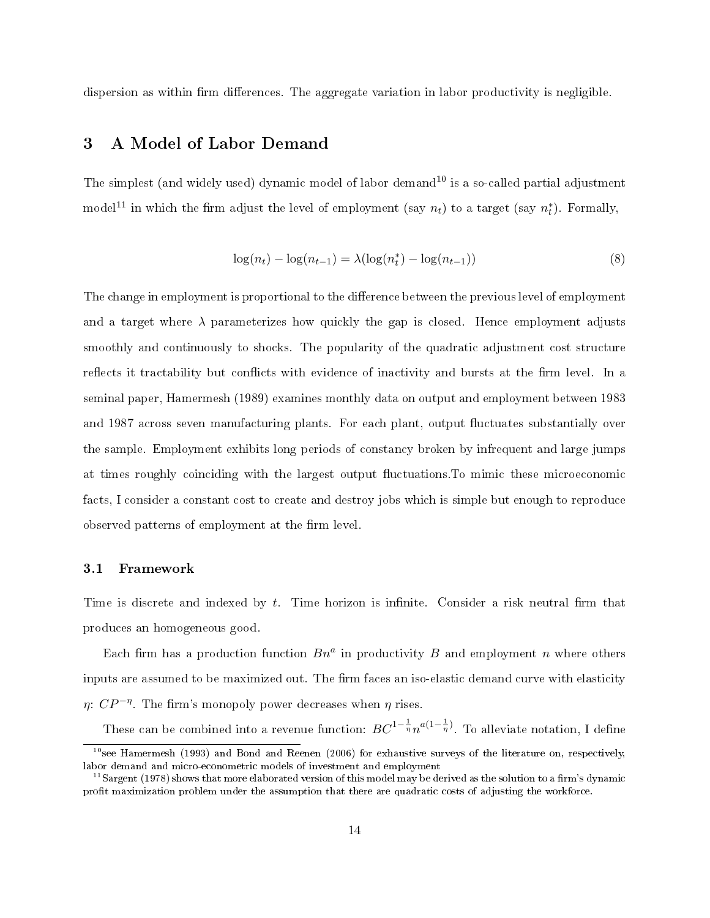dispersion as within firm differences. The aggregate variation in labor productivity is negligible.

## 3 A Model of Labor Demand

The simplest (and widely used) dynamic model of labor demand<sup>10</sup> is a so-called partial adjustment model<sup>11</sup> in which the firm adjust the level of employment (say  $n_t$ ) to a target (say  $n_t^*$ ). Formally,

$$
\log(n_t) - \log(n_{t-1}) = \lambda(\log(n_t^*) - \log(n_{t-1}))
$$
\n(8)

The change in employment is proportional to the difference between the previous level of employment and a target where  $\lambda$  parameterizes how quickly the gap is closed. Hence employment adjusts smoothly and continuously to shocks. The popularity of the quadratic adjustment cost structure reflects it tractability but conflicts with evidence of inactivity and bursts at the firm level. In a seminal paper, Hamermesh (1989) examines monthly data on output and employment between 1983 and 1987 across seven manufacturing plants. For each plant, output fluctuates substantially over the sample. Employment exhibits long periods of constancy broken by infrequent and large jumps at times roughly coinciding with the largest output fluctuations. To mimic these microeconomic facts, I consider a constant cost to create and destroy jobs which is simple but enough to reproduce observed patterns of employment at the firm level.

#### 3.1 Framework

Time is discrete and indexed by  $t$ . Time horizon is infinite. Consider a risk neutral firm that produces an homogeneous good.

Each firm has a production function  $Bn^a$  in productivity B and employment n where others inputs are assumed to be maximized out. The firm faces an iso-elastic demand curve with elasticity  $\eta$ :  $CP^{-\eta}$ . The firm's monopoly power decreases when  $\eta$  rises.

These can be combined into a revenue function:  $BC^{1-\frac{1}{\eta}}n^{a(1-\frac{1}{\eta})}$ . To alleviate notation, I define

 $\frac{10}{10}$ see Hamermesh (1993) and Bond and Reenen (2006) for exhaustive surveys of the literature on, respectively, labor demand and micro-econometric models of investment and employment

 $^{11}$ Sargent (1978) shows that more elaborated version of this model may be derived as the solution to a firm's dynamic profit maximization problem under the assumption that there are quadratic costs of adjusting the workforce.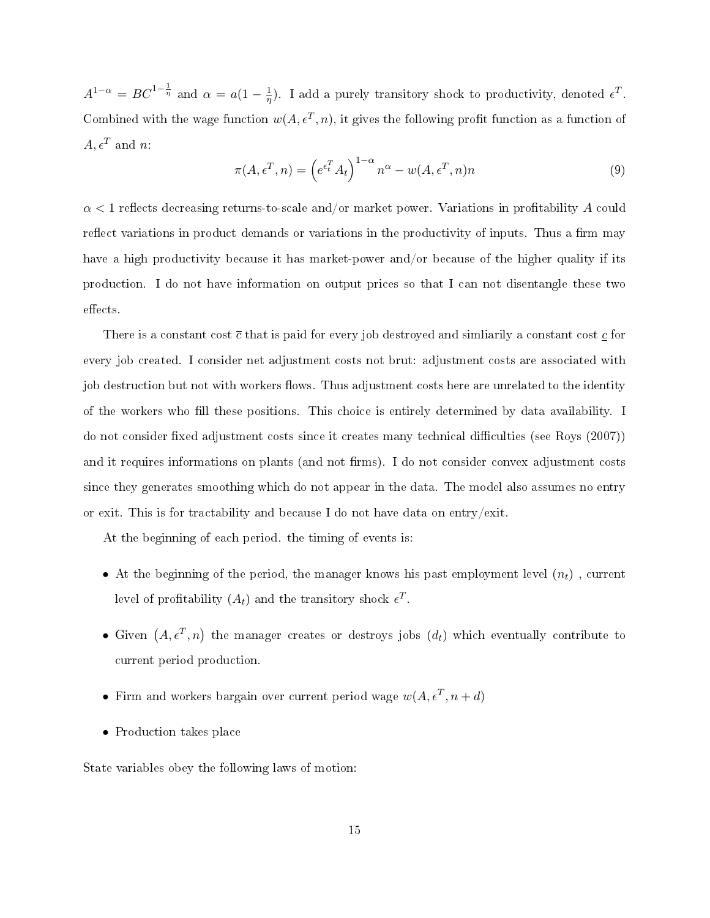$A^{1-\alpha} = BC^{1-\frac{1}{\eta}}$  and  $\alpha = a(1-\frac{1}{n})$  $\frac{1}{\eta}$ ). I add a purely transitory shock to productivity, denoted  $\epsilon^T$ . Combined with the wage function  $w(A, \epsilon^T, n)$ , it gives the following profit function as a function of  $A, \epsilon^T$  and n:

$$
\pi(A, \epsilon^T, n) = \left(e^{\epsilon_t^T} A_t\right)^{1-\alpha} n^{\alpha} - w(A, \epsilon^T, n)n
$$
\n(9)

 $\alpha$  < 1 reflects decreasing returns-to-scale and/or market power. Variations in profitability A could reflect variations in product demands or variations in the productivity of inputs. Thus a firm may have a high productivity because it has market-power and/or because of the higher quality if its production. I do not have information on output prices so that I can not disentangle these two effects.

There is a constant cost  $\bar{c}$  that is paid for every job destroyed and similarily a constant cost  $\bar{c}$  for every job created. I consider net adjustment costs not brut: adjustment costs are associated with job destruction but not with workers flows. Thus adjustment costs here are unrelated to the identity of the workers who fill these positions. This choice is entirely determined by data availability. I do not consider fixed adjustment costs since it creates many technical difficulties (see Roys  $(2007)$ ) and it requires informations on plants (and not firms). I do not consider convex adjustment costs since they generates smoothing which do not appear in the data. The model also assumes no entry or exit. This is for tractability and because I do not have data on entry/exit.

At the beginning of each period. the timing of events is:

- At the beginning of the period, the manager knows his past employment level  $(n_t)$ , current level of profitability  $(A_t)$  and the transitory shock  $\epsilon^T$ .
- Given  $(A, \epsilon^T, n)$  the manager creates or destroys jobs  $(d_t)$  which eventually contribute to current period production.
- Firm and workers bargain over current period wage  $w(A, \epsilon^T, n+d)$
- Production takes place

State variables obey the following laws of motion: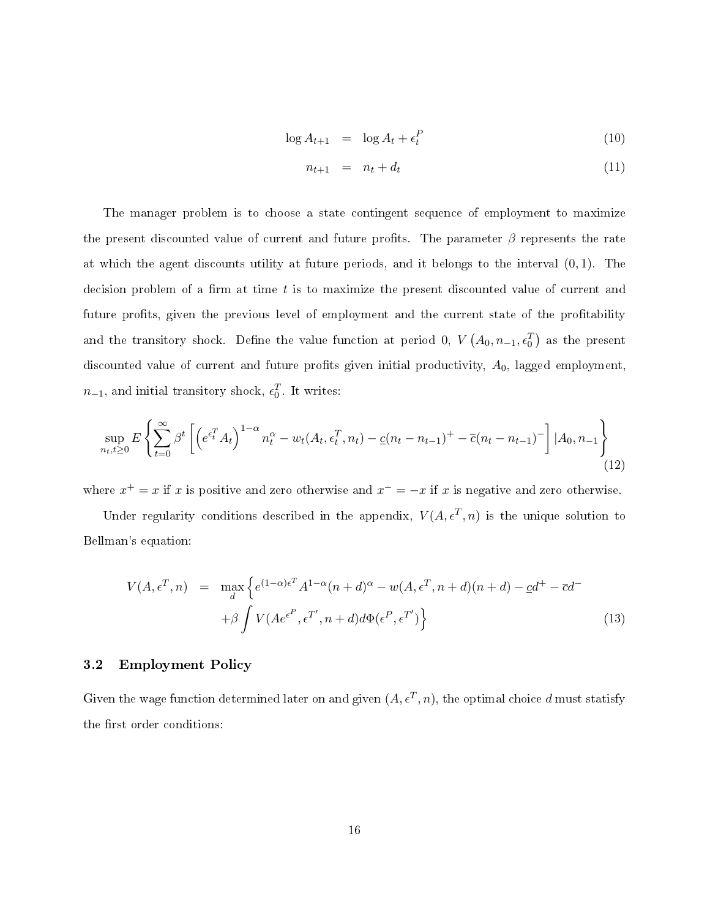$$
\log A_{t+1} = \log A_t + \epsilon_t^P \tag{10}
$$

$$
n_{t+1} = n_t + d_t \tag{11}
$$

The manager problem is to choose a state contingent sequence of employment to maximize the present discounted value of current and future profits. The parameter  $\beta$  represents the rate at which the agent discounts utility at future periods, and it belongs to the interval  $(0, 1)$ . The decision problem of a firm at time  $t$  is to maximize the present discounted value of current and future profits, given the previous level of employment and the current state of the profitability and the transitory shock. Define the value function at period 0,  $V(A_0, n_{-1}, \epsilon_0^T)$  as the present discounted value of current and future profits given initial productivity,  $A_0$ , lagged employment,  $n_{-1}$ , and initial transitory shock,  $\epsilon_0^T$ . It writes:

$$
\sup_{n_t, t \ge 0} E\left\{ \sum_{t=0}^{\infty} \beta^t \left[ \left( e^{\epsilon_t^T} A_t \right)^{1-\alpha} n_t^{\alpha} - w_t (A_t, \epsilon_t^T, n_t) - \underline{c} (n_t - n_{t-1})^+ - \overline{c} (n_t - n_{t-1})^- \right] | A_0, n_{-1} \right\}
$$
(12)

where  $x^+ = x$  if x is positive and zero otherwise and  $x^- = -x$  if x is negative and zero otherwise.

Under regularity conditions described in the appendix,  $V(A, \epsilon^T, n)$  is the unique solution to Bellman's equation:

$$
V(A, \epsilon^T, n) = \max_{d} \left\{ e^{(1-\alpha)\epsilon^T} A^{1-\alpha} (n+d)^{\alpha} - w(A, \epsilon^T, n+d)(n+d) - \underline{c}d^+ - \overline{c}d^- + \beta \int V(Ae^{\epsilon^P}, \epsilon^{T'}, n+d)d\Phi(\epsilon^P, \epsilon^{T'}) \right\}
$$
(13)

#### 3.2 Employment Policy

Given the wage function determined later on and given  $(A, \epsilon^T, n)$ , the optimal choice d must statisfy the first order conditions: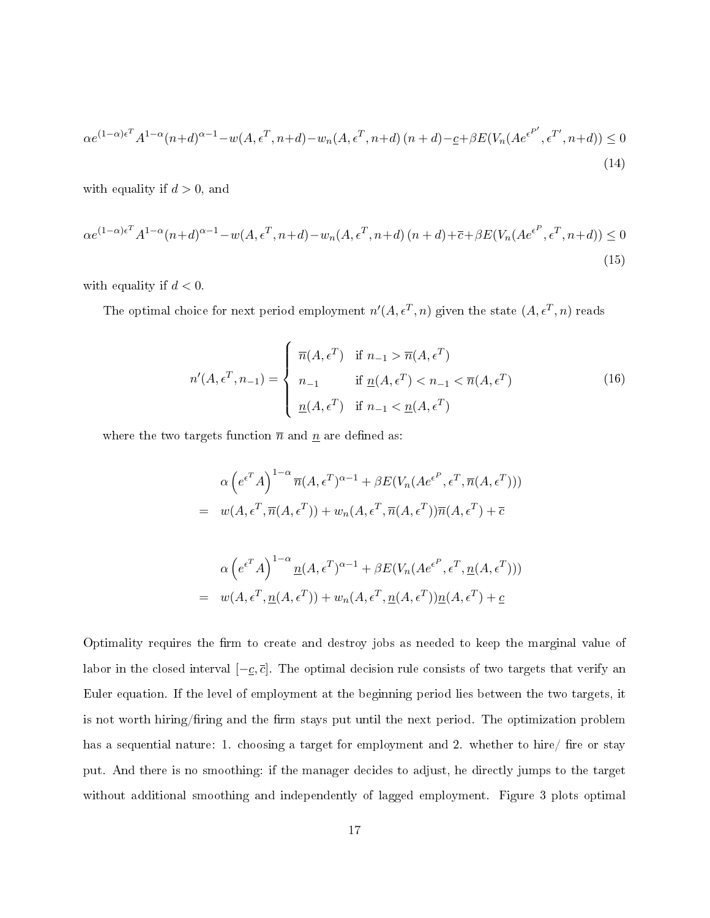$$
\alpha e^{(1-\alpha)\epsilon^T} A^{1-\alpha}(n+d)^{\alpha-1} - w(A, \epsilon^T, n+d) - w_n(A, \epsilon^T, n+d) (n+d) - \underline{c} + \beta E(V_n(Ae^{\epsilon^{P'}}, \epsilon^{T'}, n+d)) \le 0
$$
\n(14)

with equality if  $d > 0$ , and

$$
\alpha e^{(1-\alpha)\epsilon^T} A^{1-\alpha}(n+d)^{\alpha-1} - w(A, \epsilon^T, n+d) - w_n(A, \epsilon^T, n+d) (n+d) + \bar{c} + \beta E(V_n(Ae^{\epsilon^P}, \epsilon^T, n+d)) \le 0
$$
\n(15)

with equality if  $d < 0$ .

The optimal choice for next period employment  $n'(A, \epsilon^T, n)$  given the state  $(A, \epsilon^T, n)$  reads

$$
n'(A, \epsilon^T, n_{-1}) = \begin{cases} \overline{n}(A, \epsilon^T) & \text{if } n_{-1} > \overline{n}(A, \epsilon^T) \\ n_{-1} & \text{if } \underline{n}(A, \epsilon^T) < n_{-1} < \overline{n}(A, \epsilon^T) \\ \underline{n}(A, \epsilon^T) & \text{if } n_{-1} < \underline{n}(A, \epsilon^T) \end{cases}
$$
(16)

where the two targets function  $\overline{n}$  and  $\underline{n}$  are defined as:

$$
\alpha \left( e^{\epsilon^T} A \right)^{1-\alpha} \overline{n} (A, \epsilon^T)^{\alpha-1} + \beta E(V_n(Ae^{\epsilon^P}, \epsilon^T, \overline{n} (A, \epsilon^T)))
$$
  
=  $w(A, \epsilon^T, \overline{n} (A, \epsilon^T)) + w_n(A, \epsilon^T, \overline{n} (A, \epsilon^T)) \overline{n} (A, \epsilon^T) + \overline{c}$   
 $\alpha \left( e^{\epsilon^T} A \right)^{1-\alpha} n(A, \epsilon^T)^{\alpha-1} + \beta E(V(Ae^{\epsilon^P}, \epsilon^T, n(A, \epsilon^T)))$ 

$$
\alpha \left( e^{\epsilon^T} A \right)^{1-\alpha} \underline{n} (A, \epsilon^T)^{\alpha-1} + \beta E(V_n(Ae^{\epsilon^P}, \epsilon^T, \underline{n} (A, \epsilon^T)))
$$
  
= 
$$
w(A, \epsilon^T, \underline{n} (A, \epsilon^T)) + w_n(A, \epsilon^T, \underline{n} (A, \epsilon^T)) \underline{n} (A, \epsilon^T) + \underline{c}
$$

Optimality requires the firm to create and destroy jobs as needed to keep the marginal value of labor in the closed interval  $[-\underline{c}, \overline{c}]$ . The optimal decision rule consists of two targets that verify an Euler equation. If the level of employment at the beginning period lies between the two targets, it is not worth hiring/firing and the firm stays put until the next period. The optimization problem has a sequential nature: 1. choosing a target for employment and 2. whether to hire/ fire or stay put. And there is no smoothing: if the manager decides to adjust, he directly jumps to the target without additional smoothing and independently of lagged employment. Figure 3 plots optimal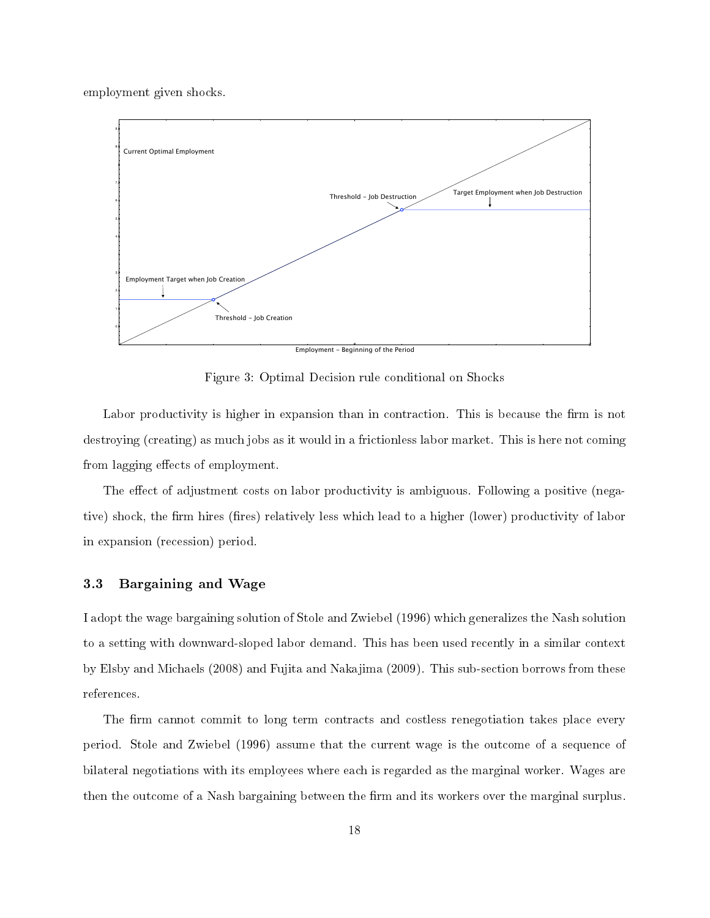employment given shocks.



Figure 3: Optimal Decision rule conditional on Shocks

Labor productivity is higher in expansion than in contraction. This is because the firm is not destroying (creating) as much jobs as it would in a frictionless labor market. This is here not coming from lagging effects of employment.

The effect of adjustment costs on labor productivity is ambiguous. Following a positive (negative) shock, the firm hires (fires) relatively less which lead to a higher (lower) productivity of labor in expansion (recession) period.

#### 3.3 Bargaining and Wage

I adopt the wage bargaining solution of Stole and Zwiebel (1996) which generalizes the Nash solution to a setting with downward-sloped labor demand. This has been used recently in a similar context by Elsby and Michaels (2008) and Fujita and Nakajima (2009). This sub-section borrows from these references.

The firm cannot commit to long term contracts and costless renegotiation takes place every period. Stole and Zwiebel (1996) assume that the current wage is the outcome of a sequence of bilateral negotiations with its employees where each is regarded as the marginal worker. Wages are then the outcome of a Nash bargaining between the firm and its workers over the marginal surplus.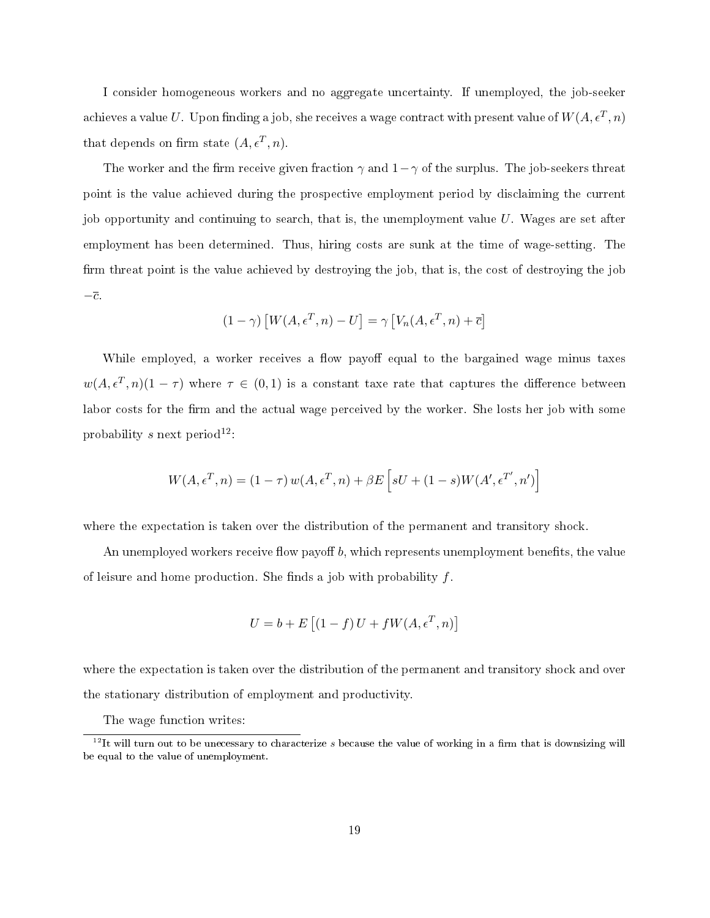I consider homogeneous workers and no aggregate uncertainty. If unemployed, the job-seeker achieves a value  $U$ . Upon finding a job, she receives a wage contract with present value of  $W(A,\epsilon^T,n)$ that depends on firm state  $(A, \epsilon^T, n)$ .

The worker and the firm receive given fraction  $\gamma$  and  $1-\gamma$  of the surplus. The job-seekers threat point is the value achieved during the prospective employment period by disclaiming the current job opportunity and continuing to search, that is, the unemployment value U. Wages are set after employment has been determined. Thus, hiring costs are sunk at the time of wage-setting. The firm threat point is the value achieved by destroying the job, that is, the cost of destroying the job  $-\overline{c}$ .

$$
(1 - \gamma) [W(A, \epsilon^T, n) - U] = \gamma [V_n(A, \epsilon^T, n) + \overline{c}]
$$

While employed, a worker receives a flow payoff equal to the bargained wage minus taxes  $w(A, \epsilon^T, n)(1-\tau)$  where  $\tau \in (0,1)$  is a constant taxe rate that captures the difference between labor costs for the firm and the actual wage perceived by the worker. She losts her job with some probability s next period<sup>12</sup>:

$$
W(A, \epsilon^T, n) = (1 - \tau) w(A, \epsilon^T, n) + \beta E \left[ sU + (1 - s)W(A', \epsilon^{T'}, n') \right]
$$

where the expectation is taken over the distribution of the permanent and transitory shock.

An unemployed workers receive flow payoff  $b$ , which represents unemployment benefits, the value of leisure and home production. She finds a job with probability  $f$ .

$$
U = b + E [(1 - f) U + fW(A, \epsilon^T, n)]
$$

where the expectation is taken over the distribution of the permanent and transitory shock and over the stationary distribution of employment and productivity.

The wage function writes:

 $12$ It will turn out to be unecessary to characterize s because the value of working in a firm that is downsizing will be equal to the value of unemployment.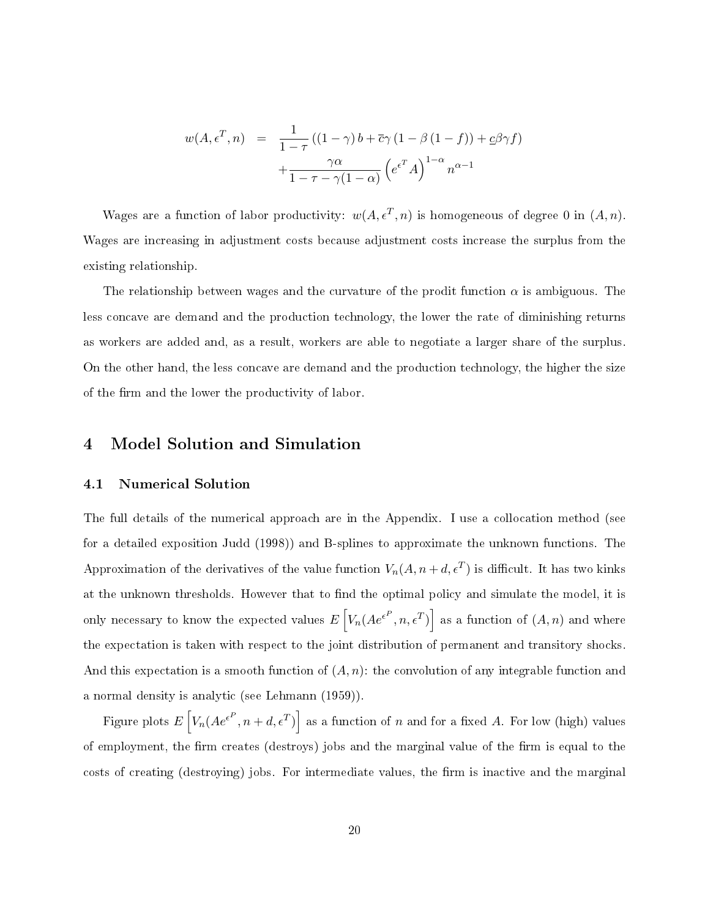$$
w(A, \epsilon^T, n) = \frac{1}{1 - \tau} ((1 - \gamma) b + \overline{c}\gamma (1 - \beta (1 - f)) + \underline{c}\beta \gamma f) + \frac{\gamma \alpha}{1 - \tau - \gamma (1 - \alpha)} \left(e^{\epsilon^T} A\right)^{1 - \alpha} n^{\alpha - 1}
$$

Wages are a function of labor productivity:  $w(A, \epsilon^T, n)$  is homogeneous of degree 0 in  $(A, n)$ . Wages are increasing in adjustment costs because adjustment costs increase the surplus from the existing relationship.

The relationship between wages and the curvature of the prodit function  $\alpha$  is ambiguous. The less concave are demand and the production technology, the lower the rate of diminishing returns as workers are added and, as a result, workers are able to negotiate a larger share of the surplus. On the other hand, the less concave are demand and the production technology, the higher the size of the firm and the lower the productivity of labor.

### 4 Model Solution and Simulation

#### 4.1 Numerical Solution

The full details of the numerical approach are in the Appendix. I use a collocation method (see for a detailed exposition Judd (1998)) and B-splines to approximate the unknown functions. The Approximation of the derivatives of the value function  $V_n(A, n+d, \epsilon^T)$  is difficult. It has two kinks at the unknown thresholds. However that to find the optimal policy and simulate the model, it is only necessary to know the expected values  $E\left[V_n(Ae^{\epsilon^P},n,\epsilon^T)\right]$  as a function of  $(A,n)$  and where the expectation is taken with respect to the joint distribution of permanent and transitory shocks. And this expectation is a smooth function of  $(A, n)$ : the convolution of any integrable function and a normal density is analytic (see Lehmann (1959)).

Figure plots  $E\left[V_n(Ae^{\epsilon^P},n+d,\epsilon^T)\right]$  as a function of  $n$  and for a fixed  $A$ . For low (high) values of employment, the firm creates (destroys) jobs and the marginal value of the firm is equal to the costs of creating (destroying) jobs. For intermediate values, the firm is inactive and the marginal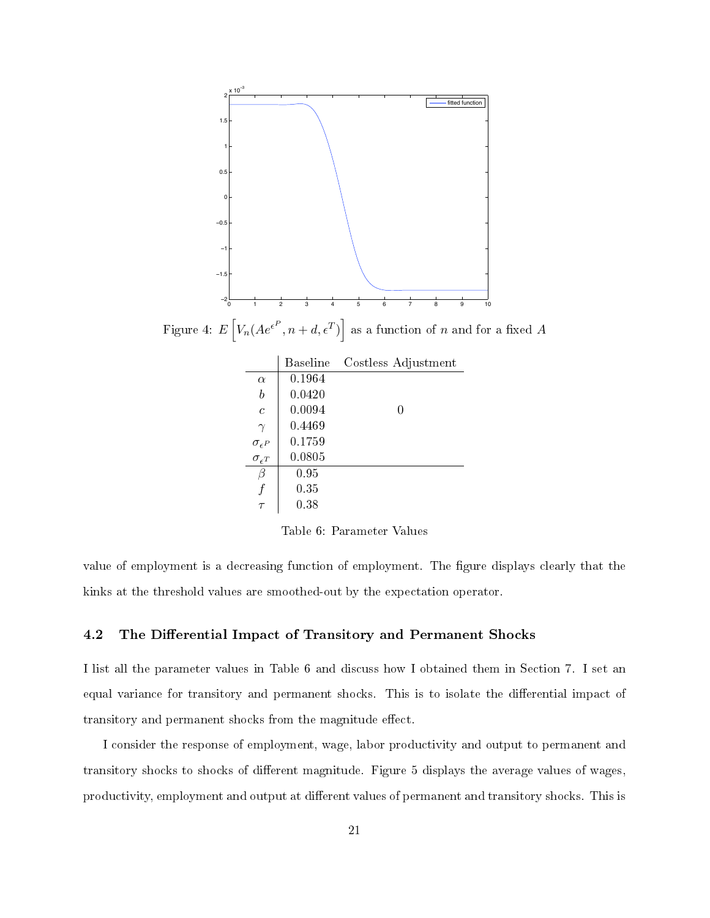

Figure 4:  $E\left[V_n(Ae^{\epsilon^P},n+d,\epsilon^T)\right]$  as a function of  $n$  and for a fixed  $A$ 

|                                  | Baseline | Costless Adjustment |
|----------------------------------|----------|---------------------|
| $\alpha$                         | 0.1964   |                     |
| b                                | 0.0420   |                     |
| $\epsilon$                       | 0.0094   | 0                   |
| $\gamma$                         | 0.4469   |                     |
| $\sigma_{\epsilon^P}$            | 0.1759   |                     |
| $\sigma_{\epsilon}$ <sup>T</sup> | 0.0805   |                     |
| Β                                | 0.95     |                     |
| $\boldsymbol{f}$                 | 0.35     |                     |
| $\tau$                           | 0.38     |                     |

Table 6: Parameter Values

value of employment is a decreasing function of employment. The figure displays clearly that the kinks at the threshold values are smoothed-out by the expectation operator.

#### 4.2 The Differential Impact of Transitory and Permanent Shocks

I list all the parameter values in Table 6 and discuss how I obtained them in Section 7. I set an equal variance for transitory and permanent shocks. This is to isolate the differential impact of transitory and permanent shocks from the magnitude effect.

I consider the response of employment, wage, labor productivity and output to permanent and transitory shocks to shocks of different magnitude. Figure 5 displays the average values of wages, productivity, employment and output at different values of permanent and transitory shocks. This is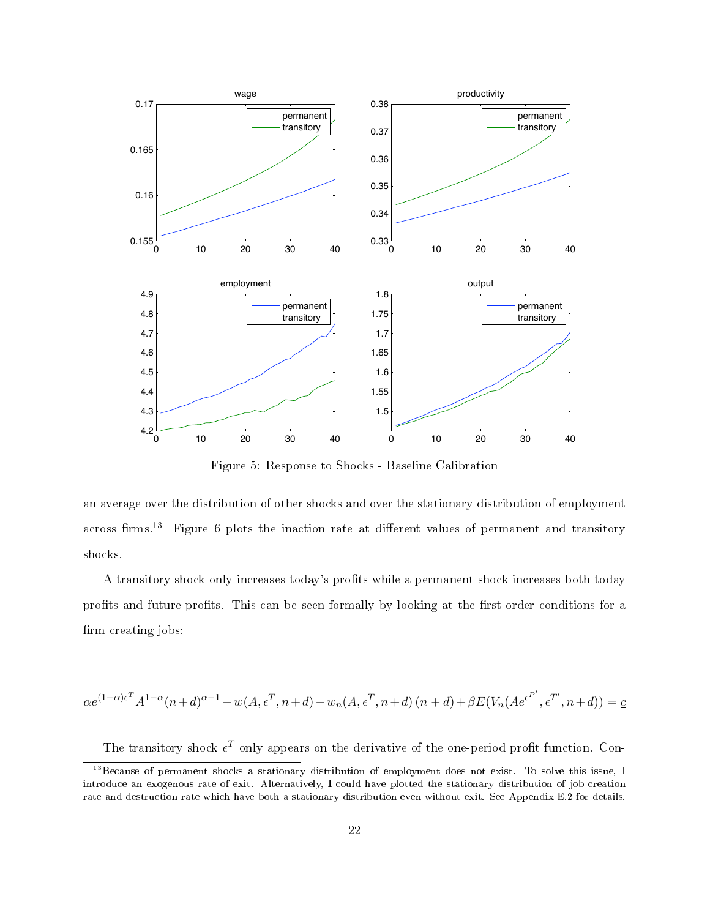

Figure 5: Response to Shocks - Baseline Calibration

an average over the distribution of other shocks and over the stationary distribution of employment across firms.<sup>13</sup> Figure 6 plots the inaction rate at different values of permanent and transitory shocks.

A transitory shock only increases today's profits while a permanent shock increases both today profits and future profits. This can be seen formally by looking at the first-order conditions for a firm creating jobs:

$$
\alpha e^{(1-\alpha)\epsilon^T} A^{1-\alpha}(n+d)^{\alpha-1} - w(A, \epsilon^T, n+d) - w_n(A, \epsilon^T, n+d) (n+d) + \beta E(V_n(Ae^{\epsilon^{P'}}, \epsilon^{T'}, n+d)) = \underline{c}
$$

The transitory shock  $\epsilon^T$  only appears on the derivative of the one-period profit function. Con-

<sup>13</sup>Because of permanent shocks a stationary distribution of employment does not exist. To solve this issue, I introduce an exogenous rate of exit. Alternatively, I could have plotted the stationary distribution of job creation rate and destruction rate which have both a stationary distribution even without exit. See Appendix E.2 for details.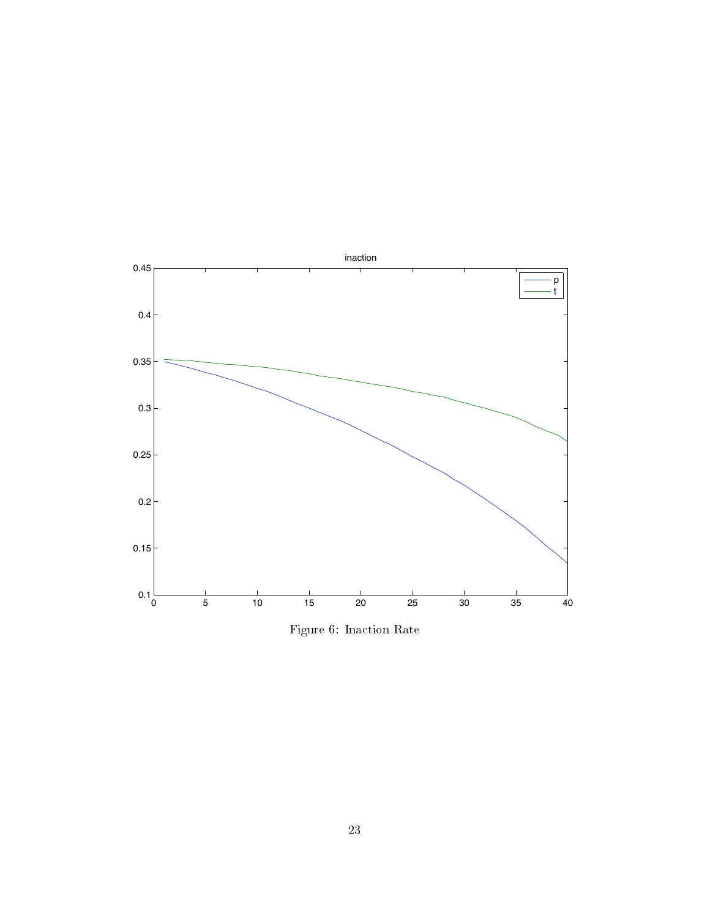

Figure 6: Inaction Rate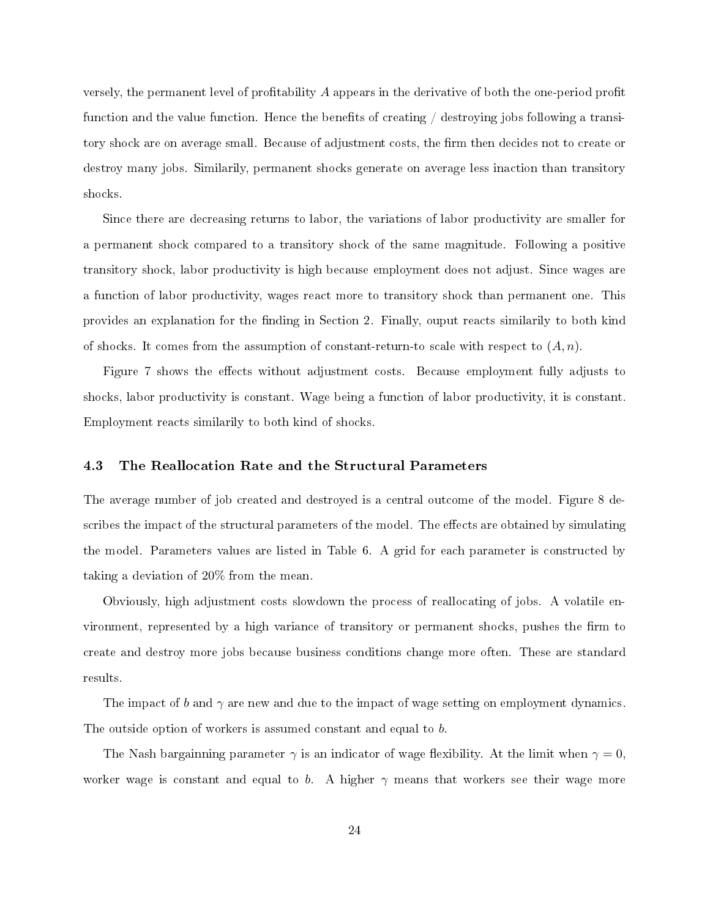versely, the permanent level of profitability  $A$  appears in the derivative of both the one-period profit function and the value function. Hence the benefits of creating  $\frac{1}{1}$  destroying jobs following a transitory shock are on average small. Because of adjustment costs, the firm then decides not to create or destroy many jobs. Similarily, permanent shocks generate on average less inaction than transitory shocks.

Since there are decreasing returns to labor, the variations of labor productivity are smaller for a permanent shock compared to a transitory shock of the same magnitude. Following a positive transitory shock, labor productivity is high because employment does not adjust. Since wages are a function of labor productivity, wages react more to transitory shock than permanent one. This provides an explanation for the finding in Section 2. Finally, ouput reacts similarily to both kind of shocks. It comes from the assumption of constant-return-to scale with respect to  $(A, n)$ .

Figure 7 shows the effects without adjustment costs. Because employment fully adjusts to shocks, labor productivity is constant. Wage being a function of labor productivity, it is constant. Employment reacts similarily to both kind of shocks.

#### 4.3 The Reallocation Rate and the Structural Parameters

The average number of job created and destroyed is a central outcome of the model. Figure 8 describes the impact of the structural parameters of the model. The effects are obtained by simulating the model. Parameters values are listed in Table 6. A grid for each parameter is constructed by taking a deviation of 20% from the mean.

Obviously, high adjustment costs slowdown the process of reallocating of jobs. A volatile environment, represented by a high variance of transitory or permanent shocks, pushes the firm to create and destroy more jobs because business conditions change more often. These are standard results.

The impact of b and  $\gamma$  are new and due to the impact of wage setting on employment dynamics. The outside option of workers is assumed constant and equal to b.

The Nash bargainning parameter  $\gamma$  is an indicator of wage flexibility. At the limit when  $\gamma = 0$ , worker wage is constant and equal to b. A higher  $\gamma$  means that workers see their wage more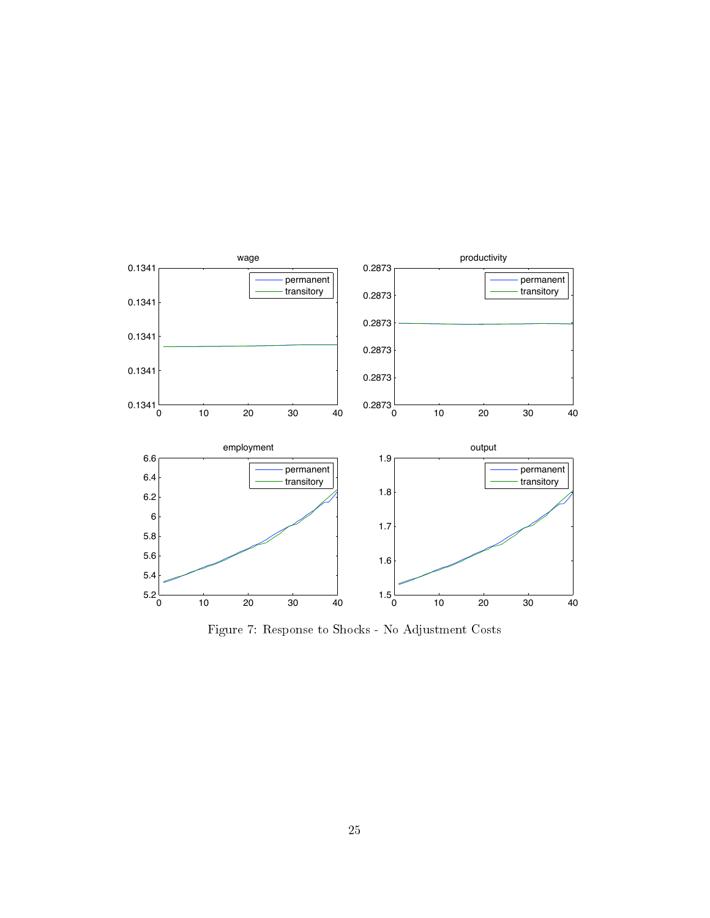

Figure 7: Response to Shocks - No Adjustment Costs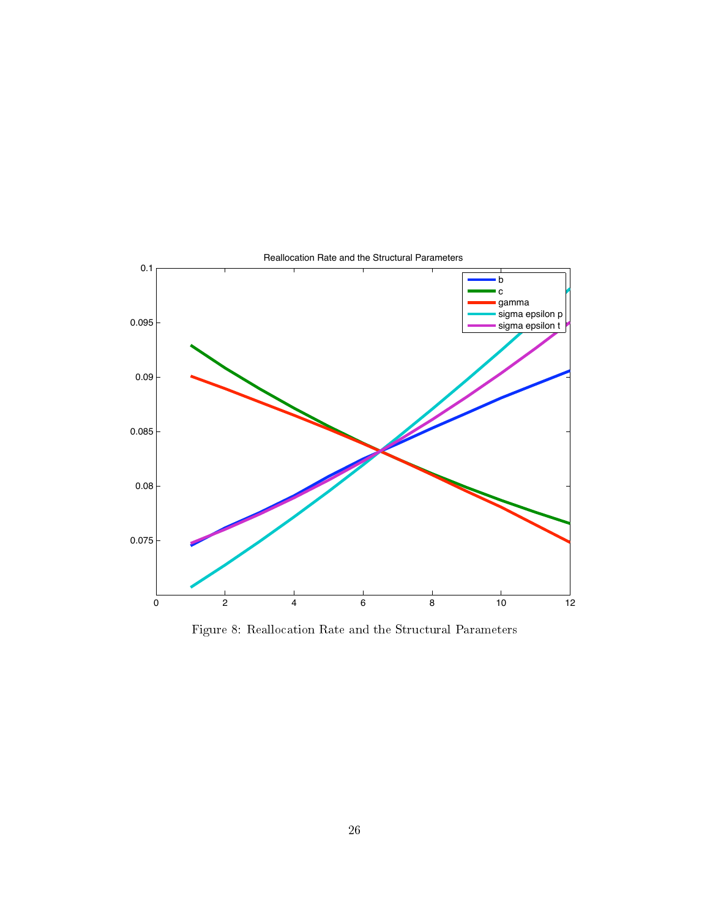

Figure 8: Reallocation Rate and the Structural Parameters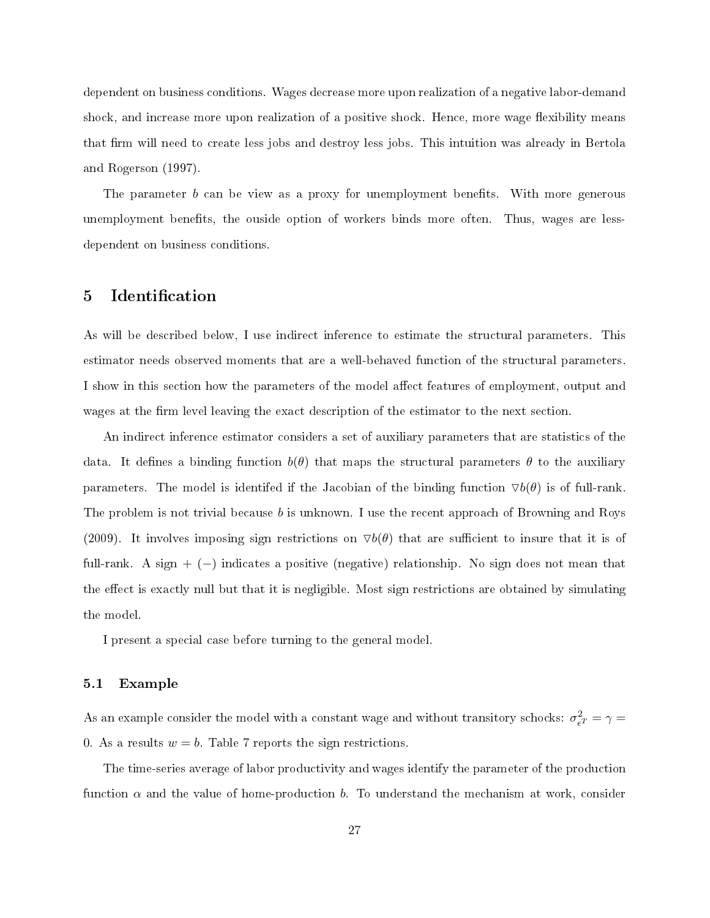dependent on business conditions. Wages decrease more upon realization of a negative labor-demand shock, and increase more upon realization of a positive shock. Hence, more wage flexibility means that firm will need to create less jobs and destroy less jobs. This intuition was already in Bertola and Rogerson (1997).

The parameter b can be view as a proxy for unemployment benefits. With more generous unemployment benefits, the ouside option of workers binds more often. Thus, wages are lessdependent on business conditions.

### 5 Identification

As will be described below, I use indirect inference to estimate the structural parameters. This estimator needs observed moments that are a well-behaved function of the structural parameters. I show in this section how the parameters of the model affect features of employment, output and wages at the firm level leaving the exact description of the estimator to the next section.

An indirect inference estimator considers a set of auxiliary parameters that are statistics of the data. It defines a binding function  $b(\theta)$  that maps the structural parameters  $\theta$  to the auxiliary parameters. The model is identifed if the Jacobian of the binding function  $\nabla b(\theta)$  is of full-rank. The problem is not trivial because b is unknown. I use the recent approach of Browning and Roys (2009). It involves imposing sign restrictions on  $\nabla b(\theta)$  that are sufficient to insure that it is of full-rank. A sign +  $(-)$  indicates a positive (negative) relationship. No sign does not mean that the effect is exactly null but that it is negligible. Most sign restrictions are obtained by simulating the model.

I present a special case before turning to the general model.

#### 5.1 Example

As an example consider the model with a constant wage and without transitory schocks:  $\sigma_z^2$  $\frac{2}{\epsilon^T} = \gamma =$ 0. As a results  $w = b$ . Table 7 reports the sign restrictions.

The time-series average of labor productivity and wages identify the parameter of the production function  $\alpha$  and the value of home-production b. To understand the mechanism at work, consider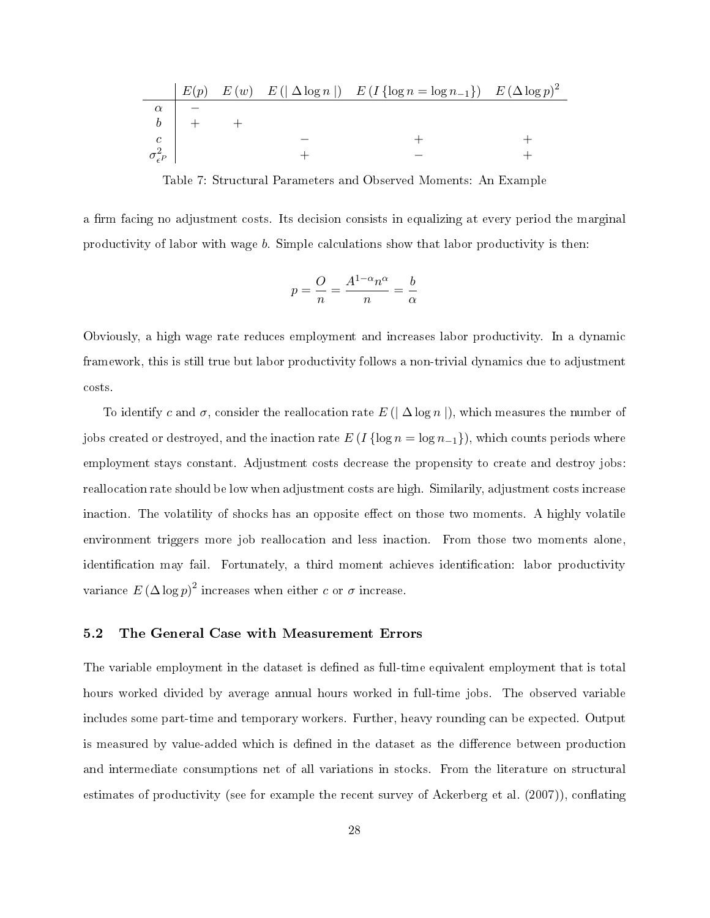| $E(p)$                  | $E(w)$ | $E( \Delta \log n )$ | $E(I\{\log n = \log n_{-1}\})$ | $E(\Delta \log p)^2$ |
|-------------------------|--------|----------------------|--------------------------------|----------------------|
| $\alpha$                | -      |                      |                                |                      |
| $b$                     | +      | +                    |                                |                      |
| $c$                     | -      | +                    | +                              |                      |
| $\sigma_{\epsilon^P}^2$ | +      | -                    | +                              |                      |

Table 7: Structural Parameters and Observed Moments: An Example

a firm facing no adjustment costs. Its decision consists in equalizing at every period the marginal productivity of labor with wage b. Simple calculations show that labor productivity is then:

$$
p = \frac{O}{n} = \frac{A^{1-\alpha}n^{\alpha}}{n} = \frac{b}{\alpha}
$$

Obviously, a high wage rate reduces employment and increases labor productivity. In a dynamic framework, this is still true but labor productivity follows a non-trivial dynamics due to adjustment costs.

To identify c and  $\sigma$ , consider the reallocation rate  $E(|\Delta \log n|)$ , which measures the number of jobs created or destroyed, and the inaction rate  $E(I \{\log n = \log n_{-1}\})$ , which counts periods where employment stays constant. Adjustment costs decrease the propensity to create and destroy jobs: reallocation rate should be low when adjustment costs are high. Similarily, adjustment costs increase inaction. The volatility of shocks has an opposite effect on those two moments. A highly volatile environment triggers more job reallocation and less inaction. From those two moments alone, identification may fail. Fortunately, a third moment achieves identification: labor productivity variance  $E\left(\Delta\log p\right)^2$  increases when either c or  $\sigma$  increase.

#### 5.2 The General Case with Measurement Errors

The variable employment in the dataset is defined as full-time equivalent employment that is total hours worked divided by average annual hours worked in full-time jobs. The observed variable includes some part-time and temporary workers. Further, heavy rounding can be expected. Output is measured by value-added which is defined in the dataset as the difference between production and intermediate consumptions net of all variations in stocks. From the literature on structural estimates of productivity (see for example the recent survey of Ackerberg et al.  $(2007)$ ), conflating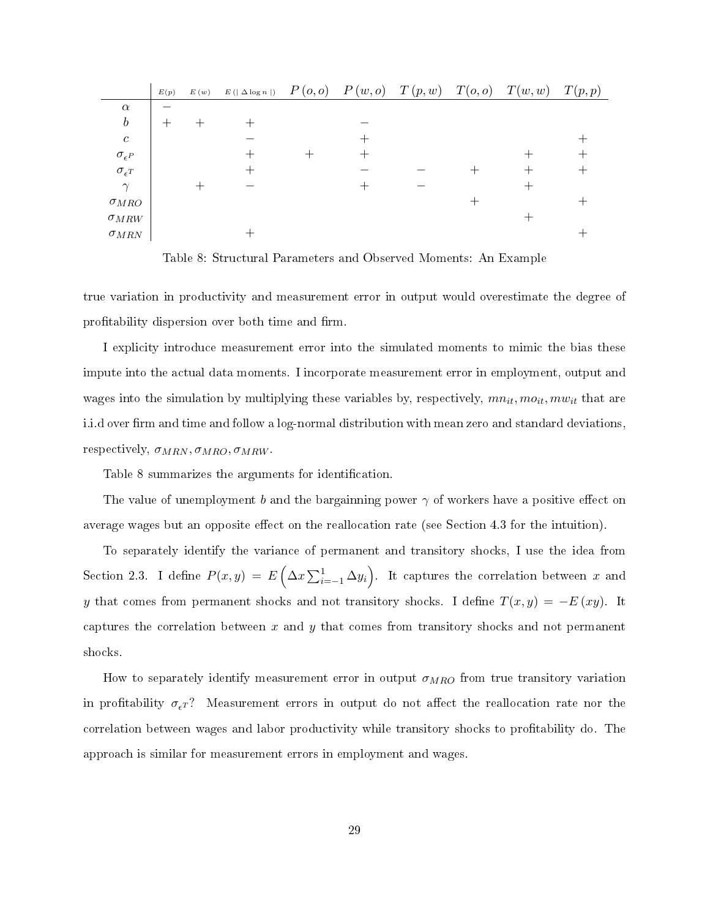|                       | E(p) | E(w) | $E\left(\left \right. \Delta \log n\right.\left \right)$ | $P(o, o)$ $P(w, o)$ $T(p, w)$ | T(o,o) | T(w, w) | T(p,p) |
|-----------------------|------|------|----------------------------------------------------------|-------------------------------|--------|---------|--------|
| $\alpha$              |      |      |                                                          |                               |        |         |        |
| $\boldsymbol{b}$      |      |      |                                                          |                               |        |         |        |
| $\boldsymbol{c}$      |      |      |                                                          |                               |        |         |        |
| $\sigma_{\epsilon^P}$ |      |      |                                                          |                               |        |         |        |
| $\sigma_{\epsilon^T}$ |      |      |                                                          |                               |        |         |        |
| $\gamma$              |      |      |                                                          |                               |        |         |        |
| $\sigma_{MRO}$        |      |      |                                                          |                               |        |         |        |
| $\sigma_{MRW}$        |      |      |                                                          |                               |        |         |        |
| $\sigma_{MRN}$        |      |      |                                                          |                               |        |         |        |

Table 8: Structural Parameters and Observed Moments: An Example

true variation in productivity and measurement error in output would overestimate the degree of profitability dispersion over both time and firm.

I explicity introduce measurement error into the simulated moments to mimic the bias these impute into the actual data moments. I incorporate measurement error in employment, output and wages into the simulation by multiplying these variables by, respectively,  $mn_{it}, m_{it}, mw_{it}$  that are i.i.d over firm and time and follow a log-normal distribution with mean zero and standard deviations. respectively,  $\sigma_{MRN}, \sigma_{MRO}, \sigma_{MRW}$ .

Table 8 summarizes the arguments for identification.

The value of unemployment b and the bargainning power  $\gamma$  of workers have a positive effect on average wages but an opposite effect on the reallocation rate (see Section 4.3 for the intuition).

To separately identify the variance of permanent and transitory shocks, I use the idea from Section 2.3. I define  $P(x,y) = E\left(\Delta x \sum_{i=-1}^{1} \Delta y_i\right)$ . It captures the correlation between x and y that comes from permanent shocks and not transitory shocks. I define  $T(x, y) = -E(xy)$ . It captures the correlation between x and y that comes from transitory shocks and not permanent shocks.

How to separately identify measurement error in output  $\sigma_{MRO}$  from true transitory variation in profitability  $\sigma_{\epsilon}r$ ? Measurement errors in output do not affect the reallocation rate nor the correlation between wages and labor productivity while transitory shocks to profitability do. The approach is similar for measurement errors in employment and wages.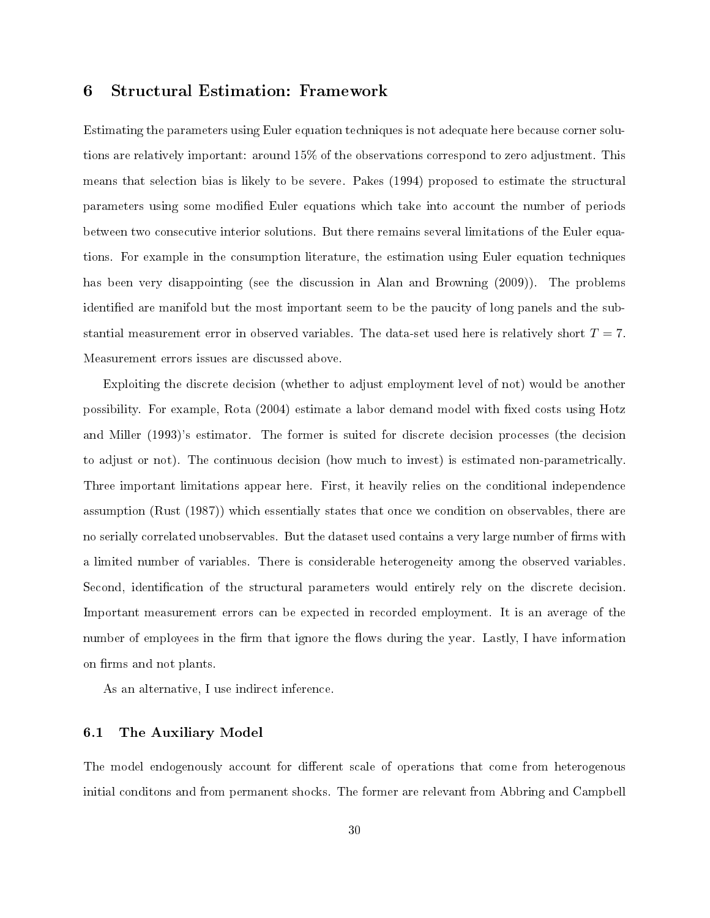## 6 Structural Estimation: Framework

Estimating the parameters using Euler equation techniques is not adequate here because corner solutions are relatively important: around 15% of the observations correspond to zero adjustment. This means that selection bias is likely to be severe. Pakes (1994) proposed to estimate the structural parameters using some modied Euler equations which take into account the number of periods between two consecutive interior solutions. But there remains several limitations of the Euler equations. For example in the consumption literature, the estimation using Euler equation techniques has been very disappointing (see the discussion in Alan and Browning (2009)). The problems identified are manifold but the most important seem to be the paucity of long panels and the substantial measurement error in observed variables. The data-set used here is relatively short  $T = 7$ . Measurement errors issues are discussed above.

Exploiting the discrete decision (whether to adjust employment level of not) would be another possibility. For example, Rota (2004) estimate a labor demand model with fixed costs using Hotz and Miller (1993)'s estimator. The former is suited for discrete decision processes (the decision to adjust or not). The continuous decision (how much to invest) is estimated non-parametrically. Three important limitations appear here. First, it heavily relies on the conditional independence assumption (Rust (1987)) which essentially states that once we condition on observables, there are no serially correlated unobservables. But the dataset used contains a very large number of firms with a limited number of variables. There is considerable heterogeneity among the observed variables. Second, identification of the structural parameters would entirely rely on the discrete decision. Important measurement errors can be expected in recorded employment. It is an average of the number of employees in the firm that ignore the flows during the year. Lastly, I have information on firms and not plants.

As an alternative, I use indirect inference.

#### 6.1 The Auxiliary Model

The model endogenously account for different scale of operations that come from heterogenous initial conditons and from permanent shocks. The former are relevant from Abbring and Campbell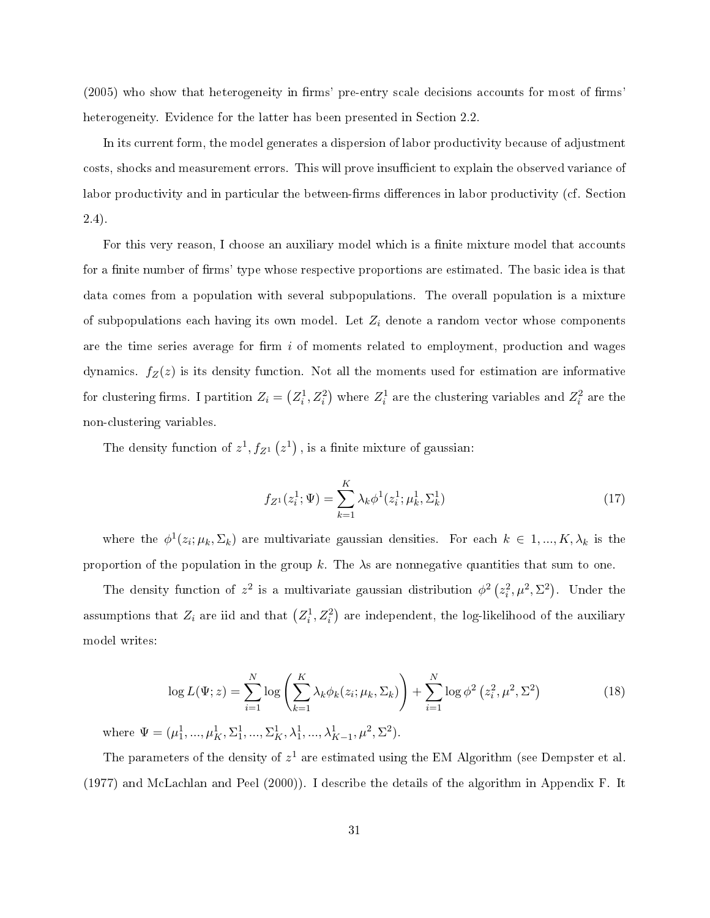$(2005)$  who show that heterogeneity in firms' pre-entry scale decisions accounts for most of firms heterogeneity. Evidence for the latter has been presented in Section 2.2.

In its current form, the model generates a dispersion of labor productivity because of adjustment costs, shocks and measurement errors. This will prove insufficient to explain the observed variance of labor productivity and in particular the between-firms differences in labor productivity (cf. Section 2.4).

For this very reason, I choose an auxiliary model which is a finite mixture model that accounts for a finite number of firms' type whose respective proportions are estimated. The basic idea is that data comes from a population with several subpopulations. The overall population is a mixture of subpopulations each having its own model. Let  $Z_i$  denote a random vector whose components are the time series average for firm  $i$  of moments related to employment, production and wages dynamics.  $f_Z(z)$  is its density function. Not all the moments used for estimation are informative for clustering firms. I partition  $Z_i = (Z_i^1, Z_i^2)$  where  $Z_i^1$  are the clustering variables and  $Z_i^2$  are the non-clustering variables.

The density function of  $z^1, f_{Z^1}(z^1)$  , is a finite mixture of gaussian:

$$
f_{Z^1}(z_i^1; \Psi) = \sum_{k=1}^K \lambda_k \phi^1(z_i^1; \mu_k^1, \Sigma_k^1)
$$
 (17)

where the  $\phi^1(z_i; \mu_k, \Sigma_k)$  are multivariate gaussian densities. For each  $k \in 1, ..., K, \lambda_k$  is the proportion of the population in the group k. The  $\lambda$ s are nonnegative quantities that sum to one.

The density function of  $z^2$  is a multivariate gaussian distribution  $\phi^2(z_i^2, \mu^2, \Sigma^2)$ . Under the assumptions that  $Z_i$  are iid and that  $\left( Z_i^1, Z_i^2 \right)$  are independent, the log-likelihood of the auxiliary model writes:

$$
\log L(\Psi; z) = \sum_{i=1}^{N} \log \left( \sum_{k=1}^{K} \lambda_k \phi_k(z_i; \mu_k, \Sigma_k) \right) + \sum_{i=1}^{N} \log \phi^2 \left( z_i^2, \mu^2, \Sigma^2 \right)
$$
(18)

where  $\Psi = (\mu_1^1, ..., \mu_K^1, \Sigma_1^1, ..., \Sigma_K^1, \lambda_1^1, ..., \lambda_{K-1}^1, \mu^2, \Sigma^2)$ .

The parameters of the density of  $z^1$  are estimated using the EM Algorithm (see Dempster et al. (1977) and McLachlan and Peel (2000)). I describe the details of the algorithm in Appendix F. It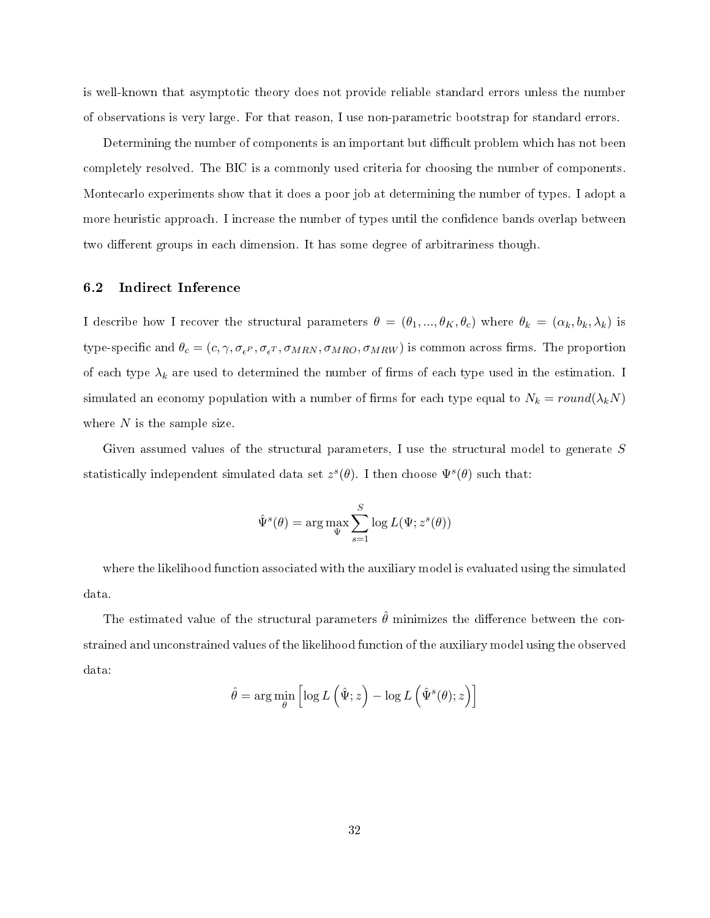is well-known that asymptotic theory does not provide reliable standard errors unless the number of observations is very large. For that reason, I use non-parametric bootstrap for standard errors.

Determining the number of components is an important but difficult problem which has not been completely resolved. The BIC is a commonly used criteria for choosing the number of components. Montecarlo experiments show that it does a poor job at determining the number of types. I adopt a more heuristic approach. I increase the number of types until the confidence bands overlap between two different groups in each dimension. It has some degree of arbitrariness though.

#### 6.2 Indirect Inference

I describe how I recover the structural parameters  $\theta = (\theta_1, ..., \theta_K, \theta_c)$  where  $\theta_k = (\alpha_k, b_k, \lambda_k)$  is type-specific and  $\theta_c = (c, \gamma, \sigma_{\epsilon^P}, \sigma_{\epsilon^T}, \sigma_{MRN}, \sigma_{MRO}, \sigma_{MRW})$  is common across firms. The proportion of each type  $\lambda_k$  are used to determined the number of firms of each type used in the estimation. I simulated an economy population with a number of firms for each type equal to  $N_k = round(\lambda_k N)$ where  $N$  is the sample size.

Given assumed values of the structural parameters, I use the structural model to generate  $S$ statistically independent simulated data set  $z^s(\theta)$ . I then choose  $\Psi^s(\theta)$  such that:

$$
\hat{\Psi}^s(\theta) = \arg\max_{\Psi} \sum_{s=1}^S \log L(\Psi; z^s(\theta))
$$

where the likelihood function associated with the auxiliary model is evaluated using the simulated data.

The estimated value of the structural parameters  $\hat{\theta}$  minimizes the difference between the constrained and unconstrained values of the likelihood function of the auxiliary model using the observed data:

$$
\hat{\theta} = \arg\min_{\theta} \left[ \log L\left(\hat{\Psi}; z\right) - \log L\left(\hat{\Psi}^s(\theta); z\right) \right]
$$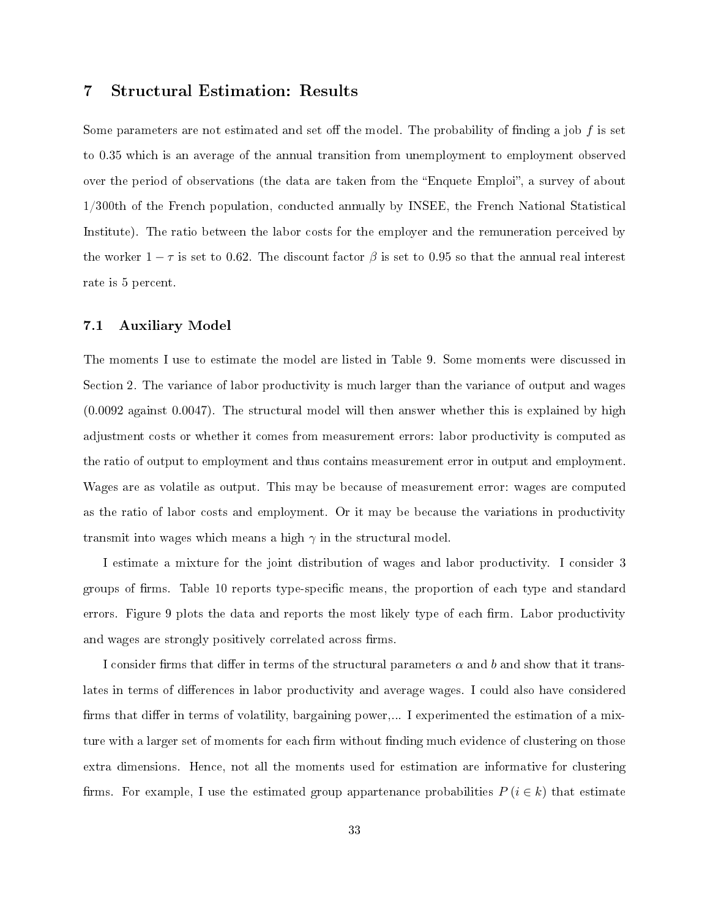## 7 Structural Estimation: Results

Some parameters are not estimated and set off the model. The probability of finding a job  $f$  is set to 0.35 which is an average of the annual transition from unemployment to employment observed over the period of observations (the data are taken from the "Enquete Emploi", a survey of about 1/300th of the French population, conducted annually by INSEE, the French National Statistical Institute). The ratio between the labor costs for the employer and the remuneration perceived by the worker  $1 - \tau$  is set to 0.62. The discount factor  $\beta$  is set to 0.95 so that the annual real interest rate is 5 percent.

#### 7.1 Auxiliary Model

The moments I use to estimate the model are listed in Table 9. Some moments were discussed in Section 2. The variance of labor productivity is much larger than the variance of output and wages (0.0092 against 0.0047). The structural model will then answer whether this is explained by high adjustment costs or whether it comes from measurement errors: labor productivity is computed as the ratio of output to employment and thus contains measurement error in output and employment. Wages are as volatile as output. This may be because of measurement error: wages are computed as the ratio of labor costs and employment. Or it may be because the variations in productivity transmit into wages which means a high  $\gamma$  in the structural model.

I estimate a mixture for the joint distribution of wages and labor productivity. I consider 3 groups of firms. Table 10 reports type-specific means, the proportion of each type and standard errors. Figure 9 plots the data and reports the most likely type of each firm. Labor productivity and wages are strongly positively correlated across firms.

I consider firms that differ in terms of the structural parameters  $\alpha$  and b and show that it translates in terms of differences in labor productivity and average wages. I could also have considered firms that differ in terms of volatility, bargaining power,... I experimented the estimation of a mixture with a larger set of moments for each firm without finding much evidence of clustering on those extra dimensions. Hence, not all the moments used for estimation are informative for clustering firms. For example, I use the estimated group appartenance probabilities  $P(i \in k)$  that estimate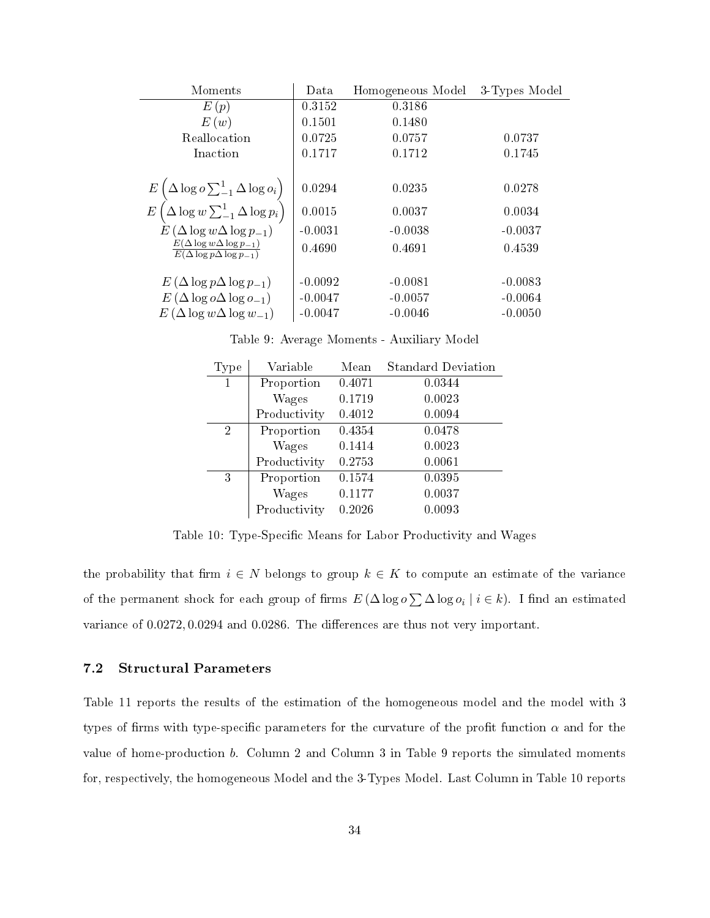| Moments                                                                                                                               | Data      | Homogeneous Model | 3-Types Model |
|---------------------------------------------------------------------------------------------------------------------------------------|-----------|-------------------|---------------|
| E(p)                                                                                                                                  | 0.3152    | 0.3186            |               |
| E(w)                                                                                                                                  | 0.1501    | 0.1480            |               |
| Reallocation                                                                                                                          | 0.0725    | 0.0757            | 0.0737        |
| Inaction                                                                                                                              | 0.1717    | 0.1712            | 0.1745        |
|                                                                                                                                       |           |                   |               |
| $\,E$                                                                                                                                 | 0.0294    | 0.0235            | 0.0278        |
| $\begin{pmatrix} \Delta\log o{\sum_{-1}^1\Delta\log o_i} \ \Delta\log w{\sum_{-1}^1\Delta\log p_i} \end{pmatrix}$<br>$\boldsymbol{E}$ | 0.0015    | 0.0037            | 0.0034        |
| $E(\Delta \log w \Delta \log p_{-1})$                                                                                                 | $-0.0031$ | $-0.0038$         | $-0.0037$     |
| $E(\Delta \log w \Delta \log p_{-1})$<br>$E(\Delta \log p \Delta \log p_{-1})$                                                        | 0.4690    | 0.4691            | 0.4539        |
|                                                                                                                                       |           |                   |               |
| $E(\Delta \log p \Delta \log p_{-1})$                                                                                                 | $-0.0092$ | $-0.0081$         | $-0.0083$     |
| $E(\Delta \log o \Delta \log o_{-1})$                                                                                                 | $-0.0047$ | $-0.0057$         | $-0.0064$     |
| $E(\Delta \log w \Delta \log w_{-1})$                                                                                                 | $-0.0047$ | $-0.0046$         | $-0.0050$     |

Table 9: Average Moments - Auxiliary Model

| Type | Variable     | Mean   | <b>Standard Deviation</b> |
|------|--------------|--------|---------------------------|
| 1    | Proportion   | 0.4071 | 0.0344                    |
|      | Wages        | 0.1719 | 0.0023                    |
|      | Productivity | 0.4012 | 0.0094                    |
| 2    | Proportion   | 0.4354 | 0.0478                    |
|      | Wages        | 0.1414 | 0.0023                    |
|      | Productivity | 0.2753 | 0.0061                    |
| 3    | Proportion   | 0.1574 | 0.0395                    |
|      | Wages        | 0.1177 | 0.0037                    |
|      | Productivity | 0.2026 | 0.0093                    |

Table 10: Type-Specific Means for Labor Productivity and Wages

the probability that firm  $i \in N$  belongs to group  $k \in K$  to compute an estimate of the variance of the permanent shock for each group of firms  $E(\Delta \log o \sum \Delta \log o_i \mid i \in k)$ . I find an estimated variance of 0.0272, 0.0294 and 0.0286. The differences are thus not very important.

### 7.2 Structural Parameters

Table 11 reports the results of the estimation of the homogeneous model and the model with 3 types of firms with type-specific parameters for the curvature of the profit function  $\alpha$  and for the value of home-production b. Column 2 and Column 3 in Table 9 reports the simulated moments for, respectively, the homogeneous Model and the 3-Types Model. Last Column in Table 10 reports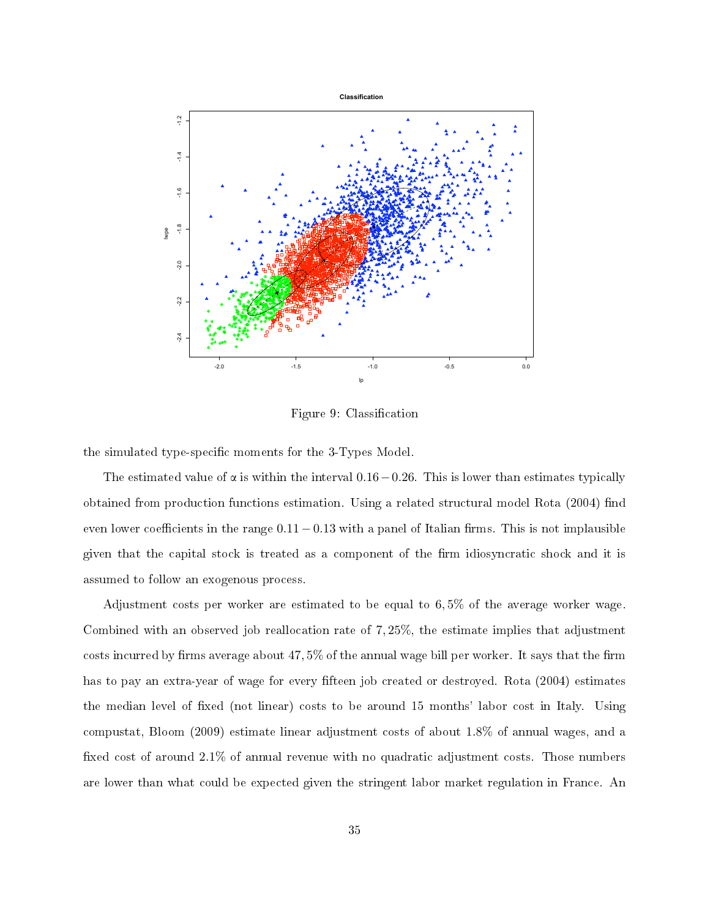

Figure 9: Classification

the simulated type-specific moments for the 3-Types Model.

The estimated value of  $\alpha$  is within the interval 0.16 – 0.26. This is lower than estimates typically obtained from production functions estimation. Using a related structural model Rota (2004) find even lower coefficients in the range  $0.11 - 0.13$  with a panel of Italian firms. This is not implausible given that the capital stock is treated as a component of the firm idiosyncratic shock and it is assumed to follow an exogenous process.

Adjustment costs per worker are estimated to be equal to 6, 5% of the average worker wage. Combined with an observed job reallocation rate of 7, 25%, the estimate implies that adjustment costs incurred by firms average about  $47,5\%$  of the annual wage bill per worker. It says that the firm has to pay an extra-year of wage for every fifteen job created or destroyed. Rota (2004) estimates the median level of fixed (not linear) costs to be around 15 months' labor cost in Italy. Using compustat, Bloom (2009) estimate linear adjustment costs of about 1.8% of annual wages, and a fixed cost of around 2.1% of annual revenue with no quadratic adjustment costs. Those numbers are lower than what could be expected given the stringent labor market regulation in France. An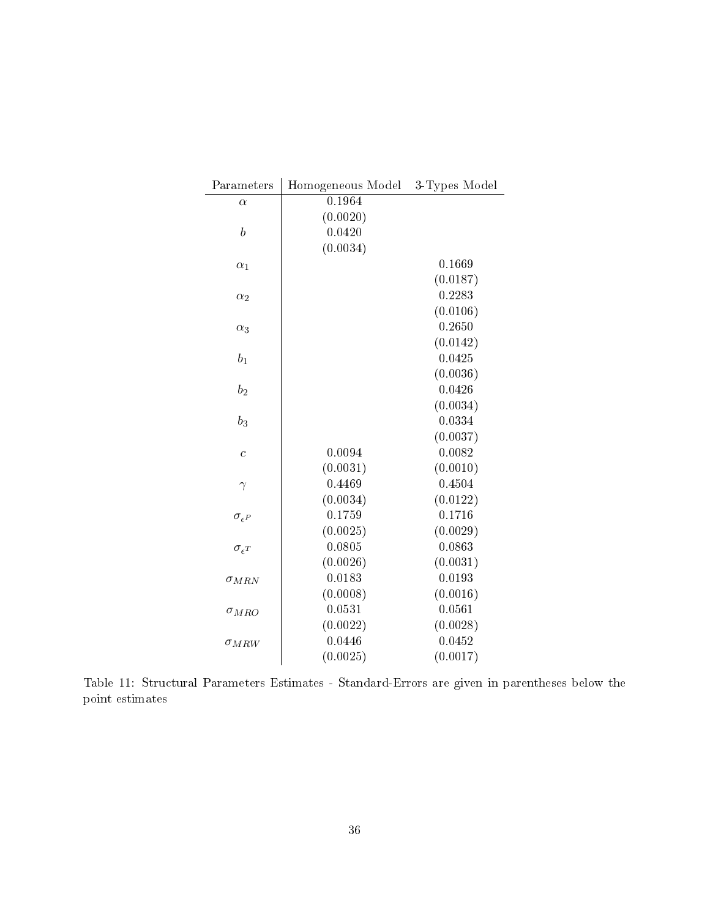| Parameters            | Homogeneous Model | 3-Types Model |
|-----------------------|-------------------|---------------|
| $\alpha$              | 0.1964            |               |
|                       | (0.0020)          |               |
| $\boldsymbol{b}$      | 0.0420            |               |
|                       | (0.0034)          |               |
| $\alpha_1$            |                   | 0.1669        |
|                       |                   | (0.0187)      |
| $\alpha_2$            |                   | 0.2283        |
|                       |                   | (0.0106)      |
| $\alpha_3$            |                   | 0.2650        |
|                       |                   | (0.0142)      |
| $b_1$                 |                   | 0.0425        |
|                       |                   | (0.0036)      |
| b <sub>2</sub>        |                   | 0.0426        |
|                       |                   | (0.0034)      |
| $b_3$                 |                   | 0.0334        |
|                       |                   | (0.0037)      |
| $\overline{c}$        | 0.0094            | 0.0082        |
|                       | (0.0031)          | (0.0010)      |
| $\gamma$              | 0.4469            | 0.4504        |
|                       | (0.0034)          | (0.0122)      |
| $\sigma_{\epsilon}P$  | 0.1759            | 0.1716        |
|                       | (0.0025)          | (0.0029)      |
| $\sigma_{\epsilon T}$ | 0.0805            | 0.0863        |
|                       | (0.0026)          | (0.0031)      |
| $\sigma_{MRN}$        | 0.0183            | 0.0193        |
|                       | (0.0008)          | (0.0016)      |
| $\sigma_{MRO}$        | 0.0531            | 0.0561        |
|                       | (0.0022)          | (0.0028)      |
| $\sigma_{MRW}$        | 0.0446            | 0.0452        |
|                       | (0.0025)          | (0.0017)      |

Table 11: Structural Parameters Estimates - Standard-Errors are given in parentheses below the point estimates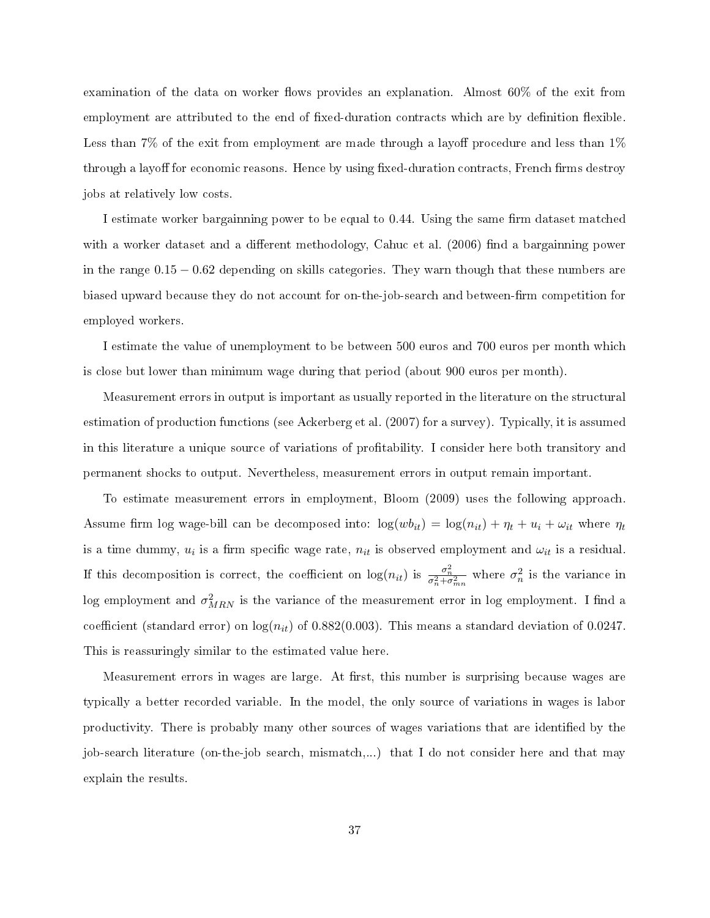examination of the data on worker flows provides an explanation. Almost 60% of the exit from employment are attributed to the end of fixed-duration contracts which are by definition flexible. Less than  $7\%$  of the exit from employment are made through a layoff procedure and less than  $1\%$ through a layoff for economic reasons. Hence by using fixed-duration contracts, French firms destroy jobs at relatively low costs.

I estimate worker bargainning power to be equal to 0.44. Using the same firm dataset matched with a worker dataset and a different methodology, Cahuc et al.  $(2006)$  find a bargainning power in the range 0.15 − 0.62 depending on skills categories. They warn though that these numbers are biased upward because they do not account for on-the-job-search and between-firm competition for employed workers.

I estimate the value of unemployment to be between 500 euros and 700 euros per month which is close but lower than minimum wage during that period (about 900 euros per month).

Measurement errors in output is important as usually reported in the literature on the structural estimation of production functions (see Ackerberg et al. (2007) for a survey). Typically, it is assumed in this literature a unique source of variations of profitability. I consider here both transitory and permanent shocks to output. Nevertheless, measurement errors in output remain important.

To estimate measurement errors in employment, Bloom (2009) uses the following approach. Assume firm log wage-bill can be decomposed into:  $log(w_{ti}) = log(n_{it}) + \eta_t + u_i + \omega_{it}$  where  $\eta_t$ is a time dummy,  $u_i$  is a firm specific wage rate,  $n_{it}$  is observed employment and  $\omega_{it}$  is a residual. If this decomposition is correct, the coefficient on  $log(n_{it})$  is  $\frac{\sigma_n^2}{\sigma_n^2 + \sigma_{mn}^2}$  where  $\sigma_n^2$  is the variance in log employment and  $\sigma_{MRN}^2$  is the variance of the measurement error in log employment. I find a coefficient (standard error) on  $log(n_{it})$  of 0.882(0.003). This means a standard deviation of 0.0247. This is reassuringly similar to the estimated value here.

Measurement errors in wages are large. At first, this number is surprising because wages are typically a better recorded variable. In the model, the only source of variations in wages is labor productivity. There is probably many other sources of wages variations that are identified by the job-search literature (on-the-job search, mismatch,...) that I do not consider here and that may explain the results.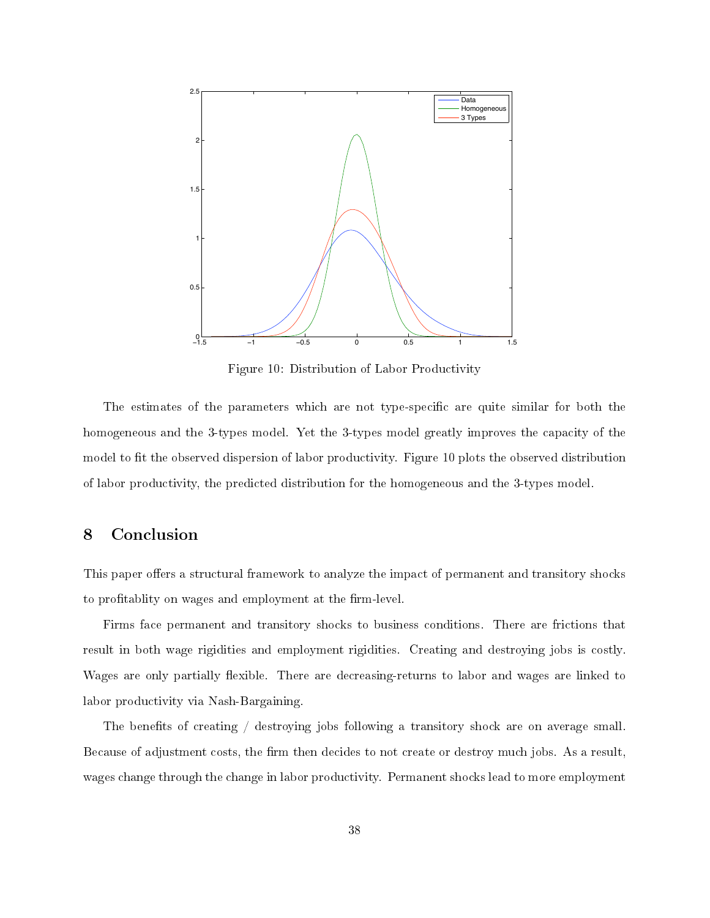

Figure 10: Distribution of Labor Productivity

The estimates of the parameters which are not type-specific are quite similar for both the homogeneous and the 3-types model. Yet the 3-types model greatly improves the capacity of the model to fit the observed dispersion of labor productivity. Figure 10 plots the observed distribution of labor productivity, the predicted distribution for the homogeneous and the 3-types model.

## 8 Conclusion

This paper offers a structural framework to analyze the impact of permanent and transitory shocks to profitablity on wages and employment at the firm-level.

Firms face permanent and transitory shocks to business conditions. There are frictions that result in both wage rigidities and employment rigidities. Creating and destroying jobs is costly. Wages are only partially flexible. There are decreasing-returns to labor and wages are linked to labor productivity via Nash-Bargaining.

The benefits of creating  $/$  destroying jobs following a transitory shock are on average small. Because of adjustment costs, the firm then decides to not create or destroy much jobs. As a result, wages change through the change in labor productivity. Permanent shocks lead to more employment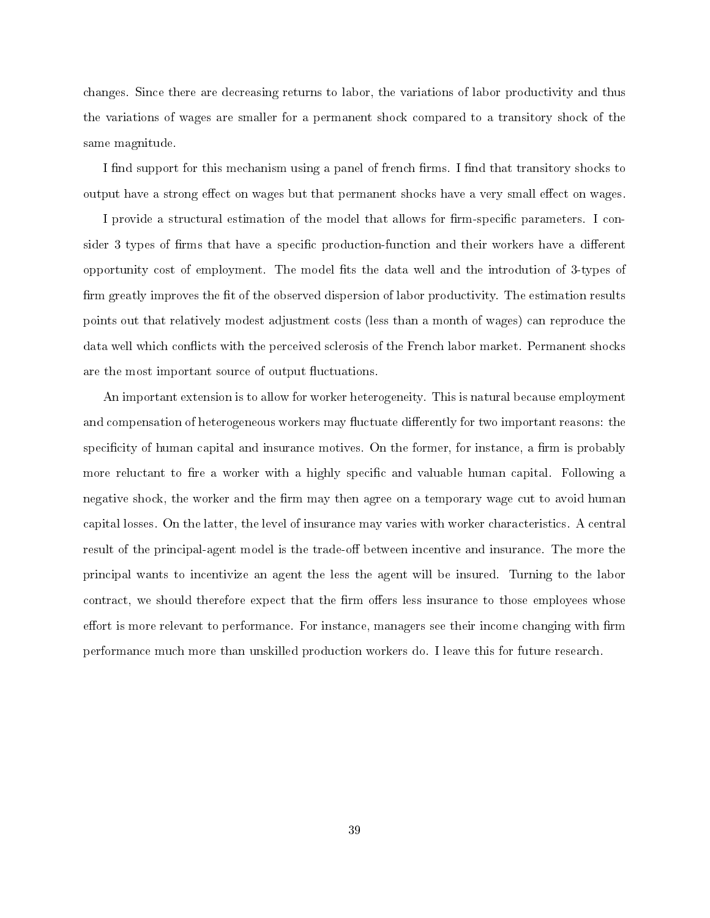changes. Since there are decreasing returns to labor, the variations of labor productivity and thus the variations of wages are smaller for a permanent shock compared to a transitory shock of the same magnitude.

I find support for this mechanism using a panel of french firms. I find that transitory shocks to output have a strong effect on wages but that permanent shocks have a very small effect on wages.

I provide a structural estimation of the model that allows for firm-specific parameters. I consider 3 types of firms that have a specific production-function and their workers have a different opportunity cost of employment. The model fits the data well and the introdution of 3-types of firm greatly improves the fit of the observed dispersion of labor productivity. The estimation results points out that relatively modest adjustment costs (less than a month of wages) can reproduce the data well which conflicts with the perceived sclerosis of the French labor market. Permanent shocks are the most important source of output fluctuations.

An important extension is to allow for worker heterogeneity. This is natural because employment and compensation of heterogeneous workers may fluctuate differently for two important reasons: the specificity of human capital and insurance motives. On the former, for instance, a firm is probably more reluctant to fire a worker with a highly specific and valuable human capital. Following a negative shock, the worker and the firm may then agree on a temporary wage cut to avoid human capital losses. On the latter, the level of insurance may varies with worker characteristics. A central result of the principal-agent model is the trade-off between incentive and insurance. The more the principal wants to incentivize an agent the less the agent will be insured. Turning to the labor contract, we should therefore expect that the firm offers less insurance to those employees whose effort is more relevant to performance. For instance, managers see their income changing with firm performance much more than unskilled production workers do. I leave this for future research.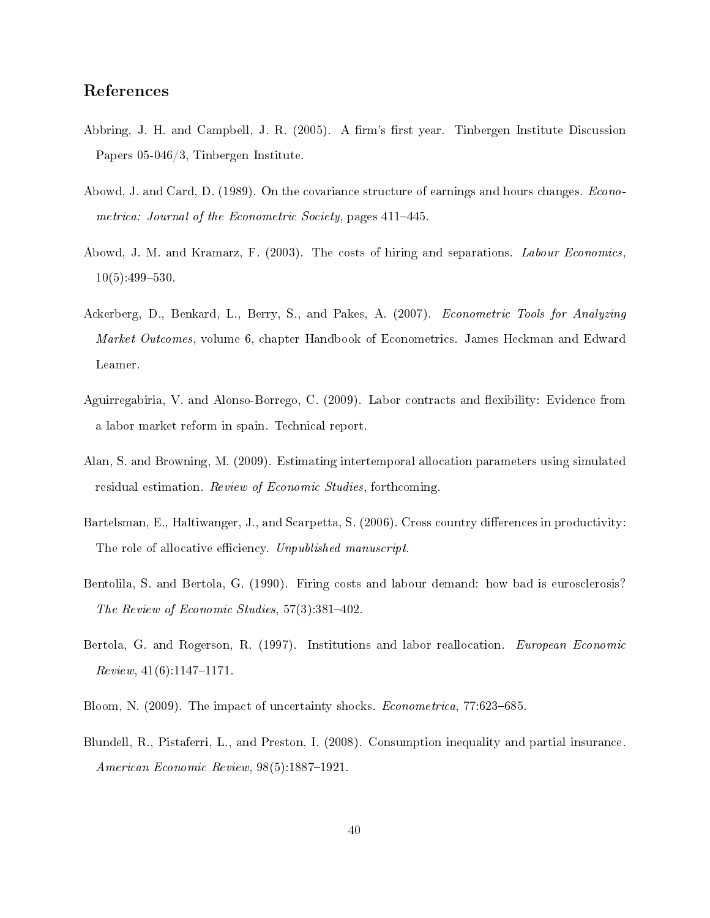## References

- Abbring, J. H. and Campbell, J. R. (2005). A firm's first year. Tinbergen Institute Discussion Papers 05-046/3, Tinbergen Institute.
- Abowd, J. and Card, D. (1989). On the covariance structure of earnings and hours changes. Econometrica: Journal of the Econometric Society, pages 411–445.
- Abowd, J. M. and Kramarz, F. (2003). The costs of hiring and separations. Labour Economics,  $10(5):499-530.$
- Ackerberg, D., Benkard, L., Berry, S., and Pakes, A. (2007). Econometric Tools for Analyzing Market Outcomes, volume 6, chapter Handbook of Econometrics. James Heckman and Edward Leamer.
- Aguirregabiria, V. and Alonso-Borrego, C. (2009). Labor contracts and flexibility: Evidence from a labor market reform in spain. Technical report.
- Alan, S. and Browning, M. (2009). Estimating intertemporal allocation parameters using simulated residual estimation. Review of Economic Studies, forthcoming.
- Bartelsman, E., Haltiwanger, J., and Scarpetta, S. (2006). Cross country differences in productivity: The role of allocative efficiency. Unpublished manuscript.
- Bentolila, S. and Bertola, G. (1990). Firing costs and labour demand: how bad is eurosclerosis? The Review of Economic Studies,  $57(3)$ :  $381-402$ .
- Bertola, G. and Rogerson, R. (1997). Institutions and labor reallocation. European Economic  $Review, 41(6): 1147-1171.$
- Bloom, N. (2009). The impact of uncertainty shocks. *Econometrica*, 77:623–685.
- Blundell, R., Pistaferri, L., and Preston, I. (2008). Consumption inequality and partial insurance. American Economic Review,  $98(5)$ : 1887-1921.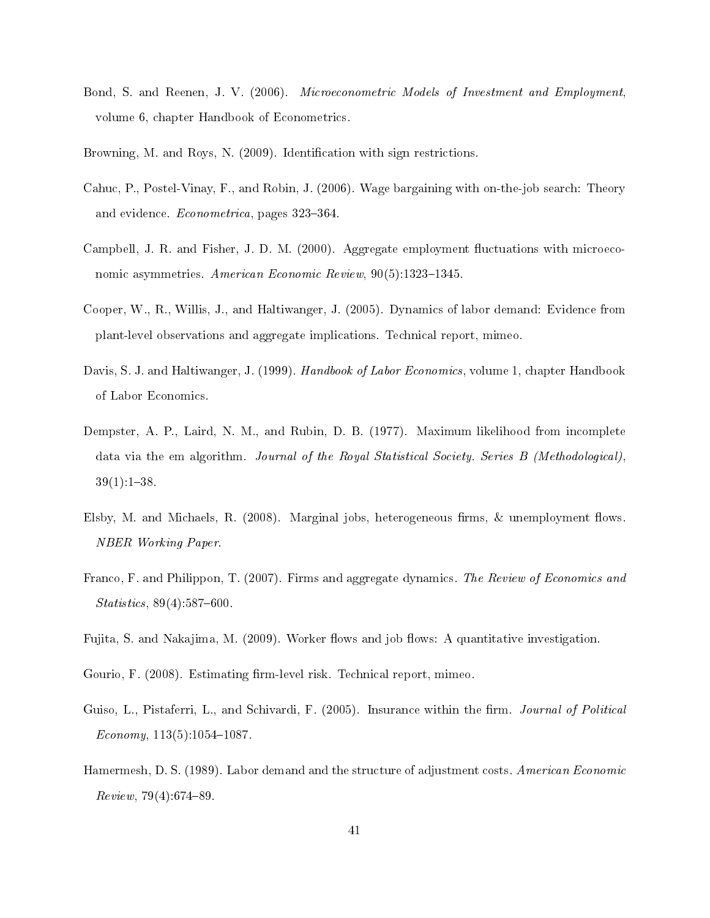- Bond, S. and Reenen, J. V. (2006). Microeconometric Models of Investment and Employment, volume 6, chapter Handbook of Econometrics.
- Browning, M. and Roys, N. (2009). Identification with sign restrictions.
- Cahuc, P., Postel-Vinay, F., and Robin, J. (2006). Wage bargaining with on-the-job search: Theory and evidence. *Econometrica*, pages 323–364.
- Campbell, J. R. and Fisher, J. D. M. (2000). Aggregate employment fluctuations with microeconomic asymmetries. American Economic Review,  $90(5)$ :1323-1345.
- Cooper, W., R., Willis, J., and Haltiwanger, J. (2005). Dynamics of labor demand: Evidence from plant-level observations and aggregate implications. Technical report, mimeo.
- Davis, S. J. and Haltiwanger, J. (1999). Handbook of Labor Economics, volume 1, chapter Handbook of Labor Economics.
- Dempster, A. P., Laird, N. M., and Rubin, D. B. (1977). Maximum likelihood from incomplete data via the em algorithm. Journal of the Royal Statistical Society. Series B (Methodological),  $39(1):1-38$ .
- Elsby, M. and Michaels, R. (2008). Marginal jobs, heterogeneous firms, & unemployment flows. NBER Working Paper.
- Franco, F. and Philippon, T. (2007). Firms and aggregate dynamics. The Review of Economics and  $Statistics, 89(4): 587–600.$
- Fujita, S. and Nakajima, M. (2009). Worker flows and job flows: A quantitative investigation.
- Gourio, F. (2008). Estimating firm-level risk. Technical report, mimeo.
- Guiso, L., Pistaferri, L., and Schivardi, F. (2005). Insurance within the firm. *Journal of Political*  $Economy, 113(5): 1054-1087.$
- Hamermesh, D. S. (1989). Labor demand and the structure of adjustment costs. American Economic  $Review, 79(4):674-89.$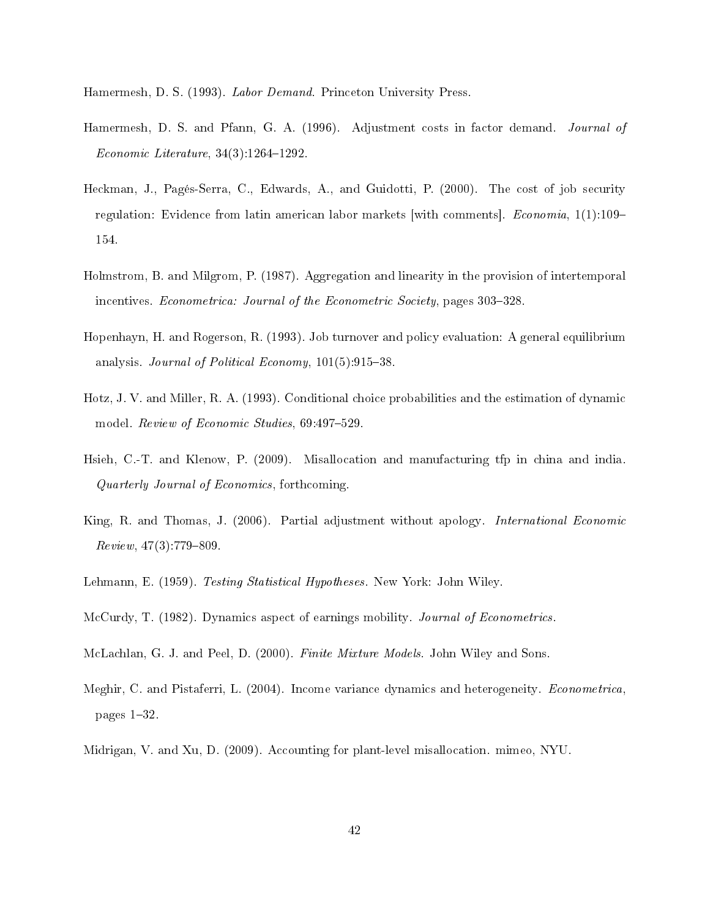Hamermesh, D. S. (1993). *Labor Demand*. Princeton University Press.

- Hamermesh, D. S. and Pfann, G. A. (1996). Adjustment costs in factor demand. Journal of  $Economic\ Literature, 34(3):1264-1292.$
- Heckman, J., Pagés-Serra, C., Edwards, A., and Guidotti, P. (2000). The cost of job security regulation: Evidence from latin american labor markets [with comments]. *Economia*,  $1(1):109-$ 154.
- Holmstrom, B. and Milgrom, P. (1987). Aggregation and linearity in the provision of intertemporal incentives. *Econometrica: Journal of the Econometric Society*, pages 303–328.
- Hopenhayn, H. and Rogerson, R. (1993). Job turnover and policy evaluation: A general equilibrium analysis. Journal of Political Economy,  $101(5):915-38$ .
- Hotz, J. V. and Miller, R. A. (1993). Conditional choice probabilities and the estimation of dynamic model. Review of Economic Studies, 69:497-529.
- Hsieh, C.-T. and Klenow, P. (2009). Misallocation and manufacturing tfp in china and india. Quarterly Journal of Economics, forthcoming.
- King, R. and Thomas, J. (2006). Partial adjustment without apology. International Economic  $Review, 47(3):779-809.$
- Lehmann, E. (1959). Testing Statistical Hypotheses. New York: John Wiley.
- McCurdy, T. (1982). Dynamics aspect of earnings mobility. Journal of Econometrics.
- McLachlan, G. J. and Peel, D. (2000). Finite Mixture Models. John Wiley and Sons.
- Meghir, C. and Pistaferri, L. (2004). Income variance dynamics and heterogeneity. Econometrica, pages  $1-32$ .
- Midrigan, V. and Xu, D. (2009). Accounting for plant-level misallocation. mimeo, NYU.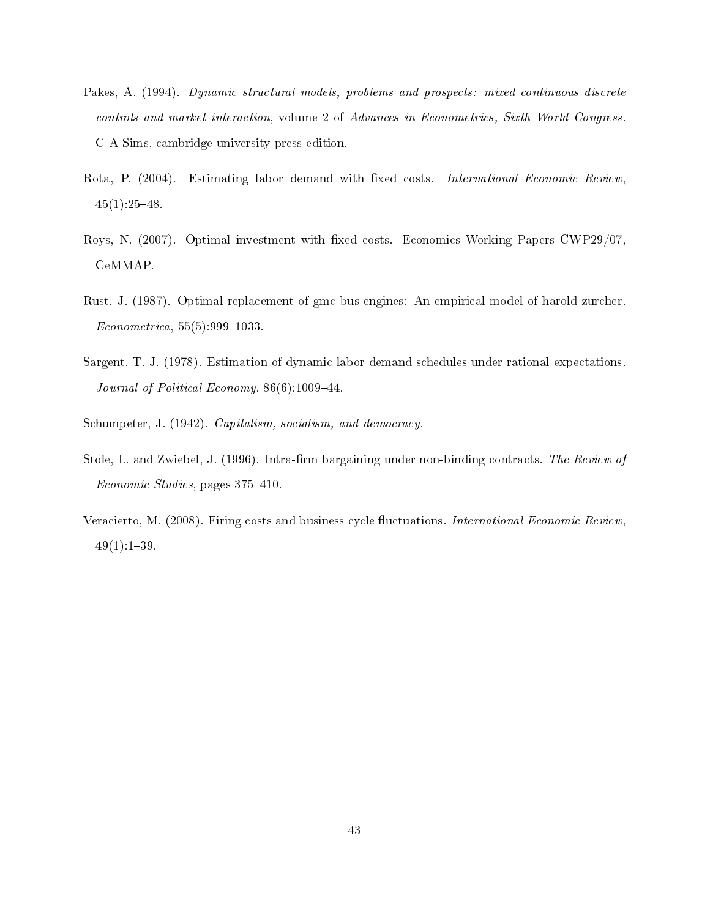- Pakes, A. (1994). Dynamic structural models, problems and prospects: mixed continuous discrete controls and market interaction, volume 2 of Advances in Econometrics, Sixth World Congress. C A Sims, cambridge university press edition.
- Rota, P. (2004). Estimating labor demand with fixed costs. *International Economic Review*,  $45(1):25-48.$
- Roys, N. (2007). Optimal investment with fixed costs. Economics Working Papers CWP29/07, CeMMAP.
- Rust, J. (1987). Optimal replacement of gmc bus engines: An empirical model of harold zurcher.  $Econometrica, 55(5):999-1033.$
- Sargent, T. J. (1978). Estimation of dynamic labor demand schedules under rational expectations. Journal of Political Economy,  $86(6)$ :1009-44.
- Schumpeter, J. (1942). *Capitalism, socialism, and democracy*.
- Stole, L. and Zwiebel, J. (1996). Intra-firm bargaining under non-binding contracts. The Review of  $Economic Studies, pages 375-410.$
- Veracierto, M. (2008). Firing costs and business cycle fluctuations. International Economic Review,  $49(1)$ : 1-39.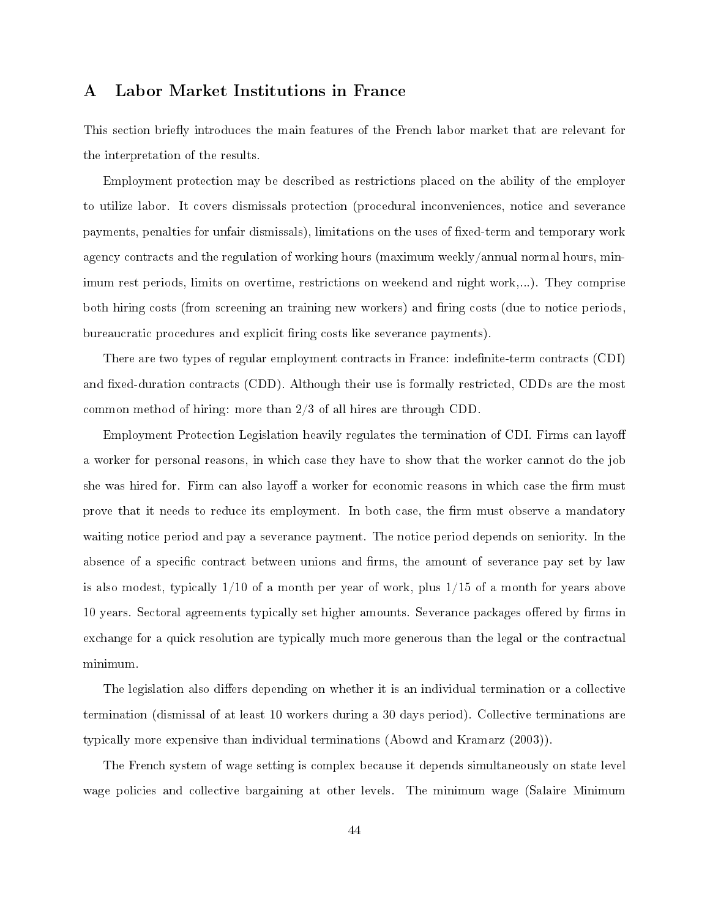## A Labor Market Institutions in France

This section briefly introduces the main features of the French labor market that are relevant for the interpretation of the results.

Employment protection may be described as restrictions placed on the ability of the employer to utilize labor. It covers dismissals protection (procedural inconveniences, notice and severance payments, penalties for unfair dismissals), limitations on the uses of fixed-term and temporary work agency contracts and the regulation of working hours (maximum weekly/annual normal hours, minimum rest periods, limits on overtime, restrictions on weekend and night work,...). They comprise both hiring costs (from screening an training new workers) and firing costs (due to notice periods, bureaucratic procedures and explicit firing costs like severance payments).

There are two types of regular employment contracts in France: indefinite-term contracts (CDI) and fixed-duration contracts (CDD). Although their use is formally restricted, CDDs are the most common method of hiring: more than 2/3 of all hires are through CDD.

Employment Protection Legislation heavily regulates the termination of CDI. Firms can layo a worker for personal reasons, in which case they have to show that the worker cannot do the job she was hired for. Firm can also layoff a worker for economic reasons in which case the firm must prove that it needs to reduce its employment. In both case, the firm must observe a mandatory waiting notice period and pay a severance payment. The notice period depends on seniority. In the absence of a specific contract between unions and firms, the amount of severance pay set by law is also modest, typically  $1/10$  of a month per year of work, plus  $1/15$  of a month for years above 10 years. Sectoral agreements typically set higher amounts. Severance packages offered by firms in exchange for a quick resolution are typically much more generous than the legal or the contractual minimum.

The legislation also differs depending on whether it is an individual termination or a collective termination (dismissal of at least 10 workers during a 30 days period). Collective terminations are typically more expensive than individual terminations (Abowd and Kramarz (2003)).

The French system of wage setting is complex because it depends simultaneously on state level wage policies and collective bargaining at other levels. The minimum wage (Salaire Minimum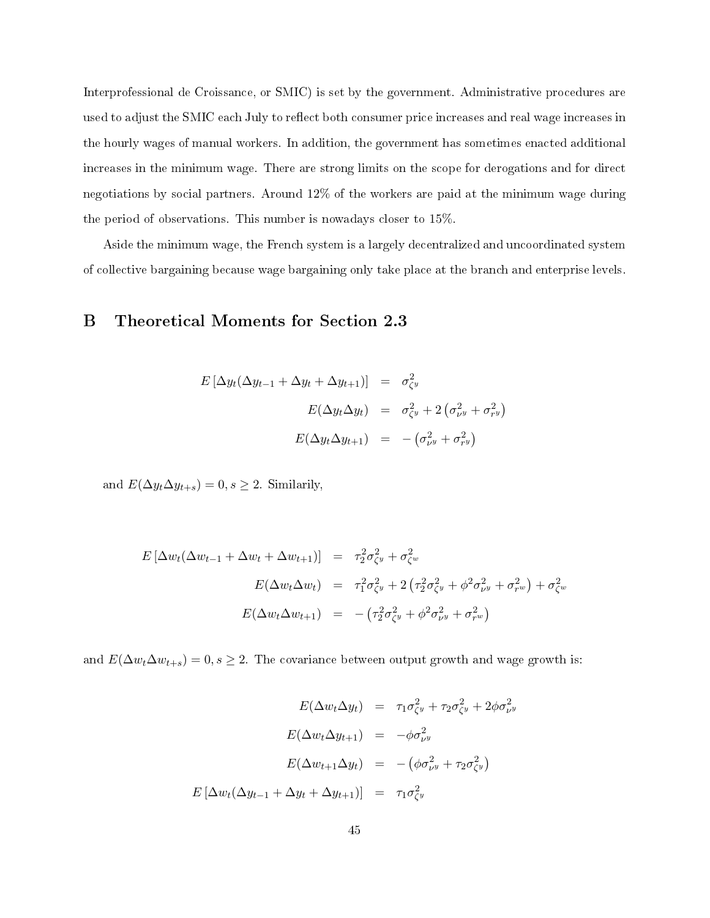Interprofessional de Croissance, or SMIC) is set by the government. Administrative procedures are used to adjust the SMIC each July to reflect both consumer price increases and real wage increases in the hourly wages of manual workers. In addition, the government has sometimes enacted additional increases in the minimum wage. There are strong limits on the scope for derogations and for direct negotiations by social partners. Around 12% of the workers are paid at the minimum wage during the period of observations. This number is nowadays closer to 15%.

Aside the minimum wage, the French system is a largely decentralized and uncoordinated system of collective bargaining because wage bargaining only take place at the branch and enterprise levels.

## B Theoretical Moments for Section 2.3

$$
E\left[\Delta y_t(\Delta y_{t-1} + \Delta y_t + \Delta y_{t+1})\right] = \sigma_{\zeta_y}^2
$$
  

$$
E(\Delta y_t \Delta y_t) = \sigma_{\zeta_y}^2 + 2(\sigma_{\nu_y}^2 + \sigma_{\tau_y}^2)
$$
  

$$
E(\Delta y_t \Delta y_{t+1}) = -(\sigma_{\nu_y}^2 + \sigma_{\tau_y}^2)
$$

and  $E(\Delta y_t \Delta y_{t+s}) = 0, s \ge 2$ . Similarily,

$$
E\left[\Delta w_t(\Delta w_{t-1} + \Delta w_t + \Delta w_{t+1})\right] = \tau_2^2 \sigma_{\zeta}^2 + \sigma_{\zeta}^2
$$
  

$$
E(\Delta w_t \Delta w_t) = \tau_1^2 \sigma_{\zeta}^2 + 2(\tau_2^2 \sigma_{\zeta}^2 + \phi^2 \sigma_{\nu}^2 + \sigma_{\tau}^2) + \sigma_{\zeta}^2
$$
  

$$
E(\Delta w_t \Delta w_{t+1}) = -(\tau_2^2 \sigma_{\zeta}^2 + \phi^2 \sigma_{\nu}^2 + \sigma_{\tau}^2)
$$

and  $E(\Delta w_t \Delta w_{t+s}) = 0, s \geq 2$ . The covariance between output growth and wage growth is:

$$
E(\Delta w_t \Delta y_t) = \tau_1 \sigma_{\zeta y}^2 + \tau_2 \sigma_{\zeta y}^2 + 2\phi \sigma_{\nu y}^2
$$

$$
E(\Delta w_t \Delta y_{t+1}) = -\phi \sigma_{\nu y}^2
$$

$$
E(\Delta w_{t+1} \Delta y_t) = -(\phi \sigma_{\nu y}^2 + \tau_2 \sigma_{\zeta y}^2)
$$

$$
E[\Delta w_t(\Delta y_{t-1} + \Delta y_t + \Delta y_{t+1})] = \tau_1 \sigma_{\zeta y}^2
$$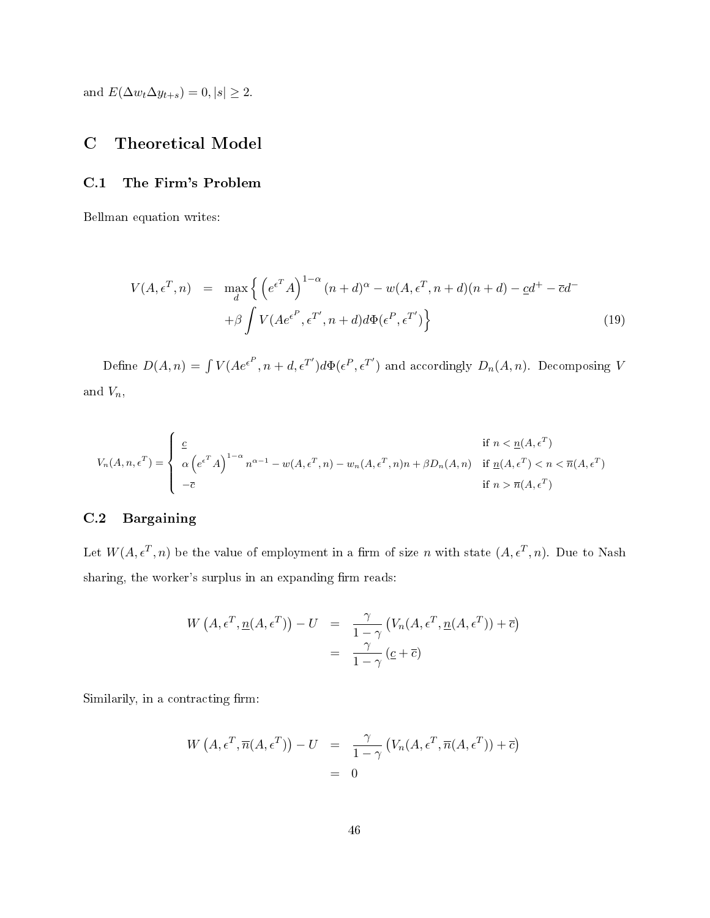and  $E(\Delta w_t \Delta y_{t+s}) = 0, |s| \geq 2$ .

# C Theoretical Model

### C.1 The Firm's Problem

Bellman equation writes:

$$
V(A, \epsilon^T, n) = \max_{d} \left\{ \left( e^{\epsilon^T} A \right)^{1-\alpha} (n+d)^{\alpha} - w(A, \epsilon^T, n+d)(n+d) - \underline{c}d^+ - \overline{c}d^- \right. \\ \left. + \beta \int V(Ae^{\epsilon^P}, \epsilon^{T'}, n+d) d\Phi(\epsilon^P, \epsilon^{T'}) \right\} \tag{19}
$$

Define  $D(A,n) = \int V(Ae^{\epsilon^P}, n+d, \epsilon^{T'}) d\Phi(\epsilon^P, \epsilon^{T'})$  and accordingly  $D_n(A,n)$ . Decomposing V and  $V_n$ ,

$$
V_n(A, n, \epsilon^T) = \begin{cases} \frac{c}{\alpha} & \text{if } n < \underline{n}(A, \epsilon^T) \\ \alpha \left( e^{\epsilon^T} A \right)^{1-\alpha} n^{\alpha-1} - w(A, \epsilon^T, n) - w_n(A, \epsilon^T, n) n + \beta D_n(A, n) & \text{if } \underline{n}(A, \epsilon^T) < n < \overline{n}(A, \epsilon^T) \\ -\overline{c} & \text{if } n > \overline{n}(A, \epsilon^T) \end{cases}
$$

### C.2 Bargaining

Let  $W(A, \epsilon^T, n)$  be the value of employment in a firm of size n with state  $(A, \epsilon^T, n)$ . Due to Nash sharing, the worker's surplus in an expanding firm reads:

$$
W(A, \epsilon^T, \underline{n}(A, \epsilon^T)) - U = \frac{\gamma}{1 - \gamma} (V_n(A, \epsilon^T, \underline{n}(A, \epsilon^T)) + \overline{c})
$$
  
= 
$$
\frac{\gamma}{1 - \gamma} (c + \overline{c})
$$

Similarily, in a contracting firm:

$$
W\left(A, \epsilon^T, \overline{n}(A, \epsilon^T)\right) - U = \frac{\gamma}{1 - \gamma} \left(V_n(A, \epsilon^T, \overline{n}(A, \epsilon^T)) + \overline{c}\right)
$$
  
= 0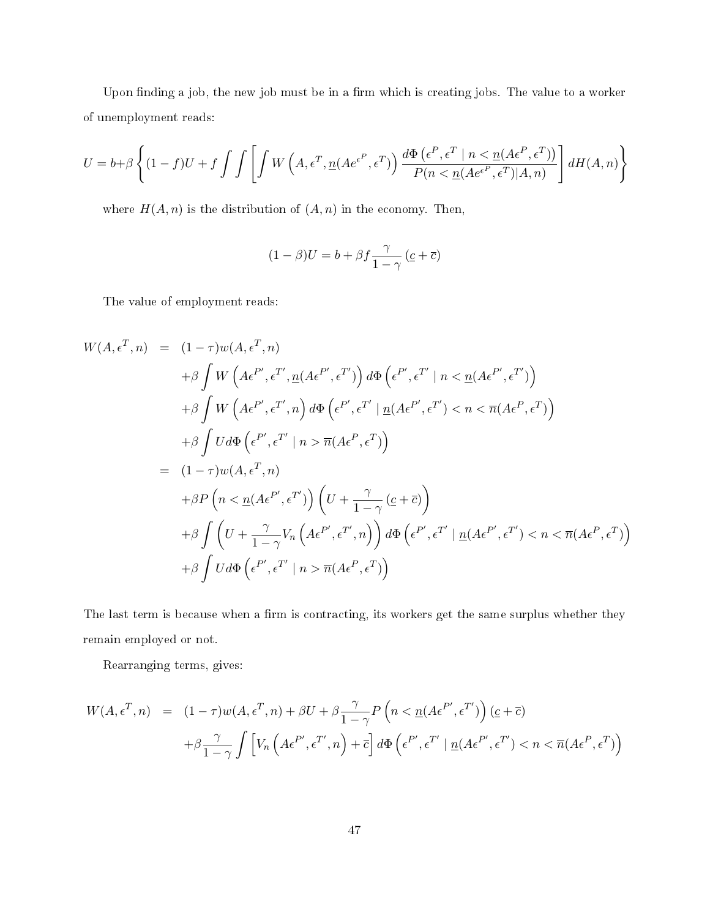Upon finding a job, the new job must be in a firm which is creating jobs. The value to a worker of unemployment reads:

$$
U = b + \beta \left\{ (1 - f)U + f \int \int \left[ \int W \left( A, \epsilon^T, \underline{n} (A e^{\epsilon^P}, \epsilon^T) \right) \frac{d\Phi\left( \epsilon^P, \epsilon^T \mid n < \underline{n} (A \epsilon^P, \epsilon^T) \right)}{P(n < \underline{n} (A e^{\epsilon^P}, \epsilon^T) | A, n)} \right\} dH(A, n) \right\}
$$

where  $H(A, n)$  is the distribution of  $(A, n)$  in the economy. Then,

$$
(1 - \beta)U = b + \beta f \frac{\gamma}{1 - \gamma} (\underline{c} + \overline{c})
$$

The value of employment reads:

$$
W(A, \epsilon^T, n) = (1 - \tau)w(A, \epsilon^T, n)
$$
  
+  $\beta \int W(A\epsilon^{P'}, \epsilon^{T'}, n(A\epsilon^{P'}, \epsilon^{T'}) d\Phi(\epsilon^{P'}, \epsilon^{T'} | n < n(A\epsilon^{P'}, \epsilon^{T'}) )$   
+  $\beta \int W(A\epsilon^{P'}, \epsilon^{T'}, n) d\Phi(\epsilon^{P'}, \epsilon^{T'} | n(A\epsilon^{P'}, \epsilon^{T'}) < n < \overline{n}(A\epsilon^{P}, \epsilon^{T}) )$   
+  $\beta \int U d\Phi(\epsilon^{P'}, \epsilon^{T'} | n > \overline{n}(A\epsilon^{P}, \epsilon^{T'}) )$   
=  $(1 - \tau)w(A, \epsilon^{T}, n)$   
+  $\beta P(n < n(A\epsilon^{P'}, \epsilon^{T'})) (U + \frac{\gamma}{1 - \gamma} (\epsilon + \overline{\epsilon}))$   
+  $\beta \int (U + \frac{\gamma}{1 - \gamma} V_n(A\epsilon^{P'}, \epsilon^{T'}, n)) d\Phi(\epsilon^{P'}, \epsilon^{T'} | n(A\epsilon^{P'}, \epsilon^{T'}) < n < \overline{n}(A\epsilon^{P}, \epsilon^{T}) )$   
+  $\beta \int U d\Phi(\epsilon^{P'}, \epsilon^{T'} | n > \overline{n}(A\epsilon^{P}, \epsilon^{T'}) )$ 

The last term is because when a firm is contracting, its workers get the same surplus whether they remain employed or not.

Rearranging terms, gives:

$$
W(A, \epsilon^T, n) = (1 - \tau)w(A, \epsilon^T, n) + \beta U + \beta \frac{\gamma}{1 - \gamma} P\left(n < \underline{n}(A\epsilon^{P'}, \epsilon^{T'})\right) (\underline{c} + \overline{c})
$$

$$
+ \beta \frac{\gamma}{1 - \gamma} \int \left[ V_n\left(A\epsilon^{P'}, \epsilon^{T'}, n\right) + \overline{c} \right] d\Phi\left(\epsilon^{P'}, \epsilon^{T'} \mid \underline{n}(A\epsilon^{P'}, \epsilon^{T'}) < n < \overline{n}(A\epsilon^{P}, \epsilon^{T}) \right)
$$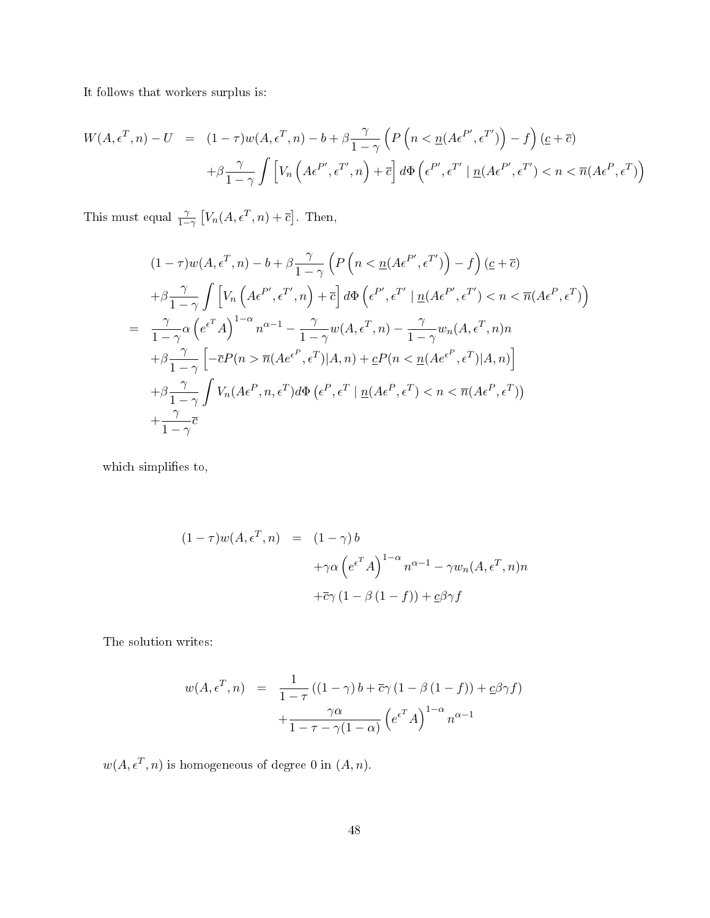It follows that workers surplus is:

$$
W(A, \epsilon^T, n) - U = (1 - \tau)w(A, \epsilon^T, n) - b + \beta \frac{\gamma}{1 - \gamma} \left( P\left(n < \underline{n}(A\epsilon^{P'}, \epsilon^{T'})\right) - f\right) (\underline{c} + \overline{c})
$$

$$
+ \beta \frac{\gamma}{1 - \gamma} \int \left[ V_n\left(A\epsilon^{P'}, \epsilon^{T'}, n\right) + \overline{c} \right] d\Phi\left(\epsilon^{P'}, \epsilon^{T'} \mid \underline{n}(A\epsilon^{P'}, \epsilon^{T'}) < n < \overline{n}(A\epsilon^{P}, \epsilon^{T}) \right)
$$

This must equal  $\frac{\gamma}{1-\gamma} \left[ V_n(A, \epsilon^T, n) + \overline{c} \right]$ . Then,

$$
(1 - \tau)w(A, \epsilon^T, n) - b + \beta \frac{\gamma}{1 - \gamma} \left( P\left(n < \underline{n}(A\epsilon^{P'}, \epsilon^{T'})\right) - f\right) (\underline{c} + \overline{c})
$$
  
+  $\beta \frac{\gamma}{1 - \gamma} \int \left[ V_n \left(A\epsilon^{P'}, \epsilon^{T'}, n\right) + \overline{c} \right] d\Phi \left( \epsilon^{P'}, \epsilon^{T'} \mid \underline{n}(A\epsilon^{P'}, \epsilon^{T'}) < n < \overline{n}(A\epsilon^{P}, \epsilon^{T}) \right)$   
=  $\frac{\gamma}{1 - \gamma} \alpha \left( e^{\epsilon^T} A \right)^{1 - \alpha} n^{\alpha - 1} - \frac{\gamma}{1 - \gamma} w(A, \epsilon^T, n) - \frac{\gamma}{1 - \gamma} w_n(A, \epsilon^T, n) n$   
+  $\beta \frac{\gamma}{1 - \gamma} \left[ -\overline{c}P(n > \overline{n}(A\epsilon^{\epsilon^P}, \epsilon^T) | A, n) + \underline{c}P(n < \underline{n}(A\epsilon^{\epsilon^P}, \epsilon^T) | A, n) \right]$   
+  $\beta \frac{\gamma}{1 - \gamma} \int V_n(A\epsilon^P, n, \epsilon^T) d\Phi \left( \epsilon^P, \epsilon^T \mid \underline{n}(A\epsilon^P, \epsilon^T) < n < \overline{n}(A\epsilon^P, \epsilon^T) \right)$   
+  $\frac{\gamma}{1 - \gamma} \overline{c}$ 

which simplifies to,

$$
(1 - \tau)w(A, \epsilon^T, n) = (1 - \gamma) b
$$
  
+ $\gamma \alpha \left(e^{\epsilon^T} A\right)^{1-\alpha} n^{\alpha-1} - \gamma w_n(A, \epsilon^T, n) n$   
+ $\overline{c}\gamma (1 - \beta (1 - f)) + \underline{c}\beta \gamma f$ 

The solution writes:

$$
w(A, \epsilon^T, n) = \frac{1}{1 - \tau} ((1 - \gamma) b + \overline{c}\gamma (1 - \beta (1 - f)) + \underline{c}\beta \gamma f)
$$

$$
+ \frac{\gamma \alpha}{1 - \tau - \gamma (1 - \alpha)} (e^{\epsilon^T} A)^{1 - \alpha} n^{\alpha - 1}
$$

 $w(A, \epsilon^T, n)$  is homogeneous of degree 0 in  $(A, n)$ .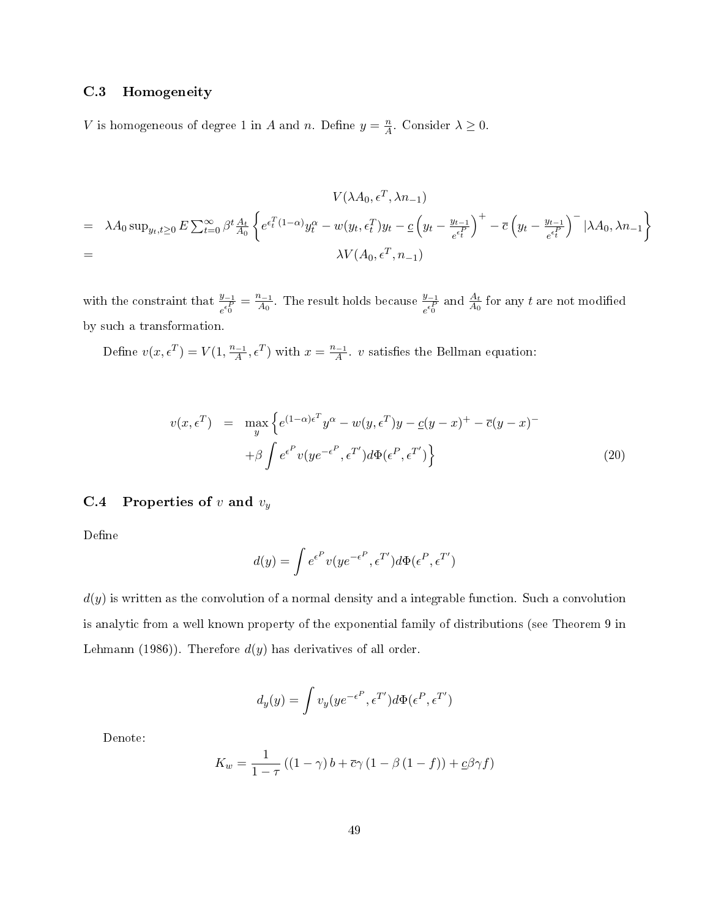#### C.3 Homogeneity

V is homogeneous of degree 1 in A and n. Define  $y = \frac{n}{A}$  $\frac{n}{A}$  Consider  $\lambda \geq 0$ .

$$
V(\lambda A_0, \epsilon^T, \lambda n_{-1})
$$
\n
$$
= \lambda A_0 \sup_{y_t, t \ge 0} E \sum_{t=0}^{\infty} \beta^t \frac{A_t}{A_0} \left\{ e^{\epsilon_t^T (1-\alpha)} y_t^{\alpha} - w(y_t, \epsilon_t^T) y_t - \frac{1}{\epsilon} \left( y_t - \frac{y_{t-1}}{\epsilon_t^{\epsilon_t}} \right)^+ - \frac{1}{\epsilon} \left( y_t - \frac{y_{t-1}}{\epsilon_t^{\epsilon_t}} \right)^- \Big| \lambda A_0, \lambda n_{-1} \right\}
$$
\n
$$
= \lambda V(A_0, \epsilon^T, n_{-1})
$$

with the constraint that  $\frac{y_{-1}}{e^{\epsilon_0^P}} = \frac{n_{-1}}{A_0}$  $\frac{a_{-1}}{A_0}$ . The result holds because  $\frac{y_{-1}}{e_0^{e_0^D}}$  and  $\frac{A_t}{A_0}$  for any t are not modified by such a transformation.

Define  $v(x, \epsilon^T) = V(1, \frac{n-1}{4})$  $\frac{n-1}{A}, \epsilon^T$  with  $x = \frac{n-1}{A}$  $\frac{a-1}{A}$ . v satisfies the Bellman equation:

$$
v(x, \epsilon^T) = \max_{y} \left\{ e^{(1-\alpha)\epsilon^T} y^{\alpha} - w(y, \epsilon^T) y - \underline{c}(y-x)^+ - \overline{c}(y-x)^- + \beta \int e^{\epsilon^P} v(y e^{-\epsilon^P}, \epsilon^T') d\Phi(\epsilon^P, \epsilon^T') \right\}
$$
(20)

## C.4 Properties of  $v$  and  $v_y$

Define

$$
d(y) = \int e^{\epsilon^P} v(y e^{-\epsilon^P}, \epsilon^{T'}) d\Phi(\epsilon^P, \epsilon^{T'})
$$

 $d(y)$  is written as the convolution of a normal density and a integrable function. Such a convolution is analytic from a well known property of the exponential family of distributions (see Theorem 9 in Lehmann (1986)). Therefore  $d(y)$  has derivatives of all order.

$$
d_y(y) = \int v_y(y e^{-\epsilon^P}, \epsilon^{T'}) d\Phi(\epsilon^P, \epsilon^{T'})
$$

Denote:

$$
K_w = \frac{1}{1-\tau} \left( (1-\gamma) b + \overline{c}\gamma \left( 1 - \beta \left( 1 - f \right) \right) + \underline{c}\beta \gamma f \right)
$$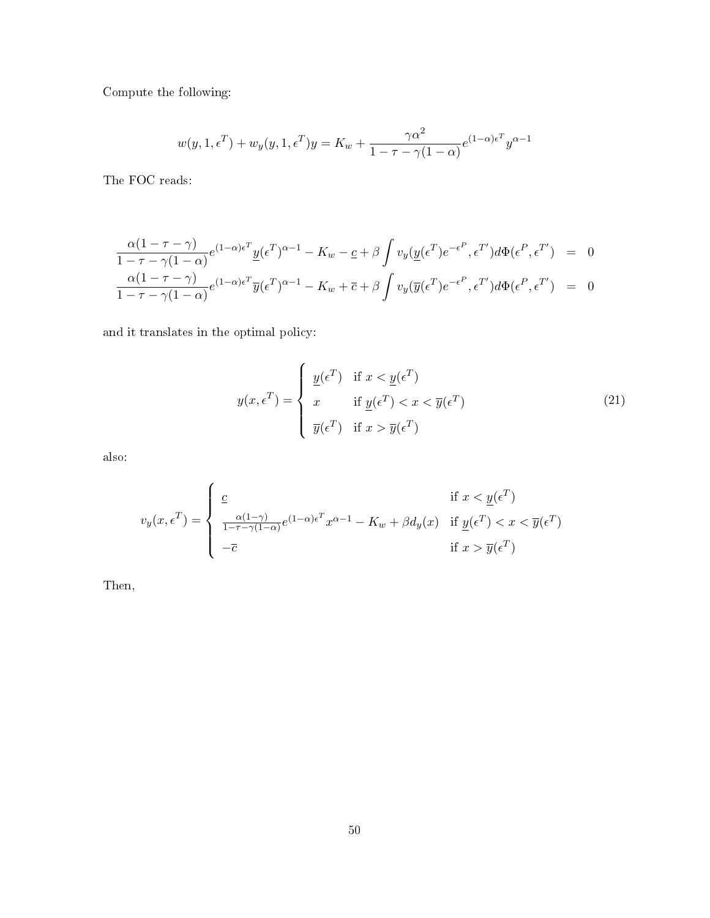Compute the following:

$$
w(y, 1, \epsilon^T) + w_y(y, 1, \epsilon^T) y = K_w + \frac{\gamma \alpha^2}{1 - \tau - \gamma (1 - \alpha)} e^{(1 - \alpha) \epsilon^T} y^{\alpha - 1}
$$

The FOC reads:

$$
\frac{\alpha(1-\tau-\gamma)}{1-\tau-\gamma(1-\alpha)}e^{(1-\alpha)\epsilon^T}\underline{y}(\epsilon^T)^{\alpha-1} - K_w - \underline{c} + \beta \int v_y(\underline{y}(\epsilon^T)e^{-\epsilon^P}, \epsilon^{T'})d\Phi(\epsilon^P, \epsilon^{T'}) = 0
$$
  

$$
\frac{\alpha(1-\tau-\gamma)}{1-\tau-\gamma(1-\alpha)}e^{(1-\alpha)\epsilon^T}\overline{y}(\epsilon^T)^{\alpha-1} - K_w + \overline{c} + \beta \int v_y(\overline{y}(\epsilon^T)e^{-\epsilon^P}, \epsilon^{T'})d\Phi(\epsilon^P, \epsilon^{T'}) = 0
$$

and it translates in the optimal policy:

$$
y(x, \epsilon^T) = \begin{cases} \frac{y(\epsilon^T)}{x} & \text{if } x < \underline{y}(\epsilon^T) \\ x & \text{if } \underline{y}(\epsilon^T) < x < \overline{y}(\epsilon^T) \\ \overline{y}(\epsilon^T) & \text{if } x > \overline{y}(\epsilon^T) \end{cases}
$$
(21)

also:

$$
v_y(x, \epsilon^T) = \begin{cases} \frac{c}{1 - \tau - \gamma(1 - \alpha)} e^{(1 - \alpha)\epsilon^T} x^{\alpha - 1} - K_w + \beta d_y(x) & \text{if } \underline{y}(\epsilon^T) < x < \overline{y}(\epsilon^T) \\ -\overline{c} & \text{if } x > \overline{y}(\epsilon^T) \end{cases}
$$

Then,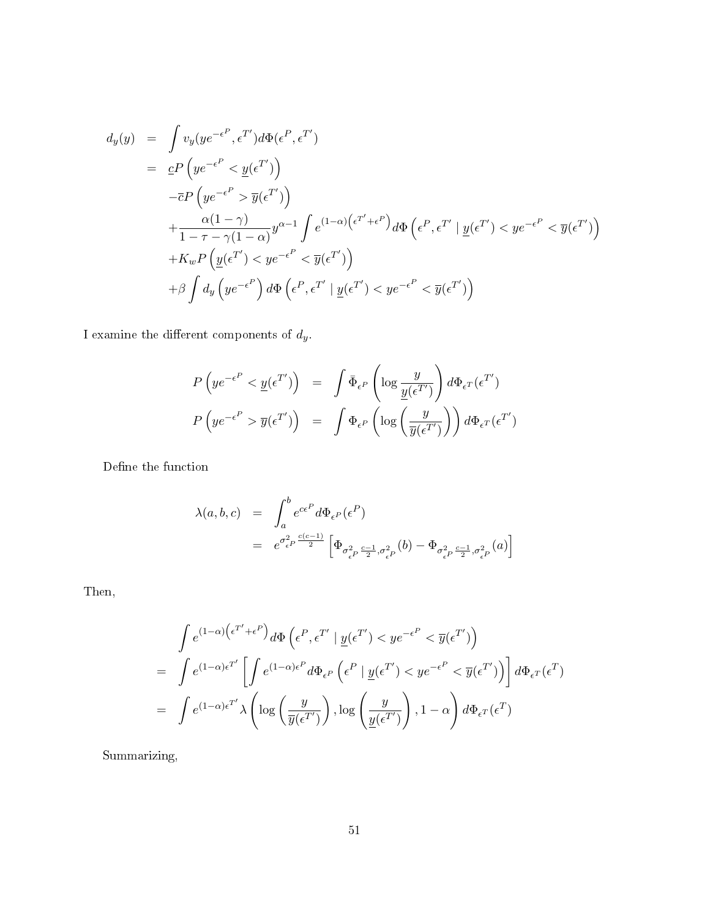$$
d_y(y) = \int v_y(y e^{-\epsilon^P}, \epsilon^{T'}) d\Phi(\epsilon^P, \epsilon^{T'})
$$
  
\n
$$
= cP \left( y e^{-\epsilon^P} < y(\epsilon^{T'}) \right)
$$
  
\n
$$
- \overline{c}P \left( y e^{-\epsilon^P} > \overline{y}(\epsilon^{T'}) \right)
$$
  
\n
$$
+ \frac{\alpha(1-\gamma)}{1-\tau-\gamma(1-\alpha)} y^{\alpha-1} \int e^{(1-\alpha)(\epsilon^{T'}+\epsilon^P)} d\Phi \left( \epsilon^P, \epsilon^{T'} \mid y(\epsilon^{T'}) < y e^{-\epsilon^P} < \overline{y}(\epsilon^{T'}) \right)
$$
  
\n
$$
+ K_w P \left( y(\epsilon^{T'}) < y e^{-\epsilon^P} < \overline{y}(\epsilon^{T'}) \right)
$$
  
\n
$$
+ \beta \int d_y \left( y e^{-\epsilon^P} \right) d\Phi \left( \epsilon^P, \epsilon^{T'} \mid y(\epsilon^{T'}) < y e^{-\epsilon^P} < \overline{y}(\epsilon^{T'}) \right)
$$

I examine the different components of  $d_{\boldsymbol{y}}.$ 

$$
P\left(ye^{-\epsilon^P} < \underline{y}(\epsilon^{T'})\right) = \int \bar{\Phi}_{\epsilon^P}\left(\log \frac{y}{\underline{y}(\epsilon^{T'})}\right) d\Phi_{\epsilon^T}(\epsilon^{T'})
$$
\n
$$
P\left(ye^{-\epsilon^P} > \overline{y}(\epsilon^{T'})\right) = \int \Phi_{\epsilon^P}\left(\log \left(\frac{y}{\overline{y}(\epsilon^{T'})}\right)\right) d\Phi_{\epsilon^T}(\epsilon^{T'})
$$

Define the function

$$
\lambda(a, b, c) = \int_{a}^{b} e^{c\epsilon^{P}} d\Phi_{\epsilon^{P}}(\epsilon^{P})
$$
  
=  $e^{\sigma_{\epsilon^{P}}^{2}} e^{\frac{c(c-1)}{2}} \left[ \Phi_{\sigma_{\epsilon^{P}}^{2}} \frac{c-1}{2}, \sigma_{\epsilon^{P}}^{2}}(b) - \Phi_{\sigma_{\epsilon^{P}}^{2}} \frac{c-1}{2}, \sigma_{\epsilon^{P}}^{2}(a) \right]$ 

Then,

$$
\int e^{(1-\alpha)\left(\epsilon^{T'} + \epsilon^P\right)} d\Phi\left(\epsilon^P, \epsilon^{T'} \mid \underline{y}(\epsilon^{T'}) < y e^{-\epsilon^P} < \overline{y}(\epsilon^{T'})\right)
$$
\n
$$
= \int e^{(1-\alpha)\epsilon^{T'}} \left[ \int e^{(1-\alpha)\epsilon^P} d\Phi_{\epsilon^P} \left(\epsilon^P \mid \underline{y}(\epsilon^{T'}) < y e^{-\epsilon^P} < \overline{y}(\epsilon^{T'})\right) \right] d\Phi_{\epsilon^T}(\epsilon^T)
$$
\n
$$
= \int e^{(1-\alpha)\epsilon^{T'}} \lambda \left( \log \left(\frac{y}{\overline{y}(\epsilon^{T'})}\right), \log \left(\frac{y}{\underline{y}(\epsilon^{T'})}\right), 1 - \alpha \right) d\Phi_{\epsilon^T}(\epsilon^T)
$$

Summarizing,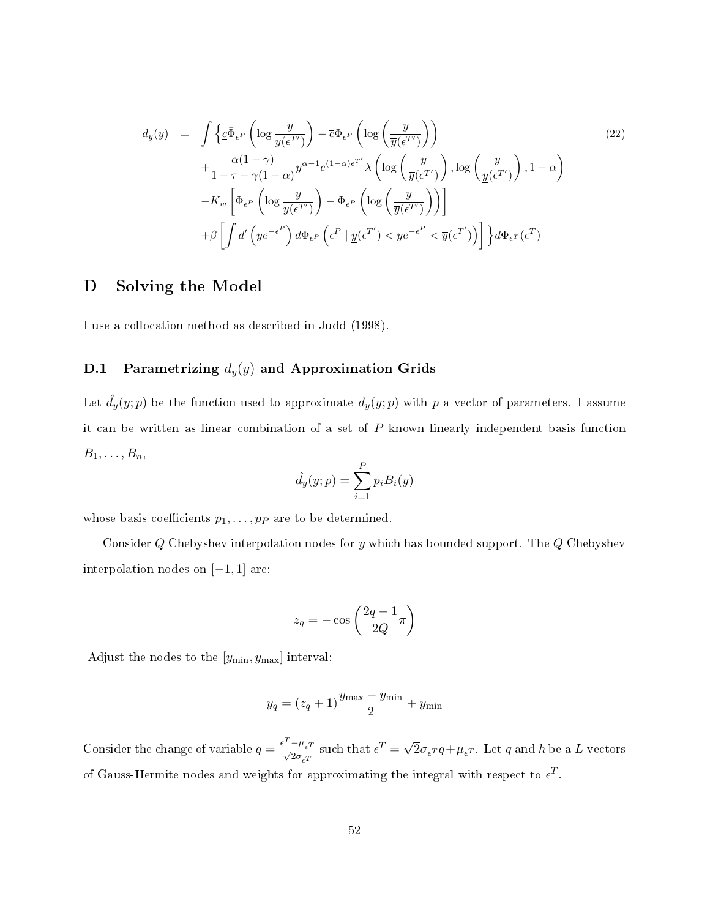$$
d_y(y) = \int \left\{ \underline{c} \overline{\Phi}_{\epsilon^P} \left( \log \frac{y}{\underline{y}(\epsilon^{T'})} \right) - \overline{c} \Phi_{\epsilon^P} \left( \log \left( \frac{y}{\overline{y}(\epsilon^{T'})} \right) \right) \right\}
$$
  

$$
+ \frac{\alpha(1-\gamma)}{1-\tau-\gamma(1-\alpha)} y^{\alpha-1} e^{(1-\alpha)\epsilon^{T'}} \lambda \left( \log \left( \frac{y}{\overline{y}(\epsilon^{T'})} \right), \log \left( \frac{y}{\underline{y}(\epsilon^{T'})} \right), 1-\alpha \right)
$$
  

$$
-K_w \left[ \Phi_{\epsilon^P} \left( \log \frac{y}{\underline{y}(\epsilon^{T'})} \right) - \Phi_{\epsilon^P} \left( \log \left( \frac{y}{\overline{y}(\epsilon^{T'})} \right) \right) \right]
$$
  

$$
+ \beta \left[ \int d' \left( y e^{-\epsilon^P} \right) d\Phi_{\epsilon^P} \left( \epsilon^P \mid \underline{y}(\epsilon^{T'}) < y e^{-\epsilon^P} < \overline{y}(\epsilon^{T'}) \right) \right] \right\} d\Phi_{\epsilon^T}(\epsilon^T)
$$
  
(22)

## D Solving the Model

I use a collocation method as described in Judd (1998).

## D.1 Parametrizing  $d_y(y)$  and Approximation Grids

Let  $\hat{d}_y(y; p)$  be the function used to approximate  $d_y(y; p)$  with p a vector of parameters. I assume it can be written as linear combination of a set of  $P$  known linearly independent basis function  $B_1, \ldots, B_n$ 

$$
\hat{d}_y(y;p) = \sum_{i=1}^P p_i B_i(y)
$$

whose basis coefficients  $p_1, \ldots, p_p$  are to be determined.

Consider  $Q$  Chebyshev interpolation nodes for y which has bounded support. The  $Q$  Chebyshev interpolation nodes on  $[-1, 1]$  are:

$$
z_q = -\cos\left(\frac{2q-1}{2Q}\pi\right)
$$

Adjust the nodes to the  $[y_{\min}, y_{\max}]$  interval:

$$
y_q = (z_q + 1) \frac{y_{\text{max}} - y_{\text{min}}}{2} + y_{\text{min}}
$$

Consider the change of variable  $q = \frac{\epsilon^T - \mu_{\epsilon}T}{\sqrt{2}}$  $\frac{-\mu_{\epsilon}T}{2\sigma_{\epsilon}T}$  such that  $\epsilon^T = \sqrt{\frac{2\sigma_{\epsilon}T}{\sigma_{\epsilon}T}}$  $2\sigma_{\epsilon}Tq + \mu_{\epsilon}T$  . Let q and h be a L-vectors of Gauss-Hermite nodes and weights for approximating the integral with respect to  $\epsilon^T$ .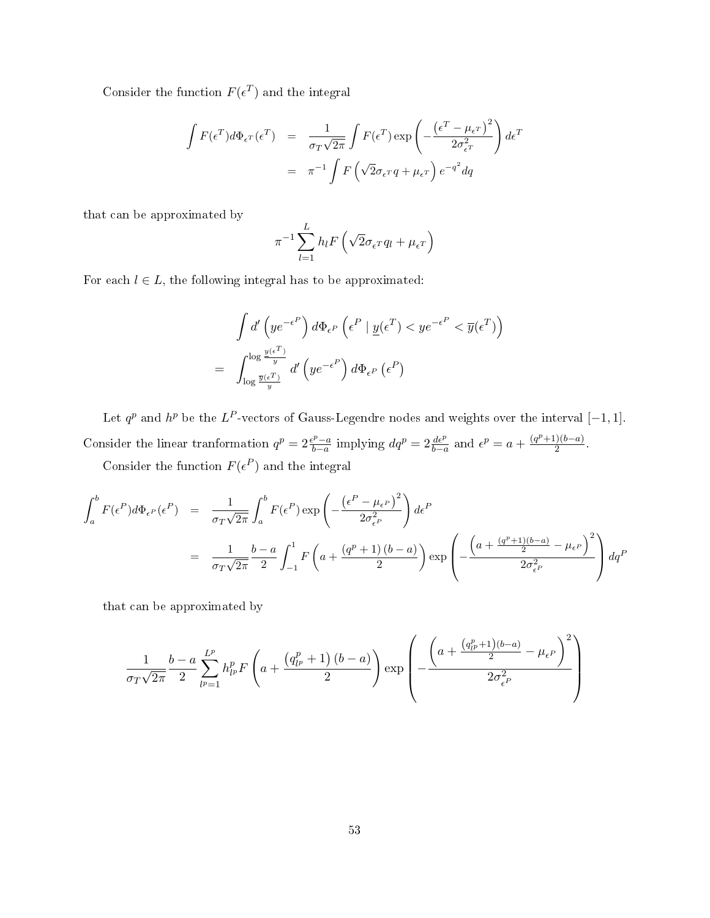Consider the function  $F(\epsilon^T)$  and the integral

$$
\int F(\epsilon^T) d\Phi_{\epsilon^T}(\epsilon^T) = \frac{1}{\sigma_T \sqrt{2\pi}} \int F(\epsilon^T) \exp\left(-\frac{(\epsilon^T - \mu_{\epsilon^T})^2}{2\sigma_{\epsilon^T}^2}\right) d\epsilon^T
$$

$$
= \pi^{-1} \int F\left(\sqrt{2}\sigma_{\epsilon^T}q + \mu_{\epsilon^T}\right) e^{-q^2} dq
$$

that can be approximated by

$$
\pi^{-1}\sum_{l=1}^{L}h_lF\left(\sqrt{2}\sigma_{\epsilon^T}q_l+\mu_{\epsilon^T}\right)
$$

For each  $l \in L$ , the following integral has to be approximated:

$$
\int d' \left( y e^{-\epsilon^P} \right) d\Phi_{\epsilon^P} \left( \epsilon^P \mid \underline{y}(\epsilon^T) < y e^{-\epsilon^P} < \overline{y}(\epsilon^T) \right)
$$
\n
$$
= \int_{\log \frac{\overline{y}(\epsilon^T)}{y}}^{\log \frac{y(\epsilon^T)}{y}} d' \left( y e^{-\epsilon^P} \right) d\Phi_{\epsilon^P} \left( \epsilon^P \right)
$$

Let  $q^p$  and  $h^p$  be the  $L^P$ -vectors of Gauss-Legendre nodes and weights over the interval  $[-1, 1]$ . Consider the linear tranformation  $q^p = 2 \frac{\epsilon^p - a}{b-a}$  $\frac{e^{p}-a}{b-a}$  implying  $dq^{p} = 2\frac{de^{p}}{b-a}$  and  $e^{p} = a + \frac{(q^{p}+1)(b-a)}{2}$  $rac{10-a}{2}$ . Consider the function  $F(\epsilon^P)$  and the integral

$$
\int_{a}^{b} F(\epsilon^{P}) d\Phi_{\epsilon^{P}}(\epsilon^{P}) = \frac{1}{\sigma_{T}\sqrt{2\pi}} \int_{a}^{b} F(\epsilon^{P}) \exp\left(-\frac{(\epsilon^{P} - \mu_{\epsilon^{P}})^{2}}{2\sigma_{\epsilon^{P}}^{2}}\right) d\epsilon^{P}
$$
\n
$$
= \frac{1}{\sigma_{T}\sqrt{2\pi}} \frac{b - a}{2} \int_{-1}^{1} F\left(a + \frac{(q^{p} + 1)(b - a)}{2}\right) \exp\left(-\frac{\left(a + \frac{(q^{p} + 1)(b - a)}{2} - \mu_{\epsilon^{P}}\right)^{2}}{2\sigma_{\epsilon^{P}}^{2}}\right) dq^{P}
$$

that can be approximated by

$$
\frac{1}{\sigma_T \sqrt{2\pi}} \frac{b-a}{2} \sum_{l^p=1}^{L^p} h_{l^p}^p F\left(a + \frac{\left(q_{l^p}^p + 1\right)(b-a)}{2}\right) \exp\left(-\frac{\left(a + \frac{\left(q_{l^p}^p + 1\right)(b-a)}{2} - \mu_{\epsilon^P}\right)^2}{2\sigma_{\epsilon^P}^2}\right)
$$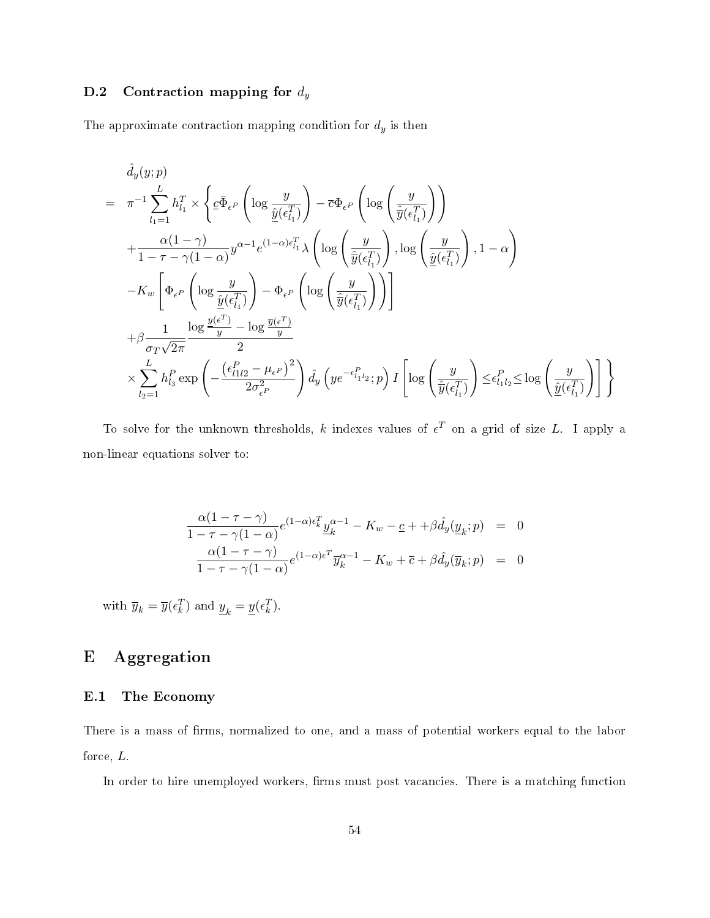## D.2 Contraction mapping for  $d_y$

The approximate contraction mapping condition for  $\boldsymbol{d_y}$  is then

$$
\hat{d}_{y}(y;p) = \pi^{-1} \sum_{l_1=1}^{L} h_{l_1}^T \times \left\{ \underline{c} \overline{\Phi}_{\epsilon^P} \left( \log \frac{y}{\underline{\hat{y}}(\epsilon_{l_1}^T)} \right) - \overline{c} \Phi_{\epsilon^P} \left( \log \left( \frac{y}{\overline{\hat{y}}(\epsilon_{l_1}^T)} \right) \right) \right\} \n+ \frac{\alpha(1-\gamma)}{1-\tau-\gamma(1-\alpha)} y^{\alpha-1} e^{(1-\alpha)\epsilon_{l_1}^T} \lambda \left( \log \left( \frac{y}{\overline{\hat{y}}(\epsilon_{l_1}^T)} \right), \log \left( \frac{y}{\underline{\hat{y}}(\epsilon_{l_1}^T)} \right), 1-\alpha \right) \n- K_w \left[ \Phi_{\epsilon^P} \left( \log \frac{y}{\underline{\hat{y}}(\epsilon_{l_1}^T)} \right) - \Phi_{\epsilon^P} \left( \log \left( \frac{y}{\overline{\hat{y}}(\epsilon_{l_1}^T)} \right) \right) \right] \n+ \beta \frac{1}{\sigma_T \sqrt{2\pi}} \frac{\log \frac{y(\epsilon^T)}{y} - \log \frac{\overline{y}(\epsilon^T)}{y}}{2} \n\times \sum_{l_2=1}^{L} h_{l_3}^P \exp \left( -\frac{\left( \epsilon_{l1l2}^P - \mu_{\epsilon^P} \right)^2}{2\sigma_{\epsilon^P}^2} \right) \hat{d}_{y} \left( y e^{-\epsilon_{l_1l_2}^P}; p \right) I \left[ \log \left( \frac{y}{\overline{\hat{y}}(\epsilon_{l_1}^T)} \right) \leq \epsilon_{l_1l_2}^P \leq \log \left( \frac{y}{\underline{\hat{y}}(\epsilon_{l_1}^T)} \right) \right] \right\}
$$

To solve for the unknown thresholds,  $k$  indexes values of  $\epsilon^T$  on a grid of size L. I apply a non-linear equations solver to:

$$
\frac{\alpha(1-\tau-\gamma)}{1-\tau-\gamma(1-\alpha)}e^{(1-\alpha)\epsilon_k^T}\underline{y}_k^{\alpha-1} - K_w - \underline{c} + \beta \hat{d}_y(\underline{y}_k; p) = 0
$$
  

$$
\frac{\alpha(1-\tau-\gamma)}{1-\tau-\gamma(1-\alpha)}e^{(1-\alpha)\epsilon^T}\overline{y}_k^{\alpha-1} - K_w + \overline{c} + \beta \hat{d}_y(\overline{y}_k; p) = 0
$$

with  $\overline{y}_k = \overline{y}(\epsilon_k^T)$  and  $\underline{y}_k = \underline{y}(\epsilon_k^T)$ .

# E Aggregation

#### E.1 The Economy

There is a mass of firms, normalized to one, and a mass of potential workers equal to the labor force,  $L$ .

In order to hire unemployed workers, firms must post vacancies. There is a matching function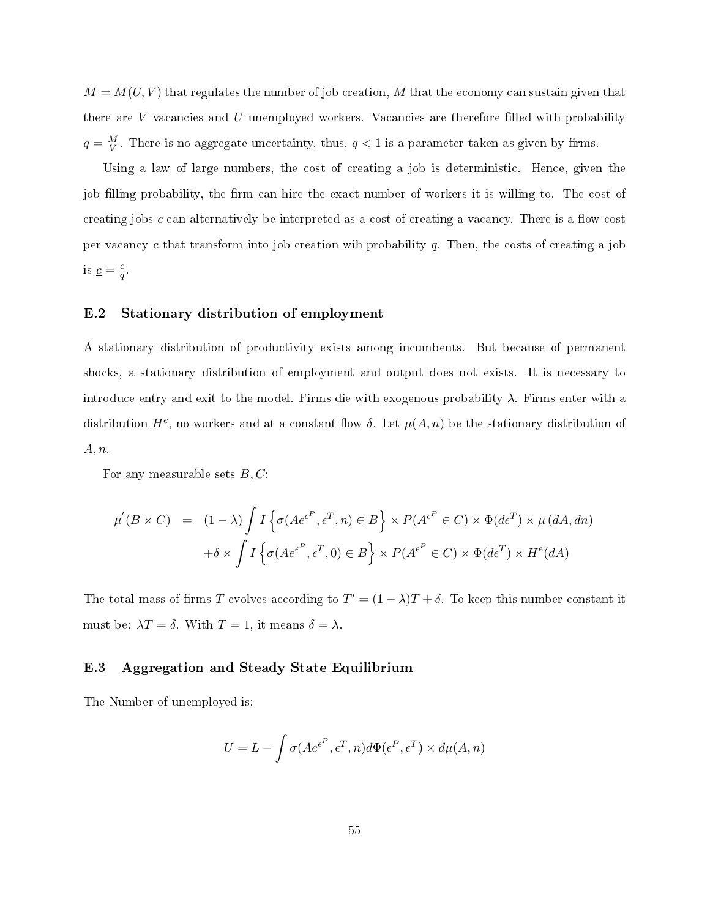$M = M(U, V)$  that regulates the number of job creation, M that the economy can sustain given that there are  $V$  vacancies and  $U$  unemployed workers. Vacancies are therefore filled with probability  $q=\frac{M}{V}$  $\frac{M}{V}$ . There is no aggregate uncertainty, thus,  $q < 1$  is a parameter taken as given by firms.

Using a law of large numbers, the cost of creating a job is deterministic. Hence, given the job filling probability, the firm can hire the exact number of workers it is willing to. The cost of creating jobs  $c$  can alternatively be interpreted as a cost of creating a vacancy. There is a flow cost per vacancy c that transform into job creation wih probability q. Then, the costs of creating a job is  $\underline{c} = \frac{c}{a}$  $\frac{c}{q}$  .

#### E.2 Stationary distribution of employment

A stationary distribution of productivity exists among incumbents. But because of permanent shocks, a stationary distribution of employment and output does not exists. It is necessary to introduce entry and exit to the model. Firms die with exogenous probability  $\lambda$ . Firms enter with a distribution  $H^e$ , no workers and at a constant flow  $\delta$ . Let  $\mu(A,n)$  be the stationary distribution of  $A, n$ .

For any measurable sets  $B, C$ :

$$
\mu'(B \times C) = (1 - \lambda) \int I \left\{ \sigma(Ae^{\epsilon^P}, \epsilon^T, n) \in B \right\} \times P(A^{\epsilon^P} \in C) \times \Phi(de^T) \times \mu(dA, dn)
$$

$$
+ \delta \times \int I \left\{ \sigma(Ae^{\epsilon^P}, \epsilon^T, 0) \in B \right\} \times P(A^{\epsilon^P} \in C) \times \Phi(de^T) \times H^e(dA)
$$

The total mass of firms T evolves according to  $T' = (1 - \lambda)T + \delta$ . To keep this number constant it must be:  $\lambda T = \delta$ . With  $T = 1$ , it means  $\delta = \lambda$ .

#### E.3 Aggregation and Steady State Equilibrium

The Number of unemployed is:

$$
U = L - \int \sigma(Ae^{\epsilon^P}, \epsilon^T, n) d\Phi(\epsilon^P, \epsilon^T) \times d\mu(A, n)
$$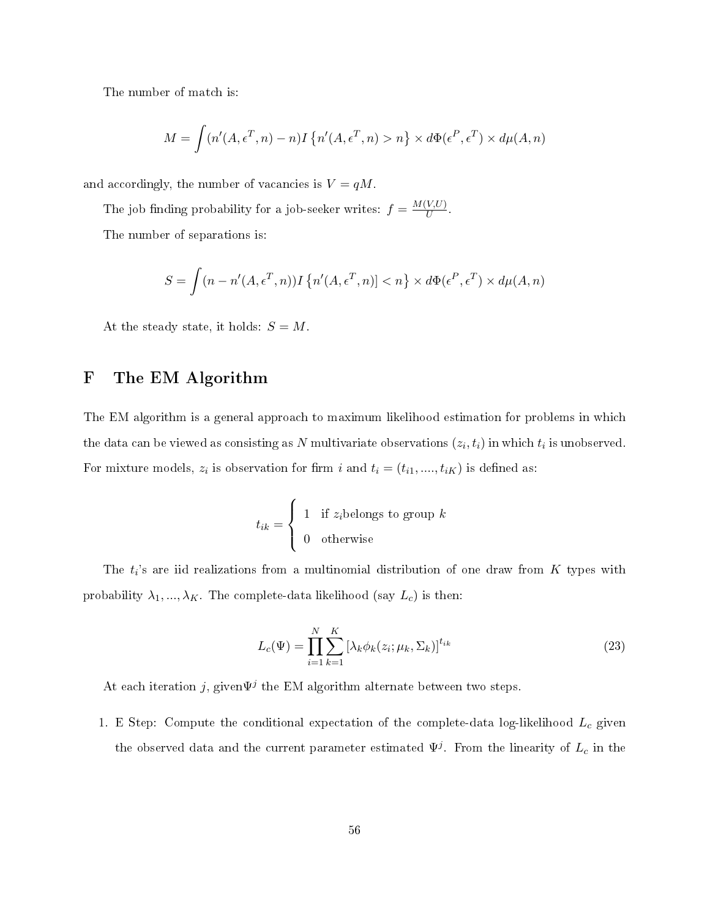The number of match is:

$$
M = \int (n'(A, \epsilon^T, n) - n) I\left\{ n'(A, \epsilon^T, n) > n \right\} \times d\Phi(\epsilon^P, \epsilon^T) \times d\mu(A, n)
$$

and accordingly, the number of vacancies is  $V = qM$ .

The job finding probability for a job-seeker writes:  $f = \frac{M(V, U)}{U}$  $\frac{V, U}{U}$ .

The number of separations is:

$$
S = \int (n - n'(A, \epsilon^T, n)) I\left\{ n'(A, \epsilon^T, n) \right\} \times d\Phi(\epsilon^P, \epsilon^T) \times d\mu(A, n)
$$

At the steady state, it holds:  $S = M$ .

# F The EM Algorithm

The EM algorithm is a general approach to maximum likelihood estimation for problems in which the data can be viewed as consisting as  $N$  multivariate observations  $(z_i,t_i)$  in which  $t_i$  is unobserved. For mixture models,  $z_i$  is observation for firm i and  $t_i = (t_{i1}, \ldots, t_{iK})$  is defined as:

$$
t_{ik} = \begin{cases} 1 & \text{if } z_i \text{belongs to group } k \\ 0 & \text{otherwise} \end{cases}
$$

The  $t_i$ 's are iid realizations from a multinomial distribution of one draw from  $K$  types with probability  $\lambda_1, ..., \lambda_K$ . The complete-data likelihood (say  $L_c$ ) is then:

$$
L_c(\Psi) = \prod_{i=1}^{N} \sum_{k=1}^{K} \left[ \lambda_k \phi_k(z_i; \mu_k, \Sigma_k) \right]^{t_{ik}}
$$
\n(23)

At each iteration j, given $\Psi^j$  the EM algorithm alternate between two steps.

1. E Step: Compute the conditional expectation of the complete-data log-likelihood  $L_c$  given the observed data and the current parameter estimated  $\Psi^j$ . From the linearity of  $L_c$  in the